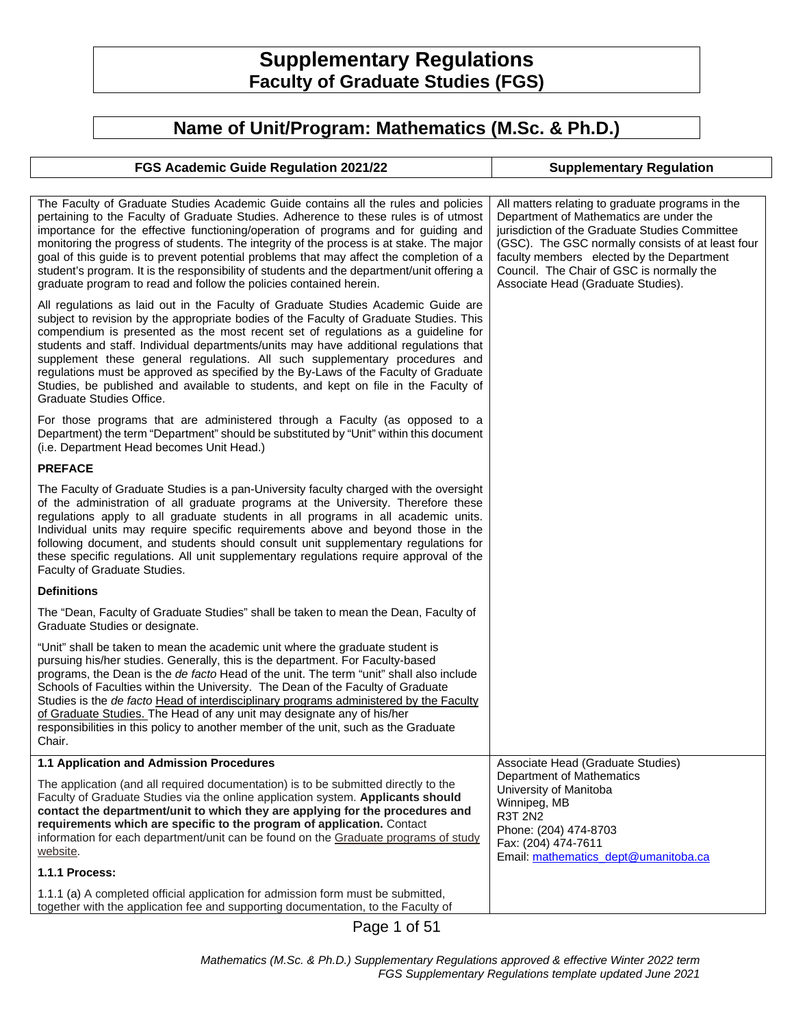# **Supplementary Regulations Faculty of Graduate Studies (FGS)**

## **Name of Unit/Program: Mathematics (M.Sc. & Ph.D.)**

| FGS Academic Guide Regulation 2021/22                                                                                                                                                                                                                                                                                                                                                                                                                                                                                                                                                                                                             | <b>Supplementary Regulation</b>                                                                                                                                                                                                                                                                                                    |
|---------------------------------------------------------------------------------------------------------------------------------------------------------------------------------------------------------------------------------------------------------------------------------------------------------------------------------------------------------------------------------------------------------------------------------------------------------------------------------------------------------------------------------------------------------------------------------------------------------------------------------------------------|------------------------------------------------------------------------------------------------------------------------------------------------------------------------------------------------------------------------------------------------------------------------------------------------------------------------------------|
|                                                                                                                                                                                                                                                                                                                                                                                                                                                                                                                                                                                                                                                   |                                                                                                                                                                                                                                                                                                                                    |
| The Faculty of Graduate Studies Academic Guide contains all the rules and policies<br>pertaining to the Faculty of Graduate Studies. Adherence to these rules is of utmost<br>importance for the effective functioning/operation of programs and for guiding and<br>monitoring the progress of students. The integrity of the process is at stake. The major<br>goal of this guide is to prevent potential problems that may affect the completion of a<br>student's program. It is the responsibility of students and the department/unit offering a<br>graduate program to read and follow the policies contained herein.                       | All matters relating to graduate programs in the<br>Department of Mathematics are under the<br>jurisdiction of the Graduate Studies Committee<br>(GSC). The GSC normally consists of at least four<br>faculty members elected by the Department<br>Council. The Chair of GSC is normally the<br>Associate Head (Graduate Studies). |
| All regulations as laid out in the Faculty of Graduate Studies Academic Guide are<br>subject to revision by the appropriate bodies of the Faculty of Graduate Studies. This<br>compendium is presented as the most recent set of regulations as a guideline for<br>students and staff. Individual departments/units may have additional regulations that<br>supplement these general regulations. All such supplementary procedures and<br>regulations must be approved as specified by the By-Laws of the Faculty of Graduate<br>Studies, be published and available to students, and kept on file in the Faculty of<br>Graduate Studies Office. |                                                                                                                                                                                                                                                                                                                                    |
| For those programs that are administered through a Faculty (as opposed to a<br>Department) the term "Department" should be substituted by "Unit" within this document<br>(i.e. Department Head becomes Unit Head.)                                                                                                                                                                                                                                                                                                                                                                                                                                |                                                                                                                                                                                                                                                                                                                                    |
| <b>PREFACE</b>                                                                                                                                                                                                                                                                                                                                                                                                                                                                                                                                                                                                                                    |                                                                                                                                                                                                                                                                                                                                    |
| The Faculty of Graduate Studies is a pan-University faculty charged with the oversight<br>of the administration of all graduate programs at the University. Therefore these<br>regulations apply to all graduate students in all programs in all academic units.<br>Individual units may require specific requirements above and beyond those in the<br>following document, and students should consult unit supplementary regulations for<br>these specific regulations. All unit supplementary regulations require approval of the<br>Faculty of Graduate Studies.                                                                              |                                                                                                                                                                                                                                                                                                                                    |
| <b>Definitions</b>                                                                                                                                                                                                                                                                                                                                                                                                                                                                                                                                                                                                                                |                                                                                                                                                                                                                                                                                                                                    |
| The "Dean, Faculty of Graduate Studies" shall be taken to mean the Dean, Faculty of<br>Graduate Studies or designate.                                                                                                                                                                                                                                                                                                                                                                                                                                                                                                                             |                                                                                                                                                                                                                                                                                                                                    |
| "Unit" shall be taken to mean the academic unit where the graduate student is<br>pursuing his/her studies. Generally, this is the department. For Faculty-based<br>programs, the Dean is the de facto Head of the unit. The term "unit" shall also include<br>Schools of Faculties within the University. The Dean of the Faculty of Graduate<br>Studies is the de facto Head of interdisciplinary programs administered by the Faculty<br>of Graduate Studies. The Head of any unit may designate any of his/her<br>responsibilities in this policy to another member of the unit, such as the Graduate<br>Chair.                                |                                                                                                                                                                                                                                                                                                                                    |
| 1.1 Application and Admission Procedures                                                                                                                                                                                                                                                                                                                                                                                                                                                                                                                                                                                                          | Associate Head (Graduate Studies)                                                                                                                                                                                                                                                                                                  |
| The application (and all required documentation) is to be submitted directly to the<br>Faculty of Graduate Studies via the online application system. Applicants should<br>contact the department/unit to which they are applying for the procedures and<br>requirements which are specific to the program of application. Contact<br>information for each department/unit can be found on the Graduate programs of study<br>website.<br>1.1.1 Process:                                                                                                                                                                                           | <b>Department of Mathematics</b><br>University of Manitoba<br>Winnipeg, MB<br><b>R3T 2N2</b><br>Phone: (204) 474-8703<br>Fax: (204) 474-7611<br>Email: mathematics_dept@umanitoba.ca                                                                                                                                               |
|                                                                                                                                                                                                                                                                                                                                                                                                                                                                                                                                                                                                                                                   |                                                                                                                                                                                                                                                                                                                                    |
| 1.1.1 (a) A completed official application for admission form must be submitted,<br>together with the application fee and supporting documentation, to the Faculty of                                                                                                                                                                                                                                                                                                                                                                                                                                                                             |                                                                                                                                                                                                                                                                                                                                    |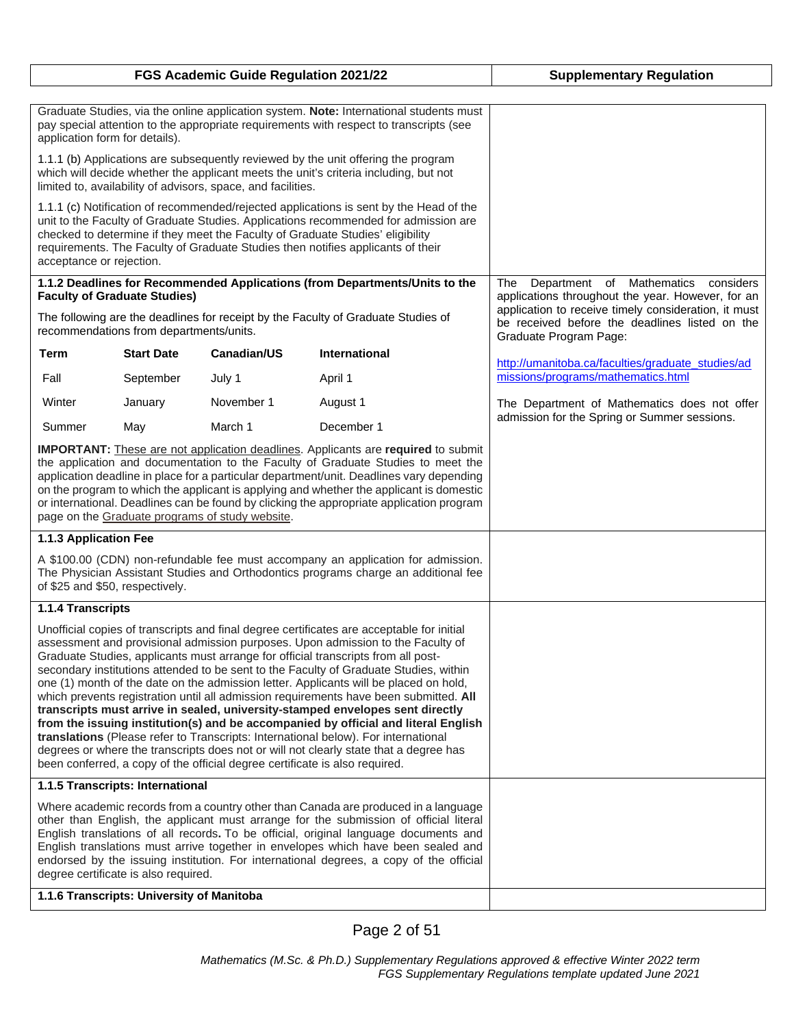| FGS Academic Guide Regulation 2021/22                                                                                                                                                                                                                                                                                                                                                                                                                                                                                                                                                                                                                                                                                                                                                                                                                                                                                                                                             |                                                                                |             | <b>Supplementary Regulation</b>                                                   |                                                                                                                                                                                       |
|-----------------------------------------------------------------------------------------------------------------------------------------------------------------------------------------------------------------------------------------------------------------------------------------------------------------------------------------------------------------------------------------------------------------------------------------------------------------------------------------------------------------------------------------------------------------------------------------------------------------------------------------------------------------------------------------------------------------------------------------------------------------------------------------------------------------------------------------------------------------------------------------------------------------------------------------------------------------------------------|--------------------------------------------------------------------------------|-------------|-----------------------------------------------------------------------------------|---------------------------------------------------------------------------------------------------------------------------------------------------------------------------------------|
|                                                                                                                                                                                                                                                                                                                                                                                                                                                                                                                                                                                                                                                                                                                                                                                                                                                                                                                                                                                   |                                                                                |             |                                                                                   |                                                                                                                                                                                       |
| Graduate Studies, via the online application system. Note: International students must<br>pay special attention to the appropriate requirements with respect to transcripts (see<br>application form for details).                                                                                                                                                                                                                                                                                                                                                                                                                                                                                                                                                                                                                                                                                                                                                                |                                                                                |             |                                                                                   |                                                                                                                                                                                       |
| 1.1.1 (b) Applications are subsequently reviewed by the unit offering the program<br>which will decide whether the applicant meets the unit's criteria including, but not<br>limited to, availability of advisors, space, and facilities.                                                                                                                                                                                                                                                                                                                                                                                                                                                                                                                                                                                                                                                                                                                                         |                                                                                |             |                                                                                   |                                                                                                                                                                                       |
| 1.1.1 (c) Notification of recommended/rejected applications is sent by the Head of the<br>unit to the Faculty of Graduate Studies. Applications recommended for admission are<br>checked to determine if they meet the Faculty of Graduate Studies' eligibility<br>requirements. The Faculty of Graduate Studies then notifies applicants of their<br>acceptance or rejection.                                                                                                                                                                                                                                                                                                                                                                                                                                                                                                                                                                                                    |                                                                                |             |                                                                                   |                                                                                                                                                                                       |
|                                                                                                                                                                                                                                                                                                                                                                                                                                                                                                                                                                                                                                                                                                                                                                                                                                                                                                                                                                                   |                                                                                |             | 1.1.2 Deadlines for Recommended Applications (from Departments/Units to the       | Department of Mathematics<br>considers<br>The                                                                                                                                         |
|                                                                                                                                                                                                                                                                                                                                                                                                                                                                                                                                                                                                                                                                                                                                                                                                                                                                                                                                                                                   | <b>Faculty of Graduate Studies)</b><br>recommendations from departments/units. |             | The following are the deadlines for receipt by the Faculty of Graduate Studies of | applications throughout the year. However, for an<br>application to receive timely consideration, it must<br>be received before the deadlines listed on the<br>Graduate Program Page: |
| <b>Term</b>                                                                                                                                                                                                                                                                                                                                                                                                                                                                                                                                                                                                                                                                                                                                                                                                                                                                                                                                                                       | <b>Start Date</b>                                                              | Canadian/US | <b>International</b>                                                              | http://umanitoba.ca/faculties/graduate_studies/ad                                                                                                                                     |
| Fall                                                                                                                                                                                                                                                                                                                                                                                                                                                                                                                                                                                                                                                                                                                                                                                                                                                                                                                                                                              | September                                                                      | July 1      | April 1                                                                           | missions/programs/mathematics.html                                                                                                                                                    |
| Winter                                                                                                                                                                                                                                                                                                                                                                                                                                                                                                                                                                                                                                                                                                                                                                                                                                                                                                                                                                            | January                                                                        | November 1  | August 1                                                                          | The Department of Mathematics does not offer                                                                                                                                          |
| Summer                                                                                                                                                                                                                                                                                                                                                                                                                                                                                                                                                                                                                                                                                                                                                                                                                                                                                                                                                                            | May                                                                            | March 1     | December 1                                                                        | admission for the Spring or Summer sessions.                                                                                                                                          |
| <b>IMPORTANT:</b> These are not application deadlines. Applicants are required to submit<br>the application and documentation to the Faculty of Graduate Studies to meet the<br>application deadline in place for a particular department/unit. Deadlines vary depending<br>on the program to which the applicant is applying and whether the applicant is domestic<br>or international. Deadlines can be found by clicking the appropriate application program<br>page on the Graduate programs of study website.                                                                                                                                                                                                                                                                                                                                                                                                                                                                |                                                                                |             |                                                                                   |                                                                                                                                                                                       |
| 1.1.3 Application Fee                                                                                                                                                                                                                                                                                                                                                                                                                                                                                                                                                                                                                                                                                                                                                                                                                                                                                                                                                             |                                                                                |             |                                                                                   |                                                                                                                                                                                       |
| A \$100.00 (CDN) non-refundable fee must accompany an application for admission.<br>The Physician Assistant Studies and Orthodontics programs charge an additional fee<br>of \$25 and \$50, respectively.                                                                                                                                                                                                                                                                                                                                                                                                                                                                                                                                                                                                                                                                                                                                                                         |                                                                                |             |                                                                                   |                                                                                                                                                                                       |
| 1.1.4 Transcripts                                                                                                                                                                                                                                                                                                                                                                                                                                                                                                                                                                                                                                                                                                                                                                                                                                                                                                                                                                 |                                                                                |             |                                                                                   |                                                                                                                                                                                       |
| Unofficial copies of transcripts and final degree certificates are acceptable for initial<br>assessment and provisional admission purposes. Upon admission to the Faculty of<br>Graduate Studies, applicants must arrange for official transcripts from all post-<br>secondary institutions attended to be sent to the Faculty of Graduate Studies, within<br>one (1) month of the date on the admission letter. Applicants will be placed on hold,<br>which prevents registration until all admission requirements have been submitted. All<br>transcripts must arrive in sealed, university-stamped envelopes sent directly<br>from the issuing institution(s) and be accompanied by official and literal English<br>translations (Please refer to Transcripts: International below). For international<br>degrees or where the transcripts does not or will not clearly state that a degree has<br>been conferred, a copy of the official degree certificate is also required. |                                                                                |             |                                                                                   |                                                                                                                                                                                       |
|                                                                                                                                                                                                                                                                                                                                                                                                                                                                                                                                                                                                                                                                                                                                                                                                                                                                                                                                                                                   | 1.1.5 Transcripts: International                                               |             |                                                                                   |                                                                                                                                                                                       |
| Where academic records from a country other than Canada are produced in a language<br>other than English, the applicant must arrange for the submission of official literal<br>English translations of all records. To be official, original language documents and<br>English translations must arrive together in envelopes which have been sealed and<br>endorsed by the issuing institution. For international degrees, a copy of the official<br>degree certificate is also required.                                                                                                                                                                                                                                                                                                                                                                                                                                                                                        |                                                                                |             |                                                                                   |                                                                                                                                                                                       |
|                                                                                                                                                                                                                                                                                                                                                                                                                                                                                                                                                                                                                                                                                                                                                                                                                                                                                                                                                                                   | 1.1.6 Transcripts: University of Manitoba                                      |             |                                                                                   |                                                                                                                                                                                       |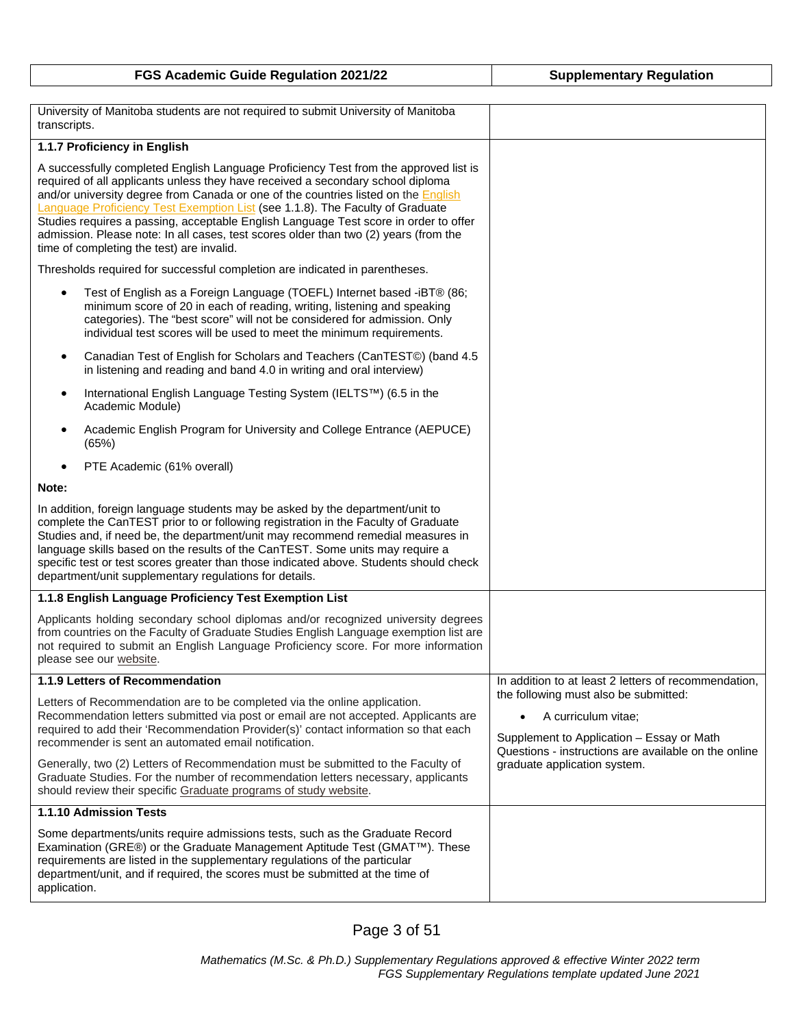| FGS Academic Guide Regulation 2021/22 | <b>Supplementary Regulation</b> |
|---------------------------------------|---------------------------------|
|---------------------------------------|---------------------------------|

| University of Manitoba students are not required to submit University of Manitoba<br>transcripts.                                                                                                                                                                                                                                                                                                                                                                                                                                                                                  |                                                                                                                                                                   |
|------------------------------------------------------------------------------------------------------------------------------------------------------------------------------------------------------------------------------------------------------------------------------------------------------------------------------------------------------------------------------------------------------------------------------------------------------------------------------------------------------------------------------------------------------------------------------------|-------------------------------------------------------------------------------------------------------------------------------------------------------------------|
| 1.1.7 Proficiency in English                                                                                                                                                                                                                                                                                                                                                                                                                                                                                                                                                       |                                                                                                                                                                   |
| A successfully completed English Language Proficiency Test from the approved list is<br>required of all applicants unless they have received a secondary school diploma<br>and/or university degree from Canada or one of the countries listed on the <b>English</b><br>Language Proficiency Test Exemption List (see 1.1.8). The Faculty of Graduate<br>Studies requires a passing, acceptable English Language Test score in order to offer<br>admission. Please note: In all cases, test scores older than two (2) years (from the<br>time of completing the test) are invalid. |                                                                                                                                                                   |
| Thresholds required for successful completion are indicated in parentheses.                                                                                                                                                                                                                                                                                                                                                                                                                                                                                                        |                                                                                                                                                                   |
| Test of English as a Foreign Language (TOEFL) Internet based -iBT® (86;<br>minimum score of 20 in each of reading, writing, listening and speaking<br>categories). The "best score" will not be considered for admission. Only<br>individual test scores will be used to meet the minimum requirements.                                                                                                                                                                                                                                                                            |                                                                                                                                                                   |
| Canadian Test of English for Scholars and Teachers (CanTEST©) (band 4.5<br>in listening and reading and band 4.0 in writing and oral interview)                                                                                                                                                                                                                                                                                                                                                                                                                                    |                                                                                                                                                                   |
| International English Language Testing System (IELTS™) (6.5 in the<br>٠<br>Academic Module)                                                                                                                                                                                                                                                                                                                                                                                                                                                                                        |                                                                                                                                                                   |
| Academic English Program for University and College Entrance (AEPUCE)<br>(65%)                                                                                                                                                                                                                                                                                                                                                                                                                                                                                                     |                                                                                                                                                                   |
| PTE Academic (61% overall)                                                                                                                                                                                                                                                                                                                                                                                                                                                                                                                                                         |                                                                                                                                                                   |
| Note:                                                                                                                                                                                                                                                                                                                                                                                                                                                                                                                                                                              |                                                                                                                                                                   |
| In addition, foreign language students may be asked by the department/unit to<br>complete the CanTEST prior to or following registration in the Faculty of Graduate<br>Studies and, if need be, the department/unit may recommend remedial measures in<br>language skills based on the results of the CanTEST. Some units may require a<br>specific test or test scores greater than those indicated above. Students should check<br>department/unit supplementary regulations for details.                                                                                        |                                                                                                                                                                   |
| 1.1.8 English Language Proficiency Test Exemption List                                                                                                                                                                                                                                                                                                                                                                                                                                                                                                                             |                                                                                                                                                                   |
| Applicants holding secondary school diplomas and/or recognized university degrees<br>from countries on the Faculty of Graduate Studies English Language exemption list are<br>not required to submit an English Language Proficiency score. For more information<br>please see our website.                                                                                                                                                                                                                                                                                        |                                                                                                                                                                   |
| 1.1.9 Letters of Recommendation                                                                                                                                                                                                                                                                                                                                                                                                                                                                                                                                                    | In addition to at least 2 letters of recommendation,                                                                                                              |
| Letters of Recommendation are to be completed via the online application.<br>Recommendation letters submitted via post or email are not accepted. Applicants are<br>required to add their 'Recommendation Provider(s)' contact information so that each<br>recommender is sent an automated email notification.                                                                                                                                                                                                                                                                    | the following must also be submitted:<br>A curriculum vitae;<br>Supplement to Application - Essay or Math<br>Questions - instructions are available on the online |
| Generally, two (2) Letters of Recommendation must be submitted to the Faculty of<br>Graduate Studies. For the number of recommendation letters necessary, applicants<br>should review their specific Graduate programs of study website.                                                                                                                                                                                                                                                                                                                                           | graduate application system.                                                                                                                                      |
| 1.1.10 Admission Tests                                                                                                                                                                                                                                                                                                                                                                                                                                                                                                                                                             |                                                                                                                                                                   |
| Some departments/units require admissions tests, such as the Graduate Record<br>Examination (GRE®) or the Graduate Management Aptitude Test (GMAT™). These<br>requirements are listed in the supplementary regulations of the particular<br>department/unit, and if required, the scores must be submitted at the time of<br>application.                                                                                                                                                                                                                                          |                                                                                                                                                                   |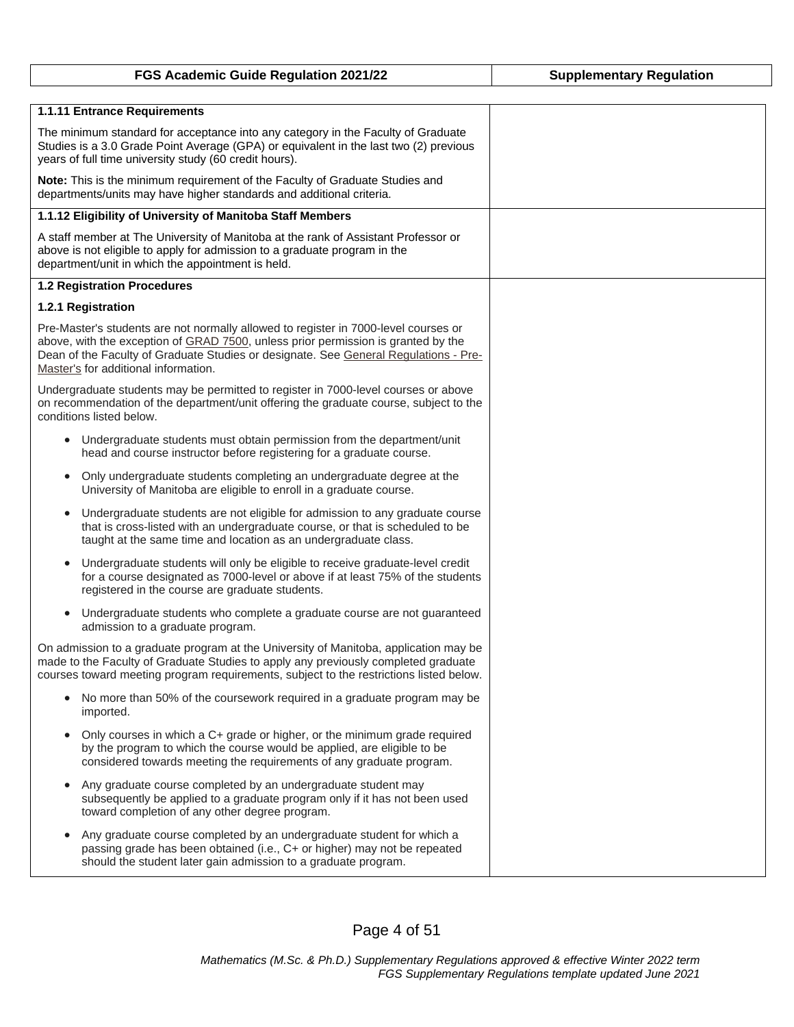| FGS Academic Guide Regulation 2021/22                                                                                                                                                                                                                                                                    | <b>Supplementary Regulation</b> |
|----------------------------------------------------------------------------------------------------------------------------------------------------------------------------------------------------------------------------------------------------------------------------------------------------------|---------------------------------|
|                                                                                                                                                                                                                                                                                                          |                                 |
| 1.1.11 Entrance Requirements                                                                                                                                                                                                                                                                             |                                 |
| The minimum standard for acceptance into any category in the Faculty of Graduate<br>Studies is a 3.0 Grade Point Average (GPA) or equivalent in the last two (2) previous<br>years of full time university study (60 credit hours).                                                                      |                                 |
| Note: This is the minimum requirement of the Faculty of Graduate Studies and<br>departments/units may have higher standards and additional criteria.                                                                                                                                                     |                                 |
| 1.1.12 Eligibility of University of Manitoba Staff Members                                                                                                                                                                                                                                               |                                 |
| A staff member at The University of Manitoba at the rank of Assistant Professor or<br>above is not eligible to apply for admission to a graduate program in the<br>department/unit in which the appointment is held.                                                                                     |                                 |
| 1.2 Registration Procedures                                                                                                                                                                                                                                                                              |                                 |
| 1.2.1 Registration                                                                                                                                                                                                                                                                                       |                                 |
| Pre-Master's students are not normally allowed to register in 7000-level courses or<br>above, with the exception of GRAD 7500, unless prior permission is granted by the<br>Dean of the Faculty of Graduate Studies or designate. See General Regulations - Pre-<br>Master's for additional information. |                                 |
| Undergraduate students may be permitted to register in 7000-level courses or above<br>on recommendation of the department/unit offering the graduate course, subject to the<br>conditions listed below.                                                                                                  |                                 |
| • Undergraduate students must obtain permission from the department/unit<br>head and course instructor before registering for a graduate course.                                                                                                                                                         |                                 |
| Only undergraduate students completing an undergraduate degree at the<br>$\bullet$<br>University of Manitoba are eligible to enroll in a graduate course.                                                                                                                                                |                                 |
| Undergraduate students are not eligible for admission to any graduate course<br>$\bullet$<br>that is cross-listed with an undergraduate course, or that is scheduled to be<br>taught at the same time and location as an undergraduate class.                                                            |                                 |
| Undergraduate students will only be eligible to receive graduate-level credit<br>$\bullet$<br>for a course designated as 7000-level or above if at least 75% of the students<br>registered in the course are graduate students.                                                                          |                                 |
| Undergraduate students who complete a graduate course are not guaranteed<br>$\bullet$<br>admission to a graduate program.                                                                                                                                                                                |                                 |
| On admission to a graduate program at the University of Manitoba, application may be<br>made to the Faculty of Graduate Studies to apply any previously completed graduate<br>courses toward meeting program requirements, subject to the restrictions listed below.                                     |                                 |
| No more than 50% of the coursework required in a graduate program may be<br>imported.                                                                                                                                                                                                                    |                                 |
| Only courses in which a C+ grade or higher, or the minimum grade required<br>by the program to which the course would be applied, are eligible to be<br>considered towards meeting the requirements of any graduate program.                                                                             |                                 |
| Any graduate course completed by an undergraduate student may<br>$\bullet$<br>subsequently be applied to a graduate program only if it has not been used<br>toward completion of any other degree program.                                                                                               |                                 |
| Any graduate course completed by an undergraduate student for which a<br>$\bullet$<br>passing grade has been obtained (i.e., C+ or higher) may not be repeated<br>should the student later gain admission to a graduate program.                                                                         |                                 |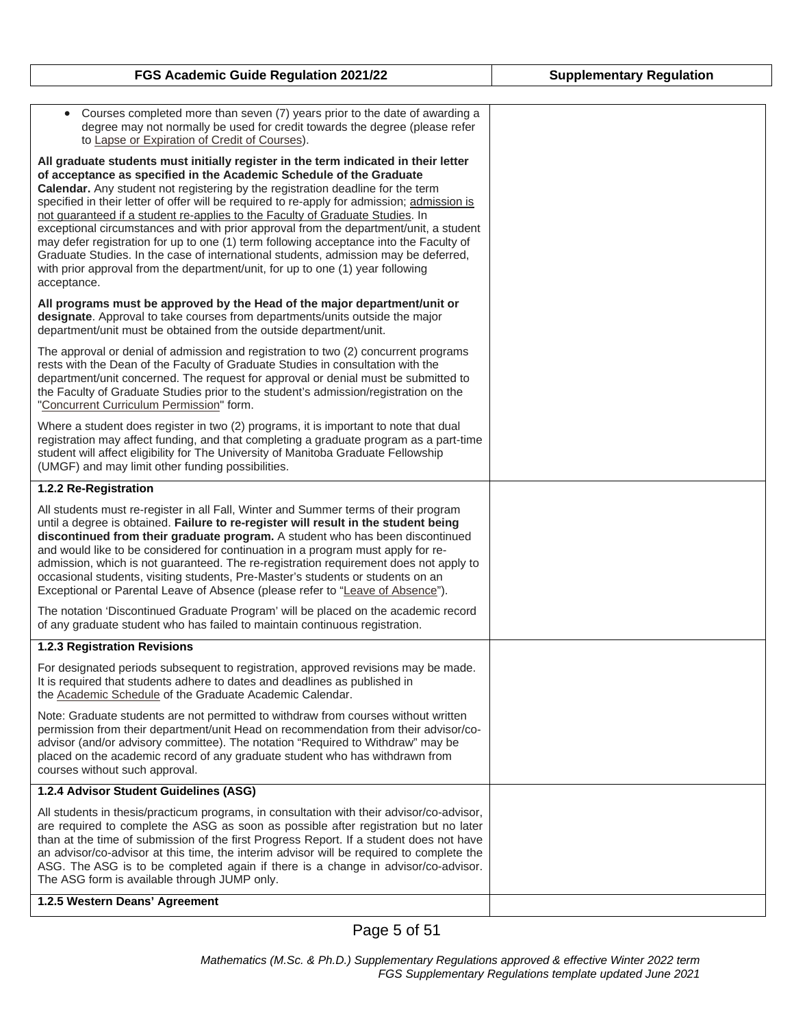| Courses completed more than seven (7) years prior to the date of awarding a<br>$\bullet$<br>degree may not normally be used for credit towards the degree (please refer<br>to Lapse or Expiration of Credit of Courses).                                                                                                                                                                                                                                                                                                                                                                                                                                                                                                                                                                                 |  |
|----------------------------------------------------------------------------------------------------------------------------------------------------------------------------------------------------------------------------------------------------------------------------------------------------------------------------------------------------------------------------------------------------------------------------------------------------------------------------------------------------------------------------------------------------------------------------------------------------------------------------------------------------------------------------------------------------------------------------------------------------------------------------------------------------------|--|
| All graduate students must initially register in the term indicated in their letter<br>of acceptance as specified in the Academic Schedule of the Graduate<br>Calendar. Any student not registering by the registration deadline for the term<br>specified in their letter of offer will be required to re-apply for admission; admission is<br>not guaranteed if a student re-applies to the Faculty of Graduate Studies. In<br>exceptional circumstances and with prior approval from the department/unit, a student<br>may defer registration for up to one (1) term following acceptance into the Faculty of<br>Graduate Studies. In the case of international students, admission may be deferred,<br>with prior approval from the department/unit, for up to one (1) year following<br>acceptance. |  |
| All programs must be approved by the Head of the major department/unit or<br>designate. Approval to take courses from departments/units outside the major<br>department/unit must be obtained from the outside department/unit.                                                                                                                                                                                                                                                                                                                                                                                                                                                                                                                                                                          |  |
| The approval or denial of admission and registration to two (2) concurrent programs<br>rests with the Dean of the Faculty of Graduate Studies in consultation with the<br>department/unit concerned. The request for approval or denial must be submitted to<br>the Faculty of Graduate Studies prior to the student's admission/registration on the<br>"Concurrent Curriculum Permission" form.                                                                                                                                                                                                                                                                                                                                                                                                         |  |
| Where a student does register in two (2) programs, it is important to note that dual<br>registration may affect funding, and that completing a graduate program as a part-time<br>student will affect eligibility for The University of Manitoba Graduate Fellowship<br>(UMGF) and may limit other funding possibilities.                                                                                                                                                                                                                                                                                                                                                                                                                                                                                |  |
| 1.2.2 Re-Registration                                                                                                                                                                                                                                                                                                                                                                                                                                                                                                                                                                                                                                                                                                                                                                                    |  |
| All students must re-register in all Fall, Winter and Summer terms of their program<br>until a degree is obtained. Failure to re-register will result in the student being<br>discontinued from their graduate program. A student who has been discontinued<br>and would like to be considered for continuation in a program must apply for re-<br>admission, which is not guaranteed. The re-registration requirement does not apply to<br>occasional students, visiting students, Pre-Master's students or students on an<br>Exceptional or Parental Leave of Absence (please refer to "Leave of Absence").                                                                                                                                                                                            |  |
| The notation 'Discontinued Graduate Program' will be placed on the academic record<br>of any graduate student who has failed to maintain continuous registration.                                                                                                                                                                                                                                                                                                                                                                                                                                                                                                                                                                                                                                        |  |
| <b>1.2.3 Registration Revisions</b>                                                                                                                                                                                                                                                                                                                                                                                                                                                                                                                                                                                                                                                                                                                                                                      |  |
| For designated periods subsequent to registration, approved revisions may be made.<br>It is required that students adhere to dates and deadlines as published in<br>the Academic Schedule of the Graduate Academic Calendar.                                                                                                                                                                                                                                                                                                                                                                                                                                                                                                                                                                             |  |
| Note: Graduate students are not permitted to withdraw from courses without written<br>permission from their department/unit Head on recommendation from their advisor/co-<br>advisor (and/or advisory committee). The notation "Required to Withdraw" may be<br>placed on the academic record of any graduate student who has withdrawn from<br>courses without such approval.                                                                                                                                                                                                                                                                                                                                                                                                                           |  |
| 1.2.4 Advisor Student Guidelines (ASG)                                                                                                                                                                                                                                                                                                                                                                                                                                                                                                                                                                                                                                                                                                                                                                   |  |
| All students in thesis/practicum programs, in consultation with their advisor/co-advisor,<br>are required to complete the ASG as soon as possible after registration but no later<br>than at the time of submission of the first Progress Report. If a student does not have<br>an advisor/co-advisor at this time, the interim advisor will be required to complete the<br>ASG. The ASG is to be completed again if there is a change in advisor/co-advisor.<br>The ASG form is available through JUMP only.                                                                                                                                                                                                                                                                                            |  |
| 1.2.5 Western Deans' Agreement                                                                                                                                                                                                                                                                                                                                                                                                                                                                                                                                                                                                                                                                                                                                                                           |  |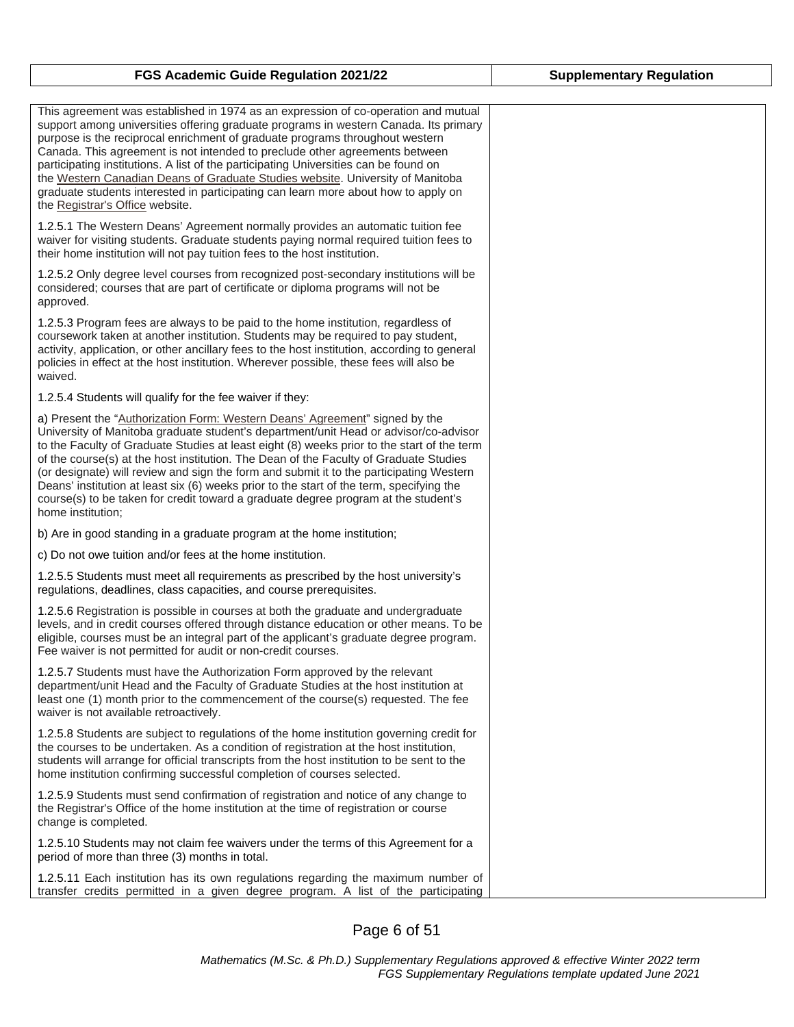| This agreement was established in 1974 as an expression of co-operation and mutual<br>support among universities offering graduate programs in western Canada. Its primary<br>purpose is the reciprocal enrichment of graduate programs throughout western<br>Canada. This agreement is not intended to preclude other agreements between<br>participating institutions. A list of the participating Universities can be found on<br>the Western Canadian Deans of Graduate Studies website. University of Manitoba<br>graduate students interested in participating can learn more about how to apply on<br>the Registrar's Office website.                 |
|--------------------------------------------------------------------------------------------------------------------------------------------------------------------------------------------------------------------------------------------------------------------------------------------------------------------------------------------------------------------------------------------------------------------------------------------------------------------------------------------------------------------------------------------------------------------------------------------------------------------------------------------------------------|
| 1.2.5.1 The Western Deans' Agreement normally provides an automatic tuition fee<br>waiver for visiting students. Graduate students paying normal required tuition fees to<br>their home institution will not pay tuition fees to the host institution.                                                                                                                                                                                                                                                                                                                                                                                                       |
| 1.2.5.2 Only degree level courses from recognized post-secondary institutions will be<br>considered; courses that are part of certificate or diploma programs will not be<br>approved.                                                                                                                                                                                                                                                                                                                                                                                                                                                                       |
| 1.2.5.3 Program fees are always to be paid to the home institution, regardless of<br>coursework taken at another institution. Students may be required to pay student,<br>activity, application, or other ancillary fees to the host institution, according to general<br>policies in effect at the host institution. Wherever possible, these fees will also be<br>waived.                                                                                                                                                                                                                                                                                  |
| 1.2.5.4 Students will qualify for the fee waiver if they:                                                                                                                                                                                                                                                                                                                                                                                                                                                                                                                                                                                                    |
| a) Present the "Authorization Form: Western Deans' Agreement" signed by the<br>University of Manitoba graduate student's department/unit Head or advisor/co-advisor<br>to the Faculty of Graduate Studies at least eight (8) weeks prior to the start of the term<br>of the course(s) at the host institution. The Dean of the Faculty of Graduate Studies<br>(or designate) will review and sign the form and submit it to the participating Western<br>Deans' institution at least six (6) weeks prior to the start of the term, specifying the<br>course(s) to be taken for credit toward a graduate degree program at the student's<br>home institution; |
| b) Are in good standing in a graduate program at the home institution;                                                                                                                                                                                                                                                                                                                                                                                                                                                                                                                                                                                       |
| c) Do not owe tuition and/or fees at the home institution.                                                                                                                                                                                                                                                                                                                                                                                                                                                                                                                                                                                                   |
| 1.2.5.5 Students must meet all requirements as prescribed by the host university's<br>regulations, deadlines, class capacities, and course prerequisites.                                                                                                                                                                                                                                                                                                                                                                                                                                                                                                    |
| 1.2.5.6 Registration is possible in courses at both the graduate and undergraduate<br>levels, and in credit courses offered through distance education or other means. To be<br>eligible, courses must be an integral part of the applicant's graduate degree program.<br>Fee waiver is not permitted for audit or non-credit courses.                                                                                                                                                                                                                                                                                                                       |
| 1.2.5.7 Students must have the Authorization Form approved by the relevant<br>department/unit Head and the Faculty of Graduate Studies at the host institution at<br>least one (1) month prior to the commencement of the course(s) requested. The fee<br>waiver is not available retroactively.                                                                                                                                                                                                                                                                                                                                                             |
| 1.2.5.8 Students are subject to regulations of the home institution governing credit for<br>the courses to be undertaken. As a condition of registration at the host institution,<br>students will arrange for official transcripts from the host institution to be sent to the<br>home institution confirming successful completion of courses selected.                                                                                                                                                                                                                                                                                                    |
| 1.2.5.9 Students must send confirmation of registration and notice of any change to<br>the Registrar's Office of the home institution at the time of registration or course<br>change is completed.                                                                                                                                                                                                                                                                                                                                                                                                                                                          |
| 1.2.5.10 Students may not claim fee waivers under the terms of this Agreement for a<br>period of more than three (3) months in total.                                                                                                                                                                                                                                                                                                                                                                                                                                                                                                                        |
| 1.2.5.11 Each institution has its own regulations regarding the maximum number of<br>transfer credits permitted in a given degree program. A list of the participating                                                                                                                                                                                                                                                                                                                                                                                                                                                                                       |

Page 6 of 51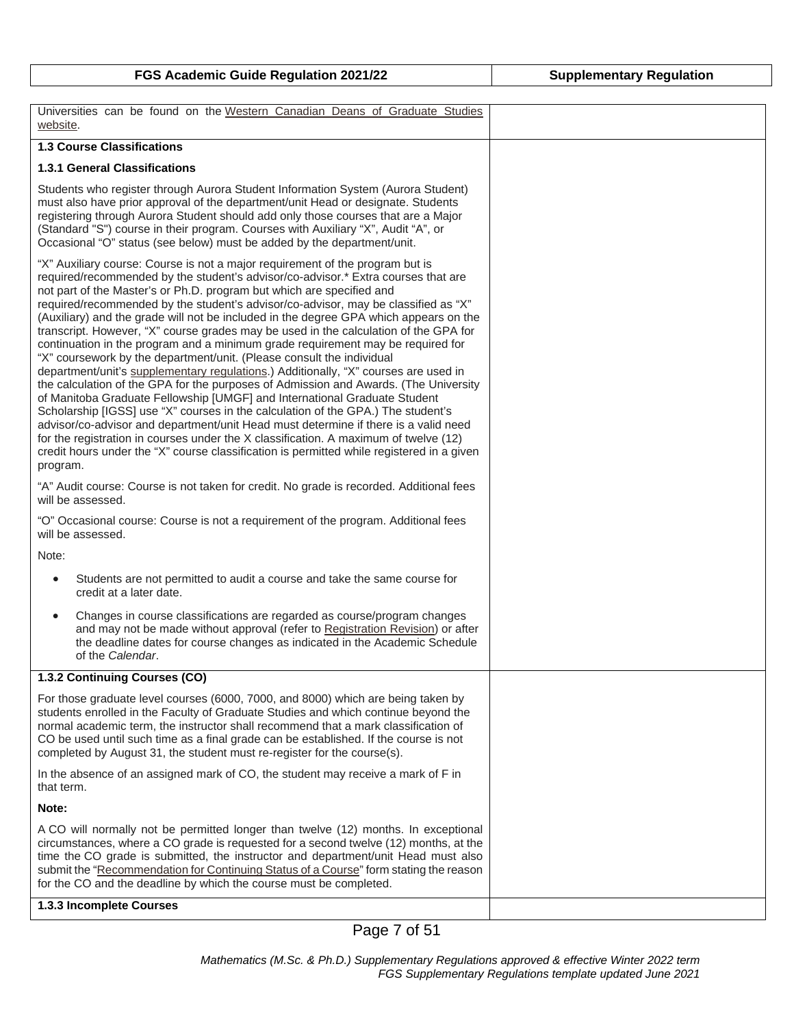| Universities can be found on the Western Canadian Deans of Graduate Studies<br>website.                                                                                                                                                                                                                                                                                                                                                                                                                                                                                                                                                                                                                                                                                                                                                                                                                                                                                                                                                                                                                                                                                                                                                                                                                                |  |
|------------------------------------------------------------------------------------------------------------------------------------------------------------------------------------------------------------------------------------------------------------------------------------------------------------------------------------------------------------------------------------------------------------------------------------------------------------------------------------------------------------------------------------------------------------------------------------------------------------------------------------------------------------------------------------------------------------------------------------------------------------------------------------------------------------------------------------------------------------------------------------------------------------------------------------------------------------------------------------------------------------------------------------------------------------------------------------------------------------------------------------------------------------------------------------------------------------------------------------------------------------------------------------------------------------------------|--|
| <b>1.3 Course Classifications</b>                                                                                                                                                                                                                                                                                                                                                                                                                                                                                                                                                                                                                                                                                                                                                                                                                                                                                                                                                                                                                                                                                                                                                                                                                                                                                      |  |
| <b>1.3.1 General Classifications</b>                                                                                                                                                                                                                                                                                                                                                                                                                                                                                                                                                                                                                                                                                                                                                                                                                                                                                                                                                                                                                                                                                                                                                                                                                                                                                   |  |
| Students who register through Aurora Student Information System (Aurora Student)<br>must also have prior approval of the department/unit Head or designate. Students<br>registering through Aurora Student should add only those courses that are a Major<br>(Standard "S") course in their program. Courses with Auxiliary "X", Audit "A", or<br>Occasional "O" status (see below) must be added by the department/unit.                                                                                                                                                                                                                                                                                                                                                                                                                                                                                                                                                                                                                                                                                                                                                                                                                                                                                              |  |
| "X" Auxiliary course: Course is not a major requirement of the program but is<br>required/recommended by the student's advisor/co-advisor.* Extra courses that are<br>not part of the Master's or Ph.D. program but which are specified and<br>required/recommended by the student's advisor/co-advisor, may be classified as "X"<br>(Auxiliary) and the grade will not be included in the degree GPA which appears on the<br>transcript. However, "X" course grades may be used in the calculation of the GPA for<br>continuation in the program and a minimum grade requirement may be required for<br>"X" coursework by the department/unit. (Please consult the individual<br>department/unit's supplementary regulations.) Additionally, "X" courses are used in<br>the calculation of the GPA for the purposes of Admission and Awards. (The University<br>of Manitoba Graduate Fellowship [UMGF] and International Graduate Student<br>Scholarship [IGSS] use "X" courses in the calculation of the GPA.) The student's<br>advisor/co-advisor and department/unit Head must determine if there is a valid need<br>for the registration in courses under the X classification. A maximum of twelve (12)<br>credit hours under the "X" course classification is permitted while registered in a given<br>program. |  |
| "A" Audit course: Course is not taken for credit. No grade is recorded. Additional fees<br>will be assessed.                                                                                                                                                                                                                                                                                                                                                                                                                                                                                                                                                                                                                                                                                                                                                                                                                                                                                                                                                                                                                                                                                                                                                                                                           |  |
| "O" Occasional course: Course is not a requirement of the program. Additional fees<br>will be assessed.                                                                                                                                                                                                                                                                                                                                                                                                                                                                                                                                                                                                                                                                                                                                                                                                                                                                                                                                                                                                                                                                                                                                                                                                                |  |
| Note:                                                                                                                                                                                                                                                                                                                                                                                                                                                                                                                                                                                                                                                                                                                                                                                                                                                                                                                                                                                                                                                                                                                                                                                                                                                                                                                  |  |
| Students are not permitted to audit a course and take the same course for<br>$\bullet$<br>credit at a later date.                                                                                                                                                                                                                                                                                                                                                                                                                                                                                                                                                                                                                                                                                                                                                                                                                                                                                                                                                                                                                                                                                                                                                                                                      |  |
| Changes in course classifications are regarded as course/program changes<br>and may not be made without approval (refer to Registration Revision) or after<br>the deadline dates for course changes as indicated in the Academic Schedule<br>of the Calendar.                                                                                                                                                                                                                                                                                                                                                                                                                                                                                                                                                                                                                                                                                                                                                                                                                                                                                                                                                                                                                                                          |  |
| 1.3.2 Continuing Courses (CO)                                                                                                                                                                                                                                                                                                                                                                                                                                                                                                                                                                                                                                                                                                                                                                                                                                                                                                                                                                                                                                                                                                                                                                                                                                                                                          |  |
| For those graduate level courses (6000, 7000, and 8000) which are being taken by<br>students enrolled in the Faculty of Graduate Studies and which continue beyond the<br>normal academic term, the instructor shall recommend that a mark classification of<br>CO be used until such time as a final grade can be established. If the course is not<br>completed by August 31, the student must re-register for the course(s).                                                                                                                                                                                                                                                                                                                                                                                                                                                                                                                                                                                                                                                                                                                                                                                                                                                                                        |  |
| In the absence of an assigned mark of CO, the student may receive a mark of F in<br>that term.                                                                                                                                                                                                                                                                                                                                                                                                                                                                                                                                                                                                                                                                                                                                                                                                                                                                                                                                                                                                                                                                                                                                                                                                                         |  |
| Note:                                                                                                                                                                                                                                                                                                                                                                                                                                                                                                                                                                                                                                                                                                                                                                                                                                                                                                                                                                                                                                                                                                                                                                                                                                                                                                                  |  |
| A CO will normally not be permitted longer than twelve (12) months. In exceptional<br>circumstances, where a CO grade is requested for a second twelve (12) months, at the<br>time the CO grade is submitted, the instructor and department/unit Head must also<br>submit the "Recommendation for Continuing Status of a Course" form stating the reason<br>for the CO and the deadline by which the course must be completed.                                                                                                                                                                                                                                                                                                                                                                                                                                                                                                                                                                                                                                                                                                                                                                                                                                                                                         |  |
| 1.3.3 Incomplete Courses                                                                                                                                                                                                                                                                                                                                                                                                                                                                                                                                                                                                                                                                                                                                                                                                                                                                                                                                                                                                                                                                                                                                                                                                                                                                                               |  |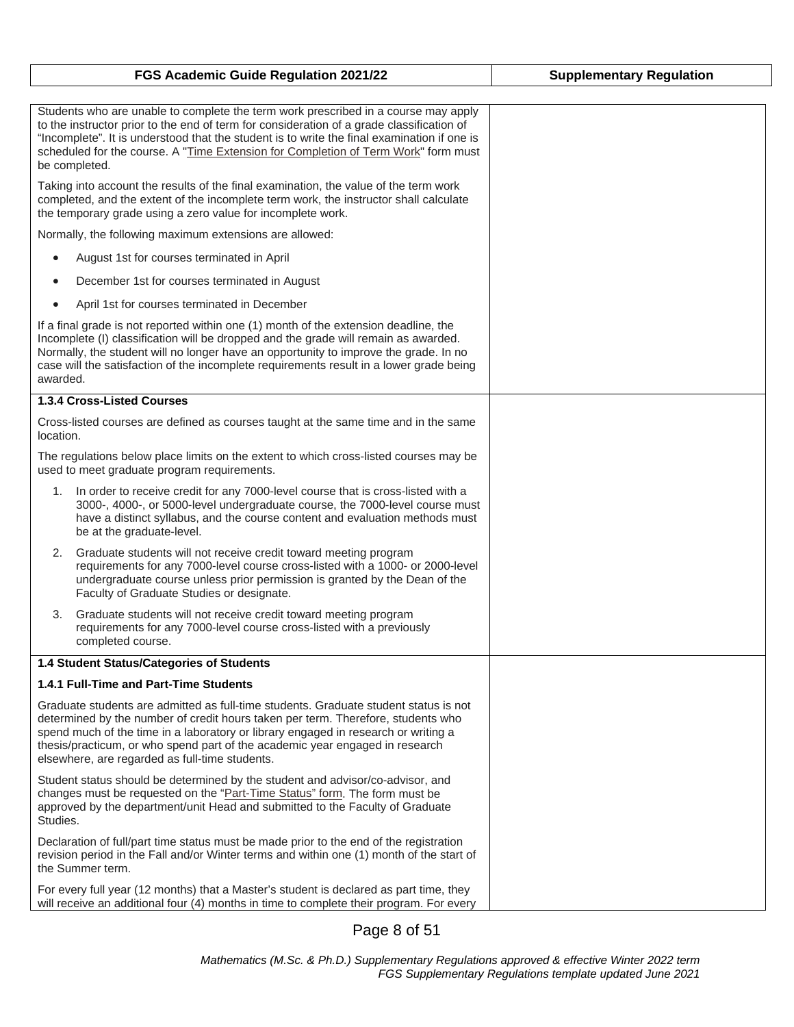| FGS Academic Guide Regulation 2021/22                                                                                                                                                                                                                                                                                                                                                            | <b>Supplementary Regulation</b> |
|--------------------------------------------------------------------------------------------------------------------------------------------------------------------------------------------------------------------------------------------------------------------------------------------------------------------------------------------------------------------------------------------------|---------------------------------|
|                                                                                                                                                                                                                                                                                                                                                                                                  |                                 |
| Students who are unable to complete the term work prescribed in a course may apply<br>to the instructor prior to the end of term for consideration of a grade classification of<br>"Incomplete". It is understood that the student is to write the final examination if one is<br>scheduled for the course. A "Time Extension for Completion of Term Work" form must<br>be completed.            |                                 |
| Taking into account the results of the final examination, the value of the term work<br>completed, and the extent of the incomplete term work, the instructor shall calculate<br>the temporary grade using a zero value for incomplete work.                                                                                                                                                     |                                 |
| Normally, the following maximum extensions are allowed:                                                                                                                                                                                                                                                                                                                                          |                                 |
| August 1st for courses terminated in April<br>$\bullet$                                                                                                                                                                                                                                                                                                                                          |                                 |
| December 1st for courses terminated in August                                                                                                                                                                                                                                                                                                                                                    |                                 |
| April 1st for courses terminated in December<br>$\bullet$                                                                                                                                                                                                                                                                                                                                        |                                 |
| If a final grade is not reported within one (1) month of the extension deadline, the<br>Incomplete (I) classification will be dropped and the grade will remain as awarded.<br>Normally, the student will no longer have an opportunity to improve the grade. In no<br>case will the satisfaction of the incomplete requirements result in a lower grade being<br>awarded.                       |                                 |
| 1.3.4 Cross-Listed Courses                                                                                                                                                                                                                                                                                                                                                                       |                                 |
| Cross-listed courses are defined as courses taught at the same time and in the same<br>location.                                                                                                                                                                                                                                                                                                 |                                 |
| The regulations below place limits on the extent to which cross-listed courses may be<br>used to meet graduate program requirements.                                                                                                                                                                                                                                                             |                                 |
| In order to receive credit for any 7000-level course that is cross-listed with a<br>1.<br>3000-, 4000-, or 5000-level undergraduate course, the 7000-level course must<br>have a distinct syllabus, and the course content and evaluation methods must<br>be at the graduate-level.                                                                                                              |                                 |
| 2.<br>Graduate students will not receive credit toward meeting program<br>requirements for any 7000-level course cross-listed with a 1000- or 2000-level<br>undergraduate course unless prior permission is granted by the Dean of the<br>Faculty of Graduate Studies or designate.                                                                                                              |                                 |
| Graduate students will not receive credit toward meeting program<br>3.<br>requirements for any 7000-level course cross-listed with a previously<br>completed course.                                                                                                                                                                                                                             |                                 |
| 1.4 Student Status/Categories of Students                                                                                                                                                                                                                                                                                                                                                        |                                 |
| 1.4.1 Full-Time and Part-Time Students                                                                                                                                                                                                                                                                                                                                                           |                                 |
| Graduate students are admitted as full-time students. Graduate student status is not<br>determined by the number of credit hours taken per term. Therefore, students who<br>spend much of the time in a laboratory or library engaged in research or writing a<br>thesis/practicum, or who spend part of the academic year engaged in research<br>elsewhere, are regarded as full-time students. |                                 |
| Student status should be determined by the student and advisor/co-advisor, and<br>changes must be requested on the "Part-Time Status" form. The form must be<br>approved by the department/unit Head and submitted to the Faculty of Graduate<br>Studies.                                                                                                                                        |                                 |
| Declaration of full/part time status must be made prior to the end of the registration<br>revision period in the Fall and/or Winter terms and within one (1) month of the start of<br>the Summer term.                                                                                                                                                                                           |                                 |
| For every full year (12 months) that a Master's student is declared as part time, they<br>will receive an additional four (4) months in time to complete their program. For every                                                                                                                                                                                                                |                                 |

Page 8 of 51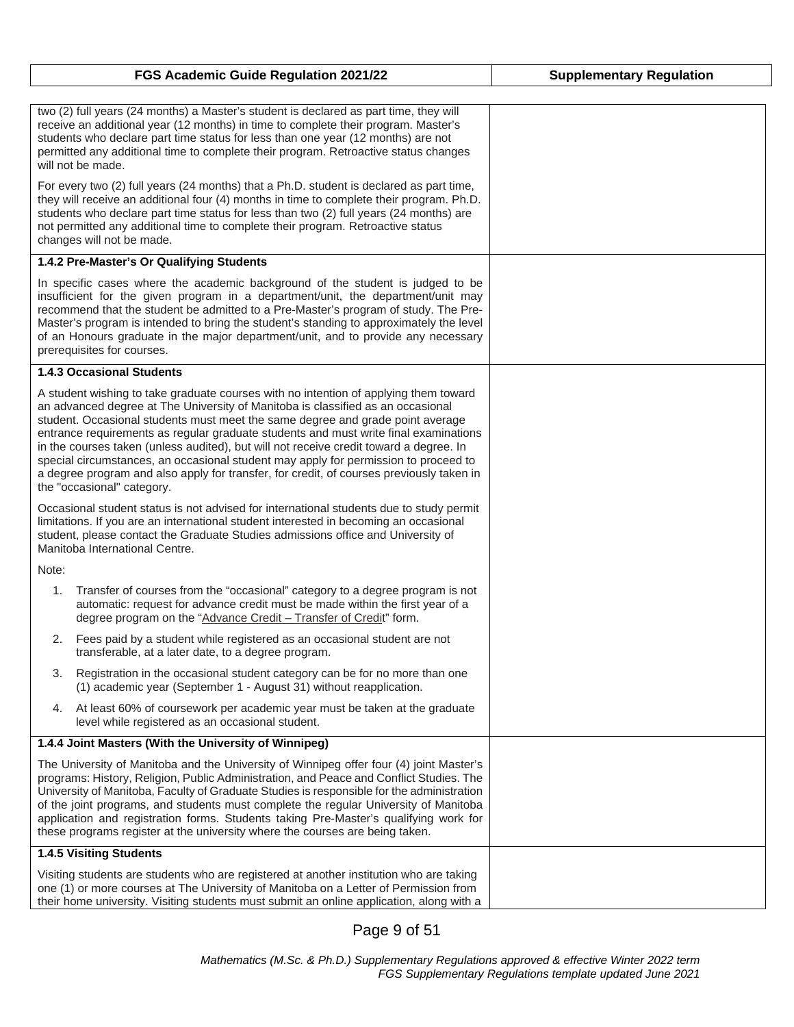| FGS Academic Guide Regulation 2021/22                                                                                                                                                                                                                                                                                                                                                                                                                                                                                                                                                                                                                        | <b>Supplementary Regulation</b> |
|--------------------------------------------------------------------------------------------------------------------------------------------------------------------------------------------------------------------------------------------------------------------------------------------------------------------------------------------------------------------------------------------------------------------------------------------------------------------------------------------------------------------------------------------------------------------------------------------------------------------------------------------------------------|---------------------------------|
|                                                                                                                                                                                                                                                                                                                                                                                                                                                                                                                                                                                                                                                              |                                 |
| two (2) full years (24 months) a Master's student is declared as part time, they will<br>receive an additional year (12 months) in time to complete their program. Master's<br>students who declare part time status for less than one year (12 months) are not<br>permitted any additional time to complete their program. Retroactive status changes<br>will not be made.                                                                                                                                                                                                                                                                                  |                                 |
| For every two (2) full years (24 months) that a Ph.D. student is declared as part time,<br>they will receive an additional four (4) months in time to complete their program. Ph.D.<br>students who declare part time status for less than two (2) full years (24 months) are<br>not permitted any additional time to complete their program. Retroactive status<br>changes will not be made.                                                                                                                                                                                                                                                                |                                 |
| 1.4.2 Pre-Master's Or Qualifying Students                                                                                                                                                                                                                                                                                                                                                                                                                                                                                                                                                                                                                    |                                 |
| In specific cases where the academic background of the student is judged to be<br>insufficient for the given program in a department/unit, the department/unit may<br>recommend that the student be admitted to a Pre-Master's program of study. The Pre-<br>Master's program is intended to bring the student's standing to approximately the level<br>of an Honours graduate in the major department/unit, and to provide any necessary<br>prerequisites for courses.                                                                                                                                                                                      |                                 |
| <b>1.4.3 Occasional Students</b>                                                                                                                                                                                                                                                                                                                                                                                                                                                                                                                                                                                                                             |                                 |
| A student wishing to take graduate courses with no intention of applying them toward<br>an advanced degree at The University of Manitoba is classified as an occasional<br>student. Occasional students must meet the same degree and grade point average<br>entrance requirements as regular graduate students and must write final examinations<br>in the courses taken (unless audited), but will not receive credit toward a degree. In<br>special circumstances, an occasional student may apply for permission to proceed to<br>a degree program and also apply for transfer, for credit, of courses previously taken in<br>the "occasional" category. |                                 |
| Occasional student status is not advised for international students due to study permit<br>limitations. If you are an international student interested in becoming an occasional<br>student, please contact the Graduate Studies admissions office and University of<br>Manitoba International Centre.                                                                                                                                                                                                                                                                                                                                                       |                                 |
| Note:                                                                                                                                                                                                                                                                                                                                                                                                                                                                                                                                                                                                                                                        |                                 |
| 1.<br>Transfer of courses from the "occasional" category to a degree program is not<br>automatic: request for advance credit must be made within the first year of a<br>degree program on the "Advance Credit - Transfer of Credit" form.                                                                                                                                                                                                                                                                                                                                                                                                                    |                                 |
| Fees paid by a student while registered as an occasional student are not<br>2.<br>transferable, at a later date, to a degree program.                                                                                                                                                                                                                                                                                                                                                                                                                                                                                                                        |                                 |
| 3.<br>Registration in the occasional student category can be for no more than one<br>(1) academic year (September 1 - August 31) without reapplication.                                                                                                                                                                                                                                                                                                                                                                                                                                                                                                      |                                 |
| At least 60% of coursework per academic year must be taken at the graduate<br>4.<br>level while registered as an occasional student.                                                                                                                                                                                                                                                                                                                                                                                                                                                                                                                         |                                 |
| 1.4.4 Joint Masters (With the University of Winnipeg)                                                                                                                                                                                                                                                                                                                                                                                                                                                                                                                                                                                                        |                                 |
| The University of Manitoba and the University of Winnipeg offer four (4) joint Master's<br>programs: History, Religion, Public Administration, and Peace and Conflict Studies. The<br>University of Manitoba, Faculty of Graduate Studies is responsible for the administration<br>of the joint programs, and students must complete the regular University of Manitoba<br>application and registration forms. Students taking Pre-Master's qualifying work for<br>these programs register at the university where the courses are being taken.                                                                                                              |                                 |
| 1.4.5 Visiting Students                                                                                                                                                                                                                                                                                                                                                                                                                                                                                                                                                                                                                                      |                                 |
| Visiting students are students who are registered at another institution who are taking<br>one (1) or more courses at The University of Manitoba on a Letter of Permission from<br>their home university. Visiting students must submit an online application, along with a                                                                                                                                                                                                                                                                                                                                                                                  |                                 |

Page 9 of 51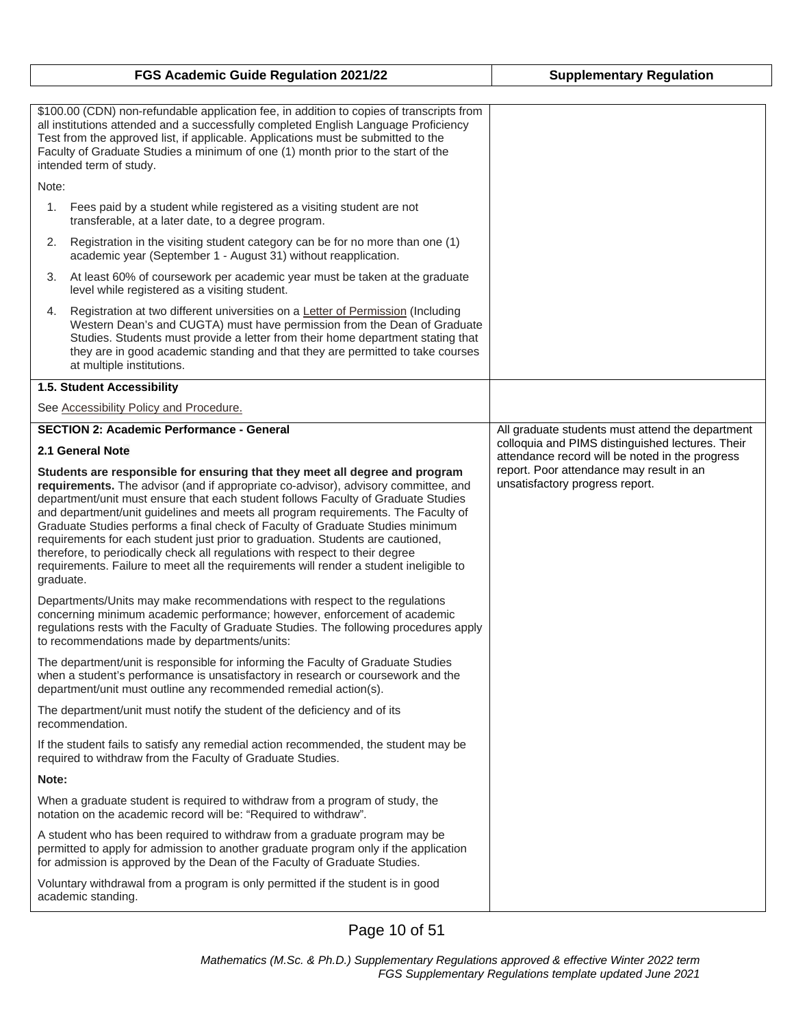|                                                                                                                                                                                                                                                                                                                                                                                                                                                                                                                                                                                                                                                                                                                                                                                  | FGS Academic Guide Regulation 2021/22                                                                                                                                                                                                                                                                                                                         | <b>Supplementary Regulation</b>                                                                                                                                                                                                        |
|----------------------------------------------------------------------------------------------------------------------------------------------------------------------------------------------------------------------------------------------------------------------------------------------------------------------------------------------------------------------------------------------------------------------------------------------------------------------------------------------------------------------------------------------------------------------------------------------------------------------------------------------------------------------------------------------------------------------------------------------------------------------------------|---------------------------------------------------------------------------------------------------------------------------------------------------------------------------------------------------------------------------------------------------------------------------------------------------------------------------------------------------------------|----------------------------------------------------------------------------------------------------------------------------------------------------------------------------------------------------------------------------------------|
| \$100.00 (CDN) non-refundable application fee, in addition to copies of transcripts from<br>all institutions attended and a successfully completed English Language Proficiency<br>Test from the approved list, if applicable. Applications must be submitted to the<br>Faculty of Graduate Studies a minimum of one (1) month prior to the start of the<br>intended term of study.                                                                                                                                                                                                                                                                                                                                                                                              |                                                                                                                                                                                                                                                                                                                                                               |                                                                                                                                                                                                                                        |
| Note:                                                                                                                                                                                                                                                                                                                                                                                                                                                                                                                                                                                                                                                                                                                                                                            |                                                                                                                                                                                                                                                                                                                                                               |                                                                                                                                                                                                                                        |
| 1.                                                                                                                                                                                                                                                                                                                                                                                                                                                                                                                                                                                                                                                                                                                                                                               | Fees paid by a student while registered as a visiting student are not<br>transferable, at a later date, to a degree program.                                                                                                                                                                                                                                  |                                                                                                                                                                                                                                        |
| 2.                                                                                                                                                                                                                                                                                                                                                                                                                                                                                                                                                                                                                                                                                                                                                                               | Registration in the visiting student category can be for no more than one (1)<br>academic year (September 1 - August 31) without reapplication.                                                                                                                                                                                                               |                                                                                                                                                                                                                                        |
| 3.                                                                                                                                                                                                                                                                                                                                                                                                                                                                                                                                                                                                                                                                                                                                                                               | At least 60% of coursework per academic year must be taken at the graduate<br>level while registered as a visiting student.                                                                                                                                                                                                                                   |                                                                                                                                                                                                                                        |
| 4.                                                                                                                                                                                                                                                                                                                                                                                                                                                                                                                                                                                                                                                                                                                                                                               | Registration at two different universities on a Letter of Permission (Including<br>Western Dean's and CUGTA) must have permission from the Dean of Graduate<br>Studies. Students must provide a letter from their home department stating that<br>they are in good academic standing and that they are permitted to take courses<br>at multiple institutions. |                                                                                                                                                                                                                                        |
|                                                                                                                                                                                                                                                                                                                                                                                                                                                                                                                                                                                                                                                                                                                                                                                  | 1.5. Student Accessibility                                                                                                                                                                                                                                                                                                                                    |                                                                                                                                                                                                                                        |
|                                                                                                                                                                                                                                                                                                                                                                                                                                                                                                                                                                                                                                                                                                                                                                                  | See Accessibility Policy and Procedure.                                                                                                                                                                                                                                                                                                                       |                                                                                                                                                                                                                                        |
| <b>SECTION 2: Academic Performance - General</b><br>2.1 General Note<br>Students are responsible for ensuring that they meet all degree and program<br>requirements. The advisor (and if appropriate co-advisor), advisory committee, and<br>department/unit must ensure that each student follows Faculty of Graduate Studies<br>and department/unit guidelines and meets all program requirements. The Faculty of<br>Graduate Studies performs a final check of Faculty of Graduate Studies minimum<br>requirements for each student just prior to graduation. Students are cautioned,<br>therefore, to periodically check all regulations with respect to their degree<br>requirements. Failure to meet all the requirements will render a student ineligible to<br>graduate. |                                                                                                                                                                                                                                                                                                                                                               | All graduate students must attend the department<br>colloquia and PIMS distinguished lectures. Their<br>attendance record will be noted in the progress<br>report. Poor attendance may result in an<br>unsatisfactory progress report. |
| Departments/Units may make recommendations with respect to the regulations<br>concerning minimum academic performance; however, enforcement of academic<br>regulations rests with the Faculty of Graduate Studies. The following procedures apply<br>to recommendations made by departments/units:                                                                                                                                                                                                                                                                                                                                                                                                                                                                               |                                                                                                                                                                                                                                                                                                                                                               |                                                                                                                                                                                                                                        |
| The department/unit is responsible for informing the Faculty of Graduate Studies<br>when a student's performance is unsatisfactory in research or coursework and the<br>department/unit must outline any recommended remedial action(s).                                                                                                                                                                                                                                                                                                                                                                                                                                                                                                                                         |                                                                                                                                                                                                                                                                                                                                                               |                                                                                                                                                                                                                                        |
| The department/unit must notify the student of the deficiency and of its<br>recommendation.                                                                                                                                                                                                                                                                                                                                                                                                                                                                                                                                                                                                                                                                                      |                                                                                                                                                                                                                                                                                                                                                               |                                                                                                                                                                                                                                        |
| If the student fails to satisfy any remedial action recommended, the student may be<br>required to withdraw from the Faculty of Graduate Studies.                                                                                                                                                                                                                                                                                                                                                                                                                                                                                                                                                                                                                                |                                                                                                                                                                                                                                                                                                                                                               |                                                                                                                                                                                                                                        |
| Note:                                                                                                                                                                                                                                                                                                                                                                                                                                                                                                                                                                                                                                                                                                                                                                            |                                                                                                                                                                                                                                                                                                                                                               |                                                                                                                                                                                                                                        |
| When a graduate student is required to withdraw from a program of study, the<br>notation on the academic record will be: "Required to withdraw".                                                                                                                                                                                                                                                                                                                                                                                                                                                                                                                                                                                                                                 |                                                                                                                                                                                                                                                                                                                                                               |                                                                                                                                                                                                                                        |
| A student who has been required to withdraw from a graduate program may be<br>permitted to apply for admission to another graduate program only if the application<br>for admission is approved by the Dean of the Faculty of Graduate Studies.                                                                                                                                                                                                                                                                                                                                                                                                                                                                                                                                  |                                                                                                                                                                                                                                                                                                                                                               |                                                                                                                                                                                                                                        |
| Voluntary withdrawal from a program is only permitted if the student is in good<br>academic standing.                                                                                                                                                                                                                                                                                                                                                                                                                                                                                                                                                                                                                                                                            |                                                                                                                                                                                                                                                                                                                                                               |                                                                                                                                                                                                                                        |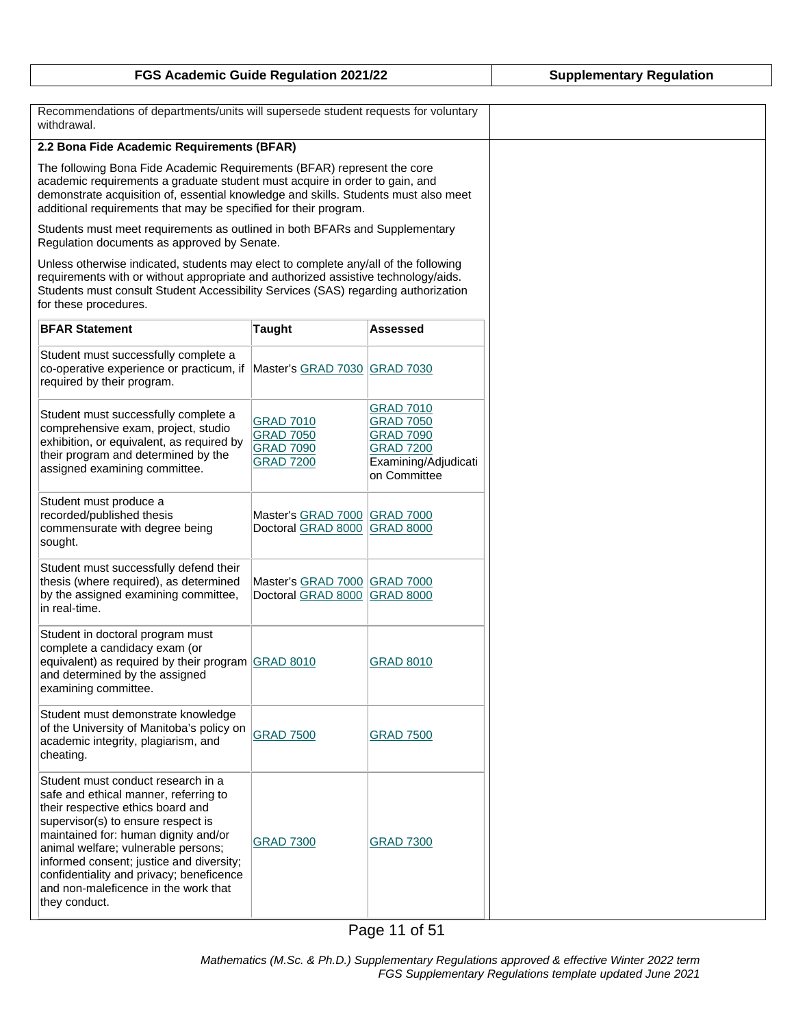| FGS Academic Guide Regulation 2021/22 | <b>Supplementary Regulation</b> |
|---------------------------------------|---------------------------------|
|---------------------------------------|---------------------------------|

| Recommendations of departments/units will supersede student requests for voluntary<br>withdrawal.                                                                                                                                                                                                                                                                                      |                                                                              |                                                                                                                      |  |
|----------------------------------------------------------------------------------------------------------------------------------------------------------------------------------------------------------------------------------------------------------------------------------------------------------------------------------------------------------------------------------------|------------------------------------------------------------------------------|----------------------------------------------------------------------------------------------------------------------|--|
| 2.2 Bona Fide Academic Requirements (BFAR)                                                                                                                                                                                                                                                                                                                                             |                                                                              |                                                                                                                      |  |
| The following Bona Fide Academic Requirements (BFAR) represent the core<br>academic requirements a graduate student must acquire in order to gain, and<br>demonstrate acquisition of, essential knowledge and skills. Students must also meet<br>additional requirements that may be specified for their program.                                                                      |                                                                              |                                                                                                                      |  |
| Students must meet requirements as outlined in both BFARs and Supplementary<br>Regulation documents as approved by Senate.                                                                                                                                                                                                                                                             |                                                                              |                                                                                                                      |  |
| Unless otherwise indicated, students may elect to complete any/all of the following<br>requirements with or without appropriate and authorized assistive technology/aids.<br>Students must consult Student Accessibility Services (SAS) regarding authorization<br>for these procedures.                                                                                               |                                                                              |                                                                                                                      |  |
| <b>BFAR Statement</b>                                                                                                                                                                                                                                                                                                                                                                  | <b>Taught</b>                                                                | Assessed                                                                                                             |  |
| Student must successfully complete a<br>co-operative experience or practicum, if Master's GRAD 7030 GRAD 7030<br>required by their program.                                                                                                                                                                                                                                            |                                                                              |                                                                                                                      |  |
| Student must successfully complete a<br>comprehensive exam, project, studio<br>exhibition, or equivalent, as required by<br>their program and determined by the<br>assigned examining committee.                                                                                                                                                                                       | <b>GRAD 7010</b><br><b>GRAD 7050</b><br><b>GRAD 7090</b><br><b>GRAD 7200</b> | <b>GRAD 7010</b><br><b>GRAD 7050</b><br><b>GRAD 7090</b><br><b>GRAD 7200</b><br>Examining/Adjudicati<br>on Committee |  |
| Student must produce a<br>recorded/published thesis<br>commensurate with degree being<br>sought.                                                                                                                                                                                                                                                                                       | Master's GRAD 7000 GRAD 7000<br>Doctoral GRAD 8000 GRAD 8000                 |                                                                                                                      |  |
| Student must successfully defend their<br>thesis (where required), as determined<br>by the assigned examining committee,<br>in real-time.                                                                                                                                                                                                                                              | Master's GRAD 7000 GRAD 7000<br>Doctoral GRAD 8000                           | <b>GRAD 8000</b>                                                                                                     |  |
| Student in doctoral program must<br>complete a candidacy exam (or<br>equivalent) as required by their program GRAD 8010<br>and determined by the assigned<br>examining committee.                                                                                                                                                                                                      |                                                                              | <b>GRAD 8010</b>                                                                                                     |  |
| Student must demonstrate knowledge<br>of the University of Manitoba's policy on<br>academic integrity, plagiarism, and<br>cheating.                                                                                                                                                                                                                                                    | <b>GRAD 7500</b>                                                             | <b>GRAD 7500</b>                                                                                                     |  |
| Student must conduct research in a<br>safe and ethical manner, referring to<br>their respective ethics board and<br>supervisor(s) to ensure respect is<br>maintained for: human dignity and/or<br>animal welfare; vulnerable persons;<br>informed consent; justice and diversity;<br>confidentiality and privacy; beneficence<br>and non-maleficence in the work that<br>they conduct. | <b>GRAD 7300</b>                                                             | <b>GRAD 7300</b>                                                                                                     |  |

Page 11 of 51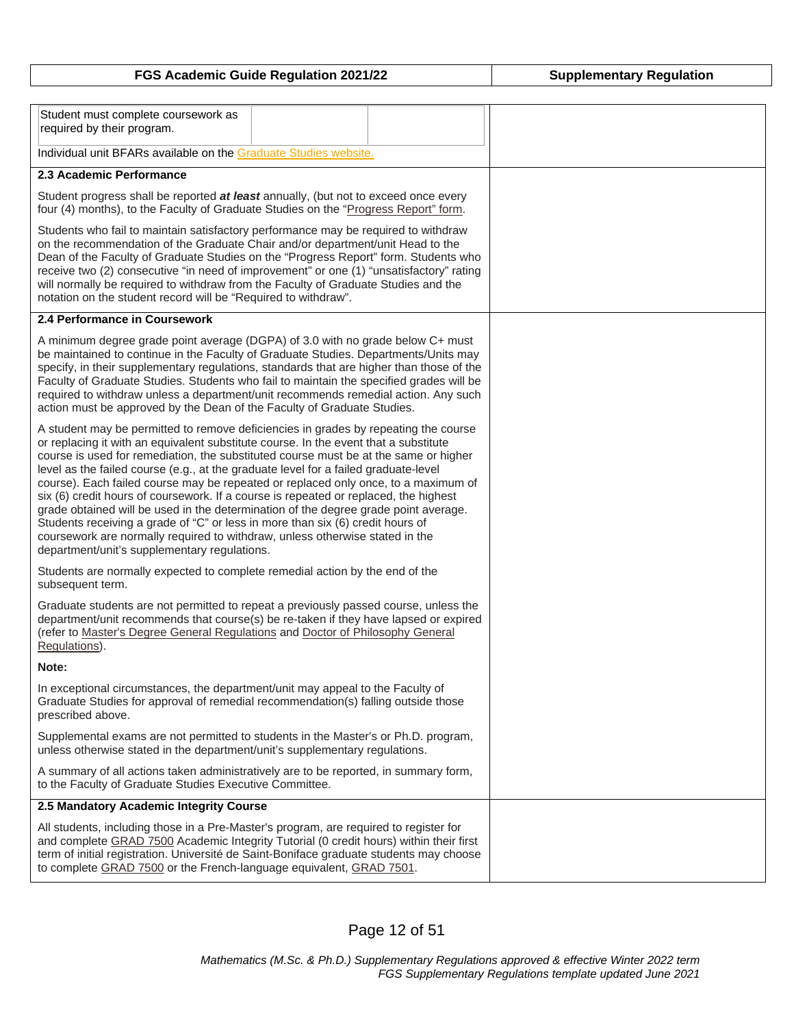| FGS Academic Guide Regulation 2021/22 | <b>Supplementary Regulation</b> |
|---------------------------------------|---------------------------------|
|---------------------------------------|---------------------------------|

| Student must complete coursework as<br>required by their program.                                                                                                                                                                                                                                                                                                                                                                                                                                                                                                                                                                                                                                                                                                                                                                                 |  |  |  |
|---------------------------------------------------------------------------------------------------------------------------------------------------------------------------------------------------------------------------------------------------------------------------------------------------------------------------------------------------------------------------------------------------------------------------------------------------------------------------------------------------------------------------------------------------------------------------------------------------------------------------------------------------------------------------------------------------------------------------------------------------------------------------------------------------------------------------------------------------|--|--|--|
| Individual unit BFARs available on the Graduate Studies website.                                                                                                                                                                                                                                                                                                                                                                                                                                                                                                                                                                                                                                                                                                                                                                                  |  |  |  |
| 2.3 Academic Performance                                                                                                                                                                                                                                                                                                                                                                                                                                                                                                                                                                                                                                                                                                                                                                                                                          |  |  |  |
| Student progress shall be reported at least annually, (but not to exceed once every<br>four (4) months), to the Faculty of Graduate Studies on the "Progress Report" form.                                                                                                                                                                                                                                                                                                                                                                                                                                                                                                                                                                                                                                                                        |  |  |  |
| Students who fail to maintain satisfactory performance may be required to withdraw<br>on the recommendation of the Graduate Chair and/or department/unit Head to the<br>Dean of the Faculty of Graduate Studies on the "Progress Report" form. Students who<br>receive two (2) consecutive "in need of improvement" or one (1) "unsatisfactory" rating<br>will normally be required to withdraw from the Faculty of Graduate Studies and the<br>notation on the student record will be "Required to withdraw".                                                                                                                                                                                                                                                                                                                                    |  |  |  |
| 2.4 Performance in Coursework                                                                                                                                                                                                                                                                                                                                                                                                                                                                                                                                                                                                                                                                                                                                                                                                                     |  |  |  |
| A minimum degree grade point average (DGPA) of 3.0 with no grade below C+ must<br>be maintained to continue in the Faculty of Graduate Studies. Departments/Units may<br>specify, in their supplementary regulations, standards that are higher than those of the<br>Faculty of Graduate Studies. Students who fail to maintain the specified grades will be<br>required to withdraw unless a department/unit recommends remedial action. Any such<br>action must be approved by the Dean of the Faculty of Graduate Studies.                                                                                                                                                                                                                                                                                                                     |  |  |  |
| A student may be permitted to remove deficiencies in grades by repeating the course<br>or replacing it with an equivalent substitute course. In the event that a substitute<br>course is used for remediation, the substituted course must be at the same or higher<br>level as the failed course (e.g., at the graduate level for a failed graduate-level<br>course). Each failed course may be repeated or replaced only once, to a maximum of<br>six (6) credit hours of coursework. If a course is repeated or replaced, the highest<br>grade obtained will be used in the determination of the degree grade point average.<br>Students receiving a grade of "C" or less in more than six (6) credit hours of<br>coursework are normally required to withdraw, unless otherwise stated in the<br>department/unit's supplementary regulations. |  |  |  |
| Students are normally expected to complete remedial action by the end of the<br>subsequent term.                                                                                                                                                                                                                                                                                                                                                                                                                                                                                                                                                                                                                                                                                                                                                  |  |  |  |
| Graduate students are not permitted to repeat a previously passed course, unless the<br>department/unit recommends that course(s) be re-taken if they have lapsed or expired<br>(refer to Master's Degree General Regulations and Doctor of Philosophy General<br>Regulations).                                                                                                                                                                                                                                                                                                                                                                                                                                                                                                                                                                   |  |  |  |
| Note:                                                                                                                                                                                                                                                                                                                                                                                                                                                                                                                                                                                                                                                                                                                                                                                                                                             |  |  |  |
| In exceptional circumstances, the department/unit may appeal to the Faculty of<br>Graduate Studies for approval of remedial recommendation(s) falling outside those<br>prescribed above.                                                                                                                                                                                                                                                                                                                                                                                                                                                                                                                                                                                                                                                          |  |  |  |
| Supplemental exams are not permitted to students in the Master's or Ph.D. program,<br>unless otherwise stated in the department/unit's supplementary regulations.                                                                                                                                                                                                                                                                                                                                                                                                                                                                                                                                                                                                                                                                                 |  |  |  |
| A summary of all actions taken administratively are to be reported, in summary form,<br>to the Faculty of Graduate Studies Executive Committee.                                                                                                                                                                                                                                                                                                                                                                                                                                                                                                                                                                                                                                                                                                   |  |  |  |
| 2.5 Mandatory Academic Integrity Course                                                                                                                                                                                                                                                                                                                                                                                                                                                                                                                                                                                                                                                                                                                                                                                                           |  |  |  |
| All students, including those in a Pre-Master's program, are required to register for<br>and complete GRAD 7500 Academic Integrity Tutorial (0 credit hours) within their first<br>term of initial registration. Université de Saint-Boniface graduate students may choose<br>to complete GRAD 7500 or the French-language equivalent, GRAD 7501.                                                                                                                                                                                                                                                                                                                                                                                                                                                                                                 |  |  |  |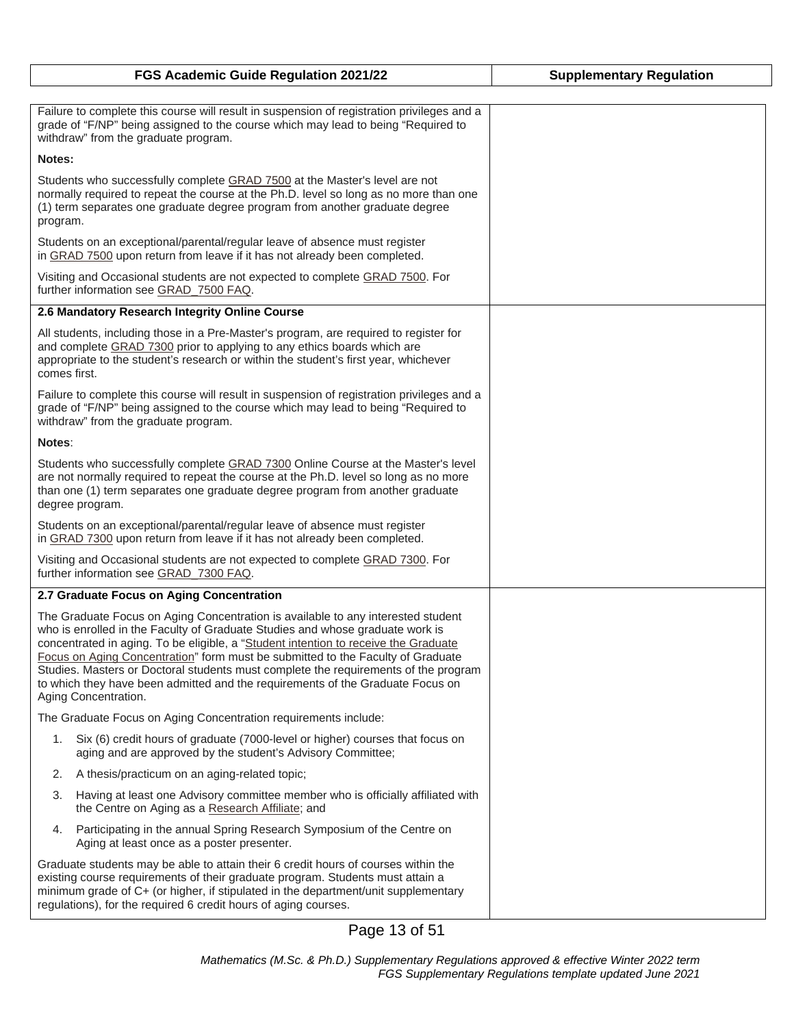| FGS Academic Guide Regulation 2021/22                                                                                                                                                                                                                                                                                                                                                                                                                                                                                                        | <b>Supplementary Regulation</b> |
|----------------------------------------------------------------------------------------------------------------------------------------------------------------------------------------------------------------------------------------------------------------------------------------------------------------------------------------------------------------------------------------------------------------------------------------------------------------------------------------------------------------------------------------------|---------------------------------|
|                                                                                                                                                                                                                                                                                                                                                                                                                                                                                                                                              |                                 |
| Failure to complete this course will result in suspension of registration privileges and a<br>grade of "F/NP" being assigned to the course which may lead to being "Required to<br>withdraw" from the graduate program.                                                                                                                                                                                                                                                                                                                      |                                 |
| Notes:                                                                                                                                                                                                                                                                                                                                                                                                                                                                                                                                       |                                 |
| Students who successfully complete GRAD 7500 at the Master's level are not<br>normally required to repeat the course at the Ph.D. level so long as no more than one<br>(1) term separates one graduate degree program from another graduate degree<br>program.                                                                                                                                                                                                                                                                               |                                 |
| Students on an exceptional/parental/regular leave of absence must register<br>in GRAD 7500 upon return from leave if it has not already been completed.                                                                                                                                                                                                                                                                                                                                                                                      |                                 |
| Visiting and Occasional students are not expected to complete GRAD 7500. For<br>further information see GRAD_7500 FAQ.                                                                                                                                                                                                                                                                                                                                                                                                                       |                                 |
| 2.6 Mandatory Research Integrity Online Course                                                                                                                                                                                                                                                                                                                                                                                                                                                                                               |                                 |
| All students, including those in a Pre-Master's program, are required to register for<br>and complete GRAD 7300 prior to applying to any ethics boards which are<br>appropriate to the student's research or within the student's first year, whichever<br>comes first.                                                                                                                                                                                                                                                                      |                                 |
| Failure to complete this course will result in suspension of registration privileges and a<br>grade of "F/NP" being assigned to the course which may lead to being "Required to<br>withdraw" from the graduate program.                                                                                                                                                                                                                                                                                                                      |                                 |
| Notes:                                                                                                                                                                                                                                                                                                                                                                                                                                                                                                                                       |                                 |
| Students who successfully complete GRAD 7300 Online Course at the Master's level<br>are not normally required to repeat the course at the Ph.D. level so long as no more<br>than one (1) term separates one graduate degree program from another graduate<br>degree program.                                                                                                                                                                                                                                                                 |                                 |
| Students on an exceptional/parental/regular leave of absence must register<br>in GRAD 7300 upon return from leave if it has not already been completed.                                                                                                                                                                                                                                                                                                                                                                                      |                                 |
| Visiting and Occasional students are not expected to complete GRAD 7300. For<br>further information see GRAD_7300 FAQ.                                                                                                                                                                                                                                                                                                                                                                                                                       |                                 |
| 2.7 Graduate Focus on Aging Concentration                                                                                                                                                                                                                                                                                                                                                                                                                                                                                                    |                                 |
| The Graduate Focus on Aging Concentration is available to any interested student<br>who is enrolled in the Faculty of Graduate Studies and whose graduate work is<br>concentrated in aging. To be eligible, a "Student intention to receive the Graduate<br>Focus on Aging Concentration" form must be submitted to the Faculty of Graduate<br>Studies. Masters or Doctoral students must complete the requirements of the program<br>to which they have been admitted and the requirements of the Graduate Focus on<br>Aging Concentration. |                                 |
| The Graduate Focus on Aging Concentration requirements include:                                                                                                                                                                                                                                                                                                                                                                                                                                                                              |                                 |
| Six (6) credit hours of graduate (7000-level or higher) courses that focus on<br>1.<br>aging and are approved by the student's Advisory Committee;                                                                                                                                                                                                                                                                                                                                                                                           |                                 |
| A thesis/practicum on an aging-related topic;<br>2.                                                                                                                                                                                                                                                                                                                                                                                                                                                                                          |                                 |
| Having at least one Advisory committee member who is officially affiliated with<br>3.<br>the Centre on Aging as a Research Affiliate; and                                                                                                                                                                                                                                                                                                                                                                                                    |                                 |
| Participating in the annual Spring Research Symposium of the Centre on<br>4.<br>Aging at least once as a poster presenter.                                                                                                                                                                                                                                                                                                                                                                                                                   |                                 |
| Graduate students may be able to attain their 6 credit hours of courses within the<br>existing course requirements of their graduate program. Students must attain a<br>minimum grade of C+ (or higher, if stipulated in the department/unit supplementary<br>regulations), for the required 6 credit hours of aging courses.                                                                                                                                                                                                                |                                 |

Page 13 of 51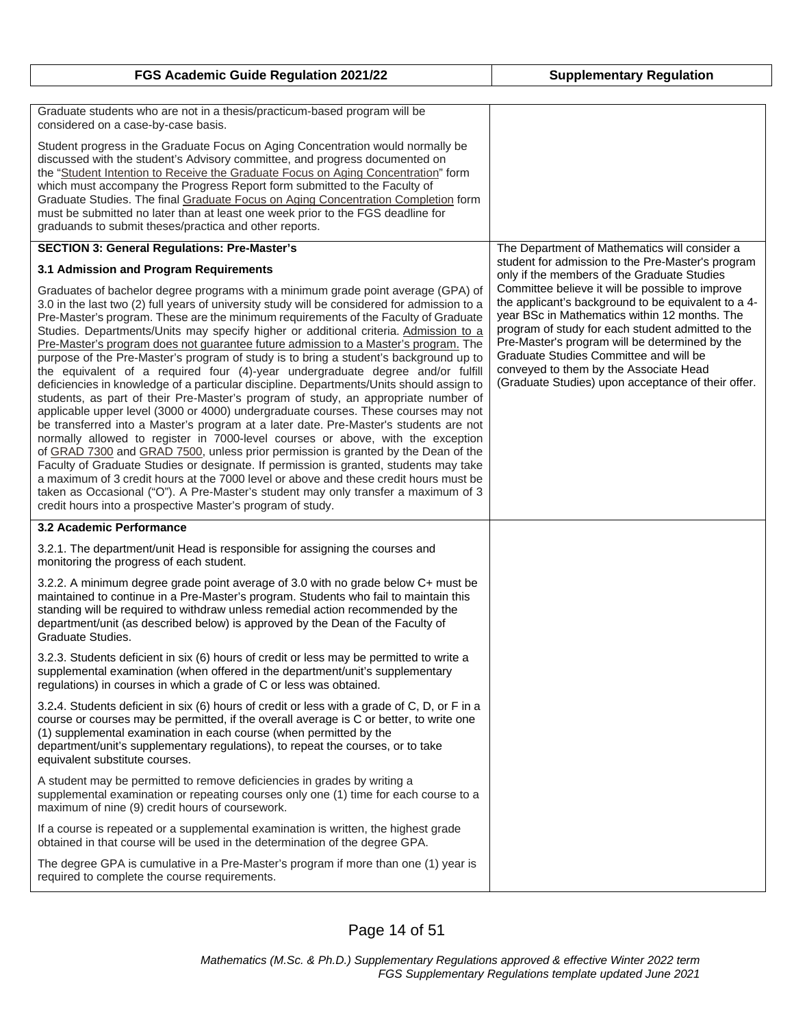|  |  |  | FGS Academic Guide Regulation 2021/22 |  |
|--|--|--|---------------------------------------|--|
|--|--|--|---------------------------------------|--|

**FGS Academic Guide Regulation 2021/22 Supplementary Regulation**

| Graduate students who are not in a thesis/practicum-based program will be<br>considered on a case-by-case basis.                                                                                                                                                                                                                                                                                                                                                                                                                                                                                                                                                                                                                                                                                                                                                                                                                                                                                                                                                                                                                                                                                                                                                                                                                                                                                                                                                                                                  |                                                                                                                                                                                                                                                                                                                                                                                                           |
|-------------------------------------------------------------------------------------------------------------------------------------------------------------------------------------------------------------------------------------------------------------------------------------------------------------------------------------------------------------------------------------------------------------------------------------------------------------------------------------------------------------------------------------------------------------------------------------------------------------------------------------------------------------------------------------------------------------------------------------------------------------------------------------------------------------------------------------------------------------------------------------------------------------------------------------------------------------------------------------------------------------------------------------------------------------------------------------------------------------------------------------------------------------------------------------------------------------------------------------------------------------------------------------------------------------------------------------------------------------------------------------------------------------------------------------------------------------------------------------------------------------------|-----------------------------------------------------------------------------------------------------------------------------------------------------------------------------------------------------------------------------------------------------------------------------------------------------------------------------------------------------------------------------------------------------------|
| Student progress in the Graduate Focus on Aging Concentration would normally be<br>discussed with the student's Advisory committee, and progress documented on<br>the "Student Intention to Receive the Graduate Focus on Aging Concentration" form<br>which must accompany the Progress Report form submitted to the Faculty of<br>Graduate Studies. The final Graduate Focus on Aging Concentration Completion form<br>must be submitted no later than at least one week prior to the FGS deadline for<br>graduands to submit theses/practica and other reports.                                                                                                                                                                                                                                                                                                                                                                                                                                                                                                                                                                                                                                                                                                                                                                                                                                                                                                                                                |                                                                                                                                                                                                                                                                                                                                                                                                           |
| <b>SECTION 3: General Regulations: Pre-Master's</b>                                                                                                                                                                                                                                                                                                                                                                                                                                                                                                                                                                                                                                                                                                                                                                                                                                                                                                                                                                                                                                                                                                                                                                                                                                                                                                                                                                                                                                                               | The Department of Mathematics will consider a<br>student for admission to the Pre-Master's program                                                                                                                                                                                                                                                                                                        |
| 3.1 Admission and Program Requirements                                                                                                                                                                                                                                                                                                                                                                                                                                                                                                                                                                                                                                                                                                                                                                                                                                                                                                                                                                                                                                                                                                                                                                                                                                                                                                                                                                                                                                                                            | only if the members of the Graduate Studies                                                                                                                                                                                                                                                                                                                                                               |
| Graduates of bachelor degree programs with a minimum grade point average (GPA) of<br>3.0 in the last two (2) full years of university study will be considered for admission to a<br>Pre-Master's program. These are the minimum requirements of the Faculty of Graduate<br>Studies. Departments/Units may specify higher or additional criteria. Admission to a<br>Pre-Master's program does not guarantee future admission to a Master's program. The<br>purpose of the Pre-Master's program of study is to bring a student's background up to<br>the equivalent of a required four (4)-year undergraduate degree and/or fulfill<br>deficiencies in knowledge of a particular discipline. Departments/Units should assign to<br>students, as part of their Pre-Master's program of study, an appropriate number of<br>applicable upper level (3000 or 4000) undergraduate courses. These courses may not<br>be transferred into a Master's program at a later date. Pre-Master's students are not<br>normally allowed to register in 7000-level courses or above, with the exception<br>of GRAD 7300 and GRAD 7500, unless prior permission is granted by the Dean of the<br>Faculty of Graduate Studies or designate. If permission is granted, students may take<br>a maximum of 3 credit hours at the 7000 level or above and these credit hours must be<br>taken as Occasional ("O"). A Pre-Master's student may only transfer a maximum of 3<br>credit hours into a prospective Master's program of study. | Committee believe it will be possible to improve<br>the applicant's background to be equivalent to a 4-<br>year BSc in Mathematics within 12 months. The<br>program of study for each student admitted to the<br>Pre-Master's program will be determined by the<br>Graduate Studies Committee and will be<br>conveyed to them by the Associate Head<br>(Graduate Studies) upon acceptance of their offer. |
| 3.2 Academic Performance                                                                                                                                                                                                                                                                                                                                                                                                                                                                                                                                                                                                                                                                                                                                                                                                                                                                                                                                                                                                                                                                                                                                                                                                                                                                                                                                                                                                                                                                                          |                                                                                                                                                                                                                                                                                                                                                                                                           |
| 3.2.1. The department/unit Head is responsible for assigning the courses and<br>monitoring the progress of each student.                                                                                                                                                                                                                                                                                                                                                                                                                                                                                                                                                                                                                                                                                                                                                                                                                                                                                                                                                                                                                                                                                                                                                                                                                                                                                                                                                                                          |                                                                                                                                                                                                                                                                                                                                                                                                           |
| 3.2.2. A minimum degree grade point average of 3.0 with no grade below C+ must be<br>maintained to continue in a Pre-Master's program. Students who fail to maintain this<br>standing will be required to withdraw unless remedial action recommended by the<br>department/unit (as described below) is approved by the Dean of the Faculty of<br>Graduate Studies.                                                                                                                                                                                                                                                                                                                                                                                                                                                                                                                                                                                                                                                                                                                                                                                                                                                                                                                                                                                                                                                                                                                                               |                                                                                                                                                                                                                                                                                                                                                                                                           |
| 3.2.3. Students deficient in six (6) hours of credit or less may be permitted to write a<br>supplemental examination (when offered in the department/unit's supplementary<br>regulations) in courses in which a grade of C or less was obtained.                                                                                                                                                                                                                                                                                                                                                                                                                                                                                                                                                                                                                                                                                                                                                                                                                                                                                                                                                                                                                                                                                                                                                                                                                                                                  |                                                                                                                                                                                                                                                                                                                                                                                                           |
| 3.2.4. Students deficient in six (6) hours of credit or less with a grade of C, D, or F in a<br>course or courses may be permitted, if the overall average is C or better, to write one<br>(1) supplemental examination in each course (when permitted by the<br>department/unit's supplementary regulations), to repeat the courses, or to take<br>equivalent substitute courses.                                                                                                                                                                                                                                                                                                                                                                                                                                                                                                                                                                                                                                                                                                                                                                                                                                                                                                                                                                                                                                                                                                                                |                                                                                                                                                                                                                                                                                                                                                                                                           |
| A student may be permitted to remove deficiencies in grades by writing a<br>supplemental examination or repeating courses only one (1) time for each course to a<br>maximum of nine (9) credit hours of coursework.                                                                                                                                                                                                                                                                                                                                                                                                                                                                                                                                                                                                                                                                                                                                                                                                                                                                                                                                                                                                                                                                                                                                                                                                                                                                                               |                                                                                                                                                                                                                                                                                                                                                                                                           |
| If a course is repeated or a supplemental examination is written, the highest grade<br>obtained in that course will be used in the determination of the degree GPA.                                                                                                                                                                                                                                                                                                                                                                                                                                                                                                                                                                                                                                                                                                                                                                                                                                                                                                                                                                                                                                                                                                                                                                                                                                                                                                                                               |                                                                                                                                                                                                                                                                                                                                                                                                           |
| The degree GPA is cumulative in a Pre-Master's program if more than one (1) year is<br>required to complete the course requirements.                                                                                                                                                                                                                                                                                                                                                                                                                                                                                                                                                                                                                                                                                                                                                                                                                                                                                                                                                                                                                                                                                                                                                                                                                                                                                                                                                                              |                                                                                                                                                                                                                                                                                                                                                                                                           |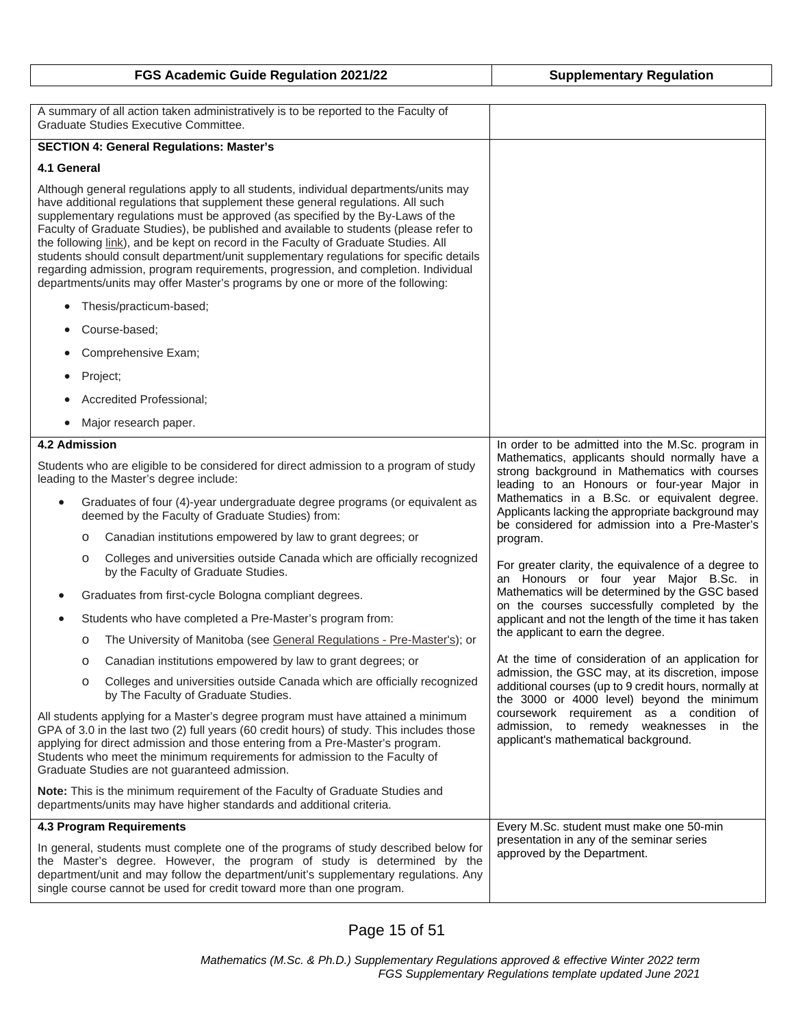|                                                                                                                                                                                                                                                                                                                                                                                                                                                                                                                                                                                                                                                                                                            | A summary of all action taken administratively is to be reported to the Faculty of<br>Graduate Studies Executive Committee.                          |                                                                                                                                                          |
|------------------------------------------------------------------------------------------------------------------------------------------------------------------------------------------------------------------------------------------------------------------------------------------------------------------------------------------------------------------------------------------------------------------------------------------------------------------------------------------------------------------------------------------------------------------------------------------------------------------------------------------------------------------------------------------------------------|------------------------------------------------------------------------------------------------------------------------------------------------------|----------------------------------------------------------------------------------------------------------------------------------------------------------|
|                                                                                                                                                                                                                                                                                                                                                                                                                                                                                                                                                                                                                                                                                                            | <b>SECTION 4: General Regulations: Master's</b>                                                                                                      |                                                                                                                                                          |
| 4.1 General                                                                                                                                                                                                                                                                                                                                                                                                                                                                                                                                                                                                                                                                                                |                                                                                                                                                      |                                                                                                                                                          |
| Although general regulations apply to all students, individual departments/units may<br>have additional regulations that supplement these general regulations. All such<br>supplementary regulations must be approved (as specified by the By-Laws of the<br>Faculty of Graduate Studies), be published and available to students (please refer to<br>the following link), and be kept on record in the Faculty of Graduate Studies. All<br>students should consult department/unit supplementary regulations for specific details<br>regarding admission, program requirements, progression, and completion. Individual<br>departments/units may offer Master's programs by one or more of the following: |                                                                                                                                                      |                                                                                                                                                          |
|                                                                                                                                                                                                                                                                                                                                                                                                                                                                                                                                                                                                                                                                                                            | Thesis/practicum-based;                                                                                                                              |                                                                                                                                                          |
|                                                                                                                                                                                                                                                                                                                                                                                                                                                                                                                                                                                                                                                                                                            | Course-based;                                                                                                                                        |                                                                                                                                                          |
|                                                                                                                                                                                                                                                                                                                                                                                                                                                                                                                                                                                                                                                                                                            | Comprehensive Exam;                                                                                                                                  |                                                                                                                                                          |
| ٠                                                                                                                                                                                                                                                                                                                                                                                                                                                                                                                                                                                                                                                                                                          | Project;                                                                                                                                             |                                                                                                                                                          |
|                                                                                                                                                                                                                                                                                                                                                                                                                                                                                                                                                                                                                                                                                                            | Accredited Professional;                                                                                                                             |                                                                                                                                                          |
| $\bullet$                                                                                                                                                                                                                                                                                                                                                                                                                                                                                                                                                                                                                                                                                                  | Major research paper.                                                                                                                                |                                                                                                                                                          |
| 4.2 Admission                                                                                                                                                                                                                                                                                                                                                                                                                                                                                                                                                                                                                                                                                              |                                                                                                                                                      | In order to be admitted into the M.Sc. program in                                                                                                        |
| Students who are eligible to be considered for direct admission to a program of study<br>leading to the Master's degree include:                                                                                                                                                                                                                                                                                                                                                                                                                                                                                                                                                                           |                                                                                                                                                      | Mathematics, applicants should normally have a<br>strong background in Mathematics with courses<br>leading to an Honours or four-year Major in           |
|                                                                                                                                                                                                                                                                                                                                                                                                                                                                                                                                                                                                                                                                                                            | Graduates of four (4)-year undergraduate degree programs (or equivalent as<br>deemed by the Faculty of Graduate Studies) from:                       | Mathematics in a B.Sc. or equivalent degree.<br>Applicants lacking the appropriate background may<br>be considered for admission into a Pre-Master's     |
|                                                                                                                                                                                                                                                                                                                                                                                                                                                                                                                                                                                                                                                                                                            | Canadian institutions empowered by law to grant degrees; or<br>O                                                                                     | program.                                                                                                                                                 |
|                                                                                                                                                                                                                                                                                                                                                                                                                                                                                                                                                                                                                                                                                                            | Colleges and universities outside Canada which are officially recognized<br>$\circ$<br>by the Faculty of Graduate Studies.                           | For greater clarity, the equivalence of a degree to<br>an Honours or four year Major B.Sc. in                                                            |
|                                                                                                                                                                                                                                                                                                                                                                                                                                                                                                                                                                                                                                                                                                            | Graduates from first-cycle Bologna compliant degrees.                                                                                                | Mathematics will be determined by the GSC based<br>on the courses successfully completed by the<br>applicant and not the length of the time it has taken |
|                                                                                                                                                                                                                                                                                                                                                                                                                                                                                                                                                                                                                                                                                                            | Students who have completed a Pre-Master's program from:                                                                                             |                                                                                                                                                          |
|                                                                                                                                                                                                                                                                                                                                                                                                                                                                                                                                                                                                                                                                                                            | The University of Manitoba (see General Regulations - Pre-Master's); or<br>O                                                                         | the applicant to earn the degree.                                                                                                                        |
|                                                                                                                                                                                                                                                                                                                                                                                                                                                                                                                                                                                                                                                                                                            | Canadian institutions empowered by law to grant degrees; or<br>O                                                                                     | At the time of consideration of an application for<br>admission, the GSC may, at its discretion, impose                                                  |
|                                                                                                                                                                                                                                                                                                                                                                                                                                                                                                                                                                                                                                                                                                            | Colleges and universities outside Canada which are officially recognized<br>$\circ$<br>by The Faculty of Graduate Studies.                           | additional courses (up to 9 credit hours, normally at<br>the 3000 or 4000 level) beyond the minimum                                                      |
| All students applying for a Master's degree program must have attained a minimum<br>GPA of 3.0 in the last two (2) full years (60 credit hours) of study. This includes those<br>applying for direct admission and those entering from a Pre-Master's program.<br>Students who meet the minimum requirements for admission to the Faculty of<br>Graduate Studies are not guaranteed admission.                                                                                                                                                                                                                                                                                                             |                                                                                                                                                      | coursework requirement as a condition of<br>admission, to remedy weaknesses<br>in<br>the<br>applicant's mathematical background.                         |
|                                                                                                                                                                                                                                                                                                                                                                                                                                                                                                                                                                                                                                                                                                            | Note: This is the minimum requirement of the Faculty of Graduate Studies and<br>departments/units may have higher standards and additional criteria. |                                                                                                                                                          |
|                                                                                                                                                                                                                                                                                                                                                                                                                                                                                                                                                                                                                                                                                                            | 4.3 Program Requirements                                                                                                                             | Every M.Sc. student must make one 50-min                                                                                                                 |
| In general, students must complete one of the programs of study described below for<br>the Master's degree. However, the program of study is determined by the<br>department/unit and may follow the department/unit's supplementary regulations. Any<br>single course cannot be used for credit toward more than one program.                                                                                                                                                                                                                                                                                                                                                                             |                                                                                                                                                      | presentation in any of the seminar series<br>approved by the Department.                                                                                 |

**FGS Academic Guide Regulation 2021/22 Supplementary Regulation**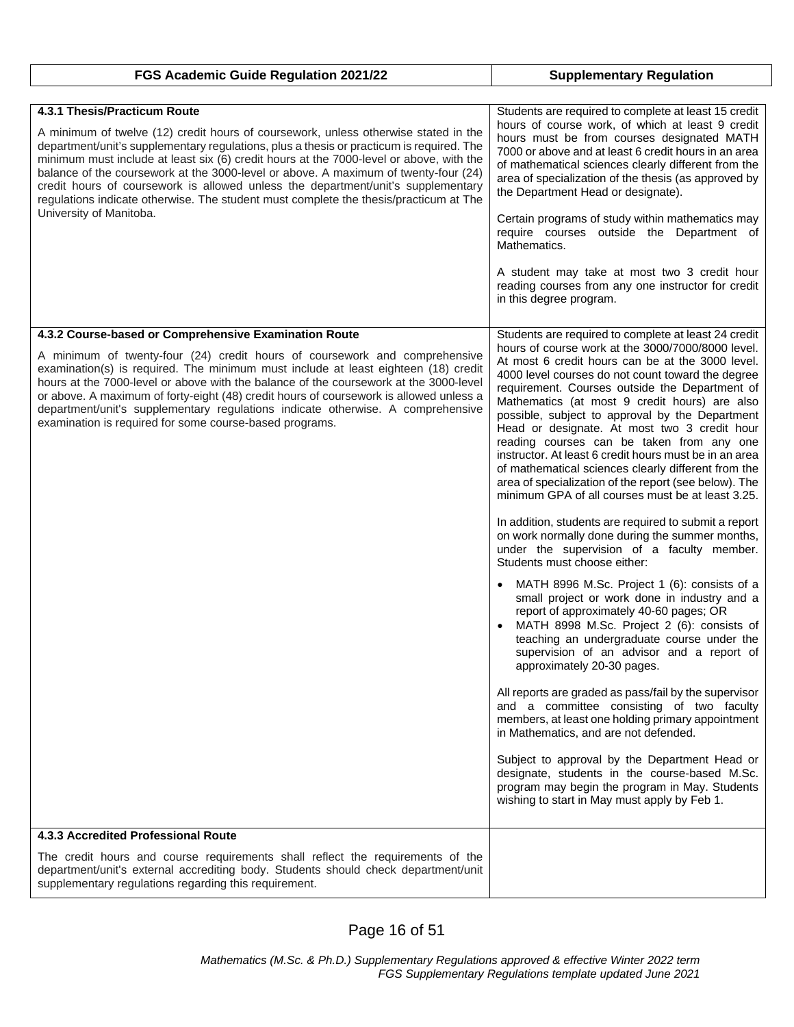| FGS Academic Guide Regulation 2021/22                                                                                                                                                                                                                                                                                                                                                                                                                                                                                                                                                                     | <b>Supplementary Regulation</b>                                                                                                                                                                                                                                                                                                                                                                                                                                                                                                                                                                                                                                                                                                                                                                                                                                                                                                                                                                                                                                                                                                                                                                                                                                                                                                                                                                                                                                                                                                                                  |
|-----------------------------------------------------------------------------------------------------------------------------------------------------------------------------------------------------------------------------------------------------------------------------------------------------------------------------------------------------------------------------------------------------------------------------------------------------------------------------------------------------------------------------------------------------------------------------------------------------------|------------------------------------------------------------------------------------------------------------------------------------------------------------------------------------------------------------------------------------------------------------------------------------------------------------------------------------------------------------------------------------------------------------------------------------------------------------------------------------------------------------------------------------------------------------------------------------------------------------------------------------------------------------------------------------------------------------------------------------------------------------------------------------------------------------------------------------------------------------------------------------------------------------------------------------------------------------------------------------------------------------------------------------------------------------------------------------------------------------------------------------------------------------------------------------------------------------------------------------------------------------------------------------------------------------------------------------------------------------------------------------------------------------------------------------------------------------------------------------------------------------------------------------------------------------------|
|                                                                                                                                                                                                                                                                                                                                                                                                                                                                                                                                                                                                           |                                                                                                                                                                                                                                                                                                                                                                                                                                                                                                                                                                                                                                                                                                                                                                                                                                                                                                                                                                                                                                                                                                                                                                                                                                                                                                                                                                                                                                                                                                                                                                  |
| 4.3.1 Thesis/Practicum Route<br>A minimum of twelve (12) credit hours of coursework, unless otherwise stated in the<br>department/unit's supplementary regulations, plus a thesis or practicum is required. The<br>minimum must include at least six (6) credit hours at the 7000-level or above, with the<br>balance of the coursework at the 3000-level or above. A maximum of twenty-four (24)<br>credit hours of coursework is allowed unless the department/unit's supplementary<br>regulations indicate otherwise. The student must complete the thesis/practicum at The<br>University of Manitoba. | Students are required to complete at least 15 credit<br>hours of course work, of which at least 9 credit<br>hours must be from courses designated MATH<br>7000 or above and at least 6 credit hours in an area<br>of mathematical sciences clearly different from the<br>area of specialization of the thesis (as approved by<br>the Department Head or designate).<br>Certain programs of study within mathematics may<br>require courses outside the Department of<br>Mathematics.<br>A student may take at most two 3 credit hour<br>reading courses from any one instructor for credit<br>in this degree program.                                                                                                                                                                                                                                                                                                                                                                                                                                                                                                                                                                                                                                                                                                                                                                                                                                                                                                                                            |
| 4.3.2 Course-based or Comprehensive Examination Route                                                                                                                                                                                                                                                                                                                                                                                                                                                                                                                                                     | Students are required to complete at least 24 credit                                                                                                                                                                                                                                                                                                                                                                                                                                                                                                                                                                                                                                                                                                                                                                                                                                                                                                                                                                                                                                                                                                                                                                                                                                                                                                                                                                                                                                                                                                             |
| A minimum of twenty-four (24) credit hours of coursework and comprehensive<br>examination(s) is required. The minimum must include at least eighteen (18) credit<br>hours at the 7000-level or above with the balance of the coursework at the 3000-level<br>or above. A maximum of forty-eight (48) credit hours of coursework is allowed unless a<br>department/unit's supplementary regulations indicate otherwise. A comprehensive<br>examination is required for some course-based programs.                                                                                                         | hours of course work at the 3000/7000/8000 level.<br>At most 6 credit hours can be at the 3000 level.<br>4000 level courses do not count toward the degree<br>requirement. Courses outside the Department of<br>Mathematics (at most 9 credit hours) are also<br>possible, subject to approval by the Department<br>Head or designate. At most two 3 credit hour<br>reading courses can be taken from any one<br>instructor. At least 6 credit hours must be in an area<br>of mathematical sciences clearly different from the<br>area of specialization of the report (see below). The<br>minimum GPA of all courses must be at least 3.25.<br>In addition, students are required to submit a report<br>on work normally done during the summer months,<br>under the supervision of a faculty member.<br>Students must choose either:<br>MATH 8996 M.Sc. Project 1 (6): consists of a<br>small project or work done in industry and a<br>report of approximately 40-60 pages; OR<br>MATH 8998 M.Sc. Project 2 (6): consists of<br>teaching an undergraduate course under the<br>supervision of an advisor and a report of<br>approximately 20-30 pages.<br>All reports are graded as pass/fail by the supervisor<br>and a committee consisting of two faculty<br>members, at least one holding primary appointment<br>in Mathematics, and are not defended.<br>Subject to approval by the Department Head or<br>designate, students in the course-based M.Sc.<br>program may begin the program in May. Students<br>wishing to start in May must apply by Feb 1. |
| 4.3.3 Accredited Professional Route                                                                                                                                                                                                                                                                                                                                                                                                                                                                                                                                                                       |                                                                                                                                                                                                                                                                                                                                                                                                                                                                                                                                                                                                                                                                                                                                                                                                                                                                                                                                                                                                                                                                                                                                                                                                                                                                                                                                                                                                                                                                                                                                                                  |
| The credit hours and course requirements shall reflect the requirements of the<br>department/unit's external accrediting body. Students should check department/unit<br>supplementary regulations regarding this requirement.                                                                                                                                                                                                                                                                                                                                                                             |                                                                                                                                                                                                                                                                                                                                                                                                                                                                                                                                                                                                                                                                                                                                                                                                                                                                                                                                                                                                                                                                                                                                                                                                                                                                                                                                                                                                                                                                                                                                                                  |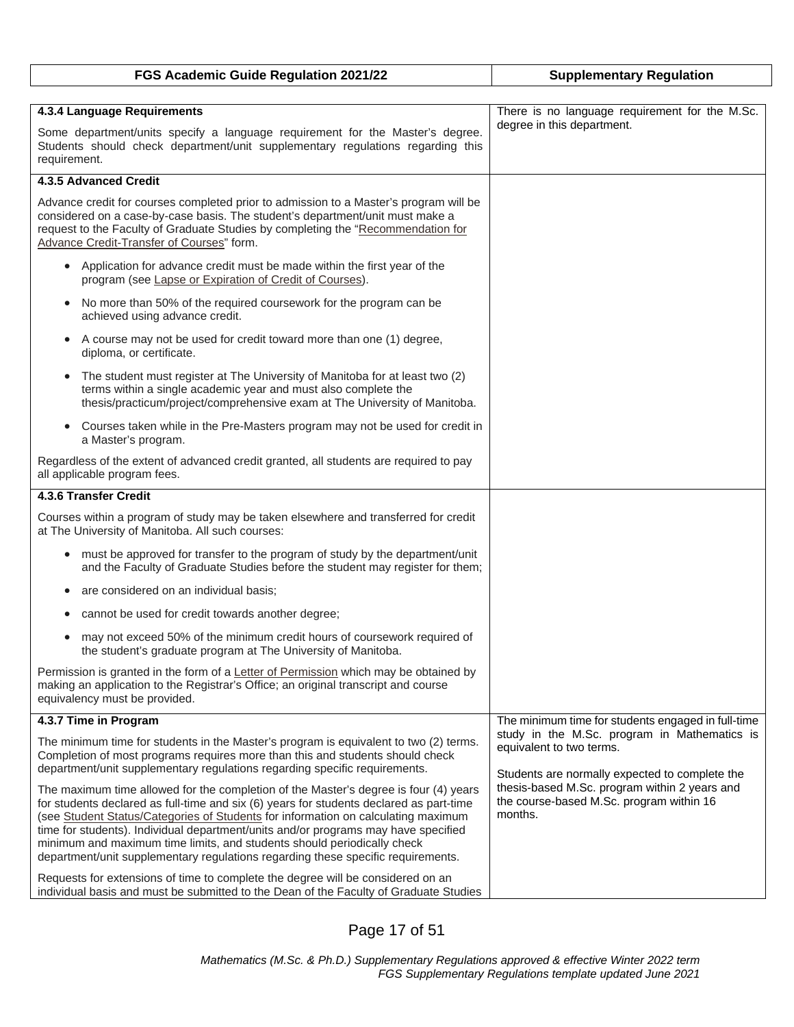| FGS Academic Guide Regulation 2021/22                                                                                                                                                                                                                                                                                                                                                                                                                                                                                     | <b>Supplementary Regulation</b>                                                                                            |
|---------------------------------------------------------------------------------------------------------------------------------------------------------------------------------------------------------------------------------------------------------------------------------------------------------------------------------------------------------------------------------------------------------------------------------------------------------------------------------------------------------------------------|----------------------------------------------------------------------------------------------------------------------------|
|                                                                                                                                                                                                                                                                                                                                                                                                                                                                                                                           |                                                                                                                            |
| 4.3.4 Language Requirements                                                                                                                                                                                                                                                                                                                                                                                                                                                                                               | There is no language requirement for the M.Sc.                                                                             |
| Some department/units specify a language requirement for the Master's degree.<br>Students should check department/unit supplementary regulations regarding this<br>requirement.                                                                                                                                                                                                                                                                                                                                           | degree in this department.                                                                                                 |
| 4.3.5 Advanced Credit                                                                                                                                                                                                                                                                                                                                                                                                                                                                                                     |                                                                                                                            |
| Advance credit for courses completed prior to admission to a Master's program will be<br>considered on a case-by-case basis. The student's department/unit must make a<br>request to the Faculty of Graduate Studies by completing the "Recommendation for<br>Advance Credit-Transfer of Courses" form.                                                                                                                                                                                                                   |                                                                                                                            |
| Application for advance credit must be made within the first year of the<br>$\bullet$<br>program (see Lapse or Expiration of Credit of Courses).                                                                                                                                                                                                                                                                                                                                                                          |                                                                                                                            |
| No more than 50% of the required coursework for the program can be<br>achieved using advance credit.                                                                                                                                                                                                                                                                                                                                                                                                                      |                                                                                                                            |
| A course may not be used for credit toward more than one (1) degree,<br>$\bullet$<br>diploma, or certificate.                                                                                                                                                                                                                                                                                                                                                                                                             |                                                                                                                            |
| The student must register at The University of Manitoba for at least two (2)<br>$\bullet$<br>terms within a single academic year and must also complete the<br>thesis/practicum/project/comprehensive exam at The University of Manitoba.                                                                                                                                                                                                                                                                                 |                                                                                                                            |
| Courses taken while in the Pre-Masters program may not be used for credit in<br>$\bullet$<br>a Master's program.                                                                                                                                                                                                                                                                                                                                                                                                          |                                                                                                                            |
| Regardless of the extent of advanced credit granted, all students are required to pay<br>all applicable program fees.                                                                                                                                                                                                                                                                                                                                                                                                     |                                                                                                                            |
| 4.3.6 Transfer Credit                                                                                                                                                                                                                                                                                                                                                                                                                                                                                                     |                                                                                                                            |
| Courses within a program of study may be taken elsewhere and transferred for credit<br>at The University of Manitoba. All such courses:                                                                                                                                                                                                                                                                                                                                                                                   |                                                                                                                            |
| must be approved for transfer to the program of study by the department/unit<br>٠<br>and the Faculty of Graduate Studies before the student may register for them;                                                                                                                                                                                                                                                                                                                                                        |                                                                                                                            |
| are considered on an individual basis;<br>۰                                                                                                                                                                                                                                                                                                                                                                                                                                                                               |                                                                                                                            |
| cannot be used for credit towards another degree;                                                                                                                                                                                                                                                                                                                                                                                                                                                                         |                                                                                                                            |
| may not exceed 50% of the minimum credit hours of coursework required of<br>the student's graduate program at The University of Manitoba.                                                                                                                                                                                                                                                                                                                                                                                 |                                                                                                                            |
| Permission is granted in the form of a Letter of Permission which may be obtained by<br>making an application to the Registrar's Office; an original transcript and course<br>equivalency must be provided.                                                                                                                                                                                                                                                                                                               |                                                                                                                            |
| 4.3.7 Time in Program                                                                                                                                                                                                                                                                                                                                                                                                                                                                                                     | The minimum time for students engaged in full-time                                                                         |
| The minimum time for students in the Master's program is equivalent to two (2) terms.<br>Completion of most programs requires more than this and students should check<br>department/unit supplementary regulations regarding specific requirements.                                                                                                                                                                                                                                                                      | study in the M.Sc. program in Mathematics is<br>equivalent to two terms.<br>Students are normally expected to complete the |
| The maximum time allowed for the completion of the Master's degree is four (4) years<br>for students declared as full-time and six (6) years for students declared as part-time<br>(see Student Status/Categories of Students for information on calculating maximum<br>time for students). Individual department/units and/or programs may have specified<br>minimum and maximum time limits, and students should periodically check<br>department/unit supplementary regulations regarding these specific requirements. | thesis-based M.Sc. program within 2 years and<br>the course-based M.Sc. program within 16<br>months.                       |
| Requests for extensions of time to complete the degree will be considered on an<br>individual basis and must be submitted to the Dean of the Faculty of Graduate Studies                                                                                                                                                                                                                                                                                                                                                  |                                                                                                                            |

## Page 17 of 51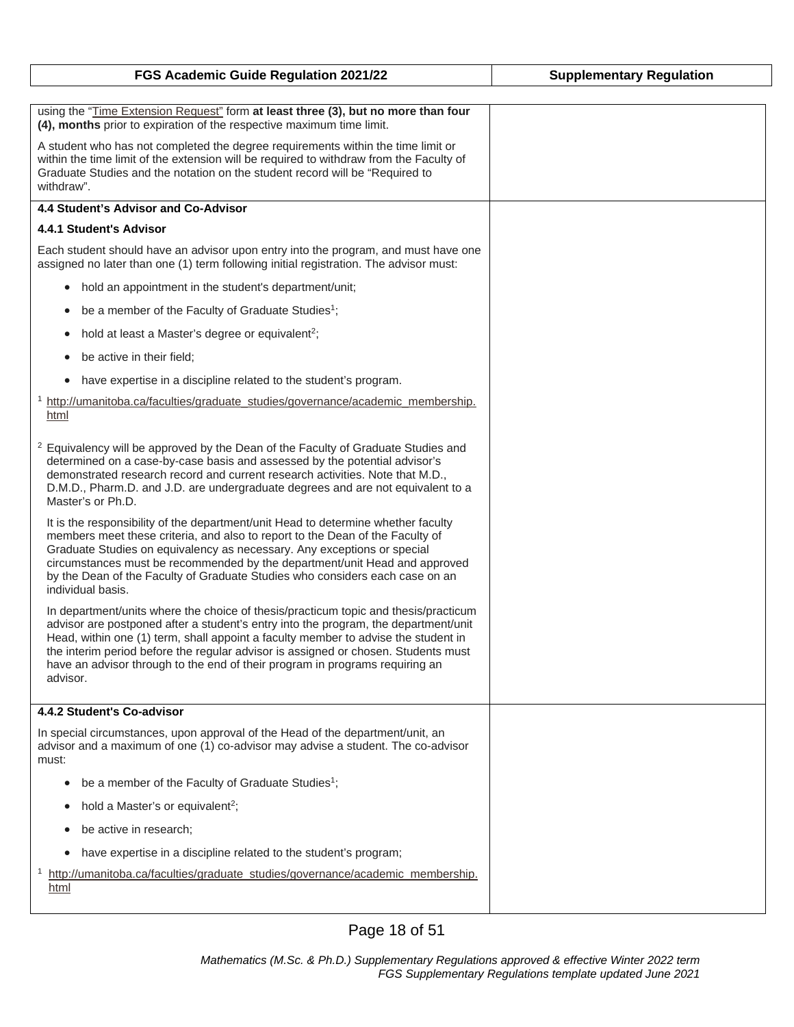| FGS Academic Guide Regulation 2021/22                                                                                                                                                                                                                                                                                                                                                                                                              | <b>Supplementary Regulation</b> |
|----------------------------------------------------------------------------------------------------------------------------------------------------------------------------------------------------------------------------------------------------------------------------------------------------------------------------------------------------------------------------------------------------------------------------------------------------|---------------------------------|
|                                                                                                                                                                                                                                                                                                                                                                                                                                                    |                                 |
| using the "Time Extension Request" form at least three (3), but no more than four<br>(4), months prior to expiration of the respective maximum time limit.                                                                                                                                                                                                                                                                                         |                                 |
| A student who has not completed the degree requirements within the time limit or<br>within the time limit of the extension will be required to withdraw from the Faculty of<br>Graduate Studies and the notation on the student record will be "Required to<br>withdraw".                                                                                                                                                                          |                                 |
| 4.4 Student's Advisor and Co-Advisor                                                                                                                                                                                                                                                                                                                                                                                                               |                                 |
| 4.4.1 Student's Advisor                                                                                                                                                                                                                                                                                                                                                                                                                            |                                 |
| Each student should have an advisor upon entry into the program, and must have one<br>assigned no later than one (1) term following initial registration. The advisor must:                                                                                                                                                                                                                                                                        |                                 |
| hold an appointment in the student's department/unit;<br>$\bullet$                                                                                                                                                                                                                                                                                                                                                                                 |                                 |
| be a member of the Faculty of Graduate Studies <sup>1</sup> ;<br>$\bullet$                                                                                                                                                                                                                                                                                                                                                                         |                                 |
| hold at least a Master's degree or equivalent <sup>2</sup> ;<br>$\bullet$                                                                                                                                                                                                                                                                                                                                                                          |                                 |
| be active in their field;<br>٠                                                                                                                                                                                                                                                                                                                                                                                                                     |                                 |
| have expertise in a discipline related to the student's program.<br>$\bullet$                                                                                                                                                                                                                                                                                                                                                                      |                                 |
| <sup>1</sup> http://umanitoba.ca/faculties/graduate_studies/governance/academic_membership.<br>html                                                                                                                                                                                                                                                                                                                                                |                                 |
| <sup>2</sup> Equivalency will be approved by the Dean of the Faculty of Graduate Studies and<br>determined on a case-by-case basis and assessed by the potential advisor's<br>demonstrated research record and current research activities. Note that M.D.,<br>D.M.D., Pharm.D. and J.D. are undergraduate degrees and are not equivalent to a<br>Master's or Ph.D.                                                                                |                                 |
| It is the responsibility of the department/unit Head to determine whether faculty<br>members meet these criteria, and also to report to the Dean of the Faculty of<br>Graduate Studies on equivalency as necessary. Any exceptions or special<br>circumstances must be recommended by the department/unit Head and approved<br>by the Dean of the Faculty of Graduate Studies who considers each case on an<br>individual basis.                   |                                 |
| In department/units where the choice of thesis/practicum topic and thesis/practicum<br>advisor are postponed after a student's entry into the program, the department/unit<br>Head, within one (1) term, shall appoint a faculty member to advise the student in<br>the interim period before the regular advisor is assigned or chosen. Students must<br>have an advisor through to the end of their program in programs requiring an<br>advisor. |                                 |
| 4.4.2 Student's Co-advisor                                                                                                                                                                                                                                                                                                                                                                                                                         |                                 |
| In special circumstances, upon approval of the Head of the department/unit, an<br>advisor and a maximum of one (1) co-advisor may advise a student. The co-advisor<br>must:                                                                                                                                                                                                                                                                        |                                 |
| be a member of the Faculty of Graduate Studies <sup>1</sup> ;<br>$\bullet$                                                                                                                                                                                                                                                                                                                                                                         |                                 |
| hold a Master's or equivalent <sup>2</sup> ;<br>$\bullet$                                                                                                                                                                                                                                                                                                                                                                                          |                                 |
| be active in research;<br>٠                                                                                                                                                                                                                                                                                                                                                                                                                        |                                 |
| have expertise in a discipline related to the student's program;<br>$\bullet$                                                                                                                                                                                                                                                                                                                                                                      |                                 |
| http://umanitoba.ca/faculties/graduate_studies/governance/academic_membership.<br>$\mathbf{1}$<br>html                                                                                                                                                                                                                                                                                                                                             |                                 |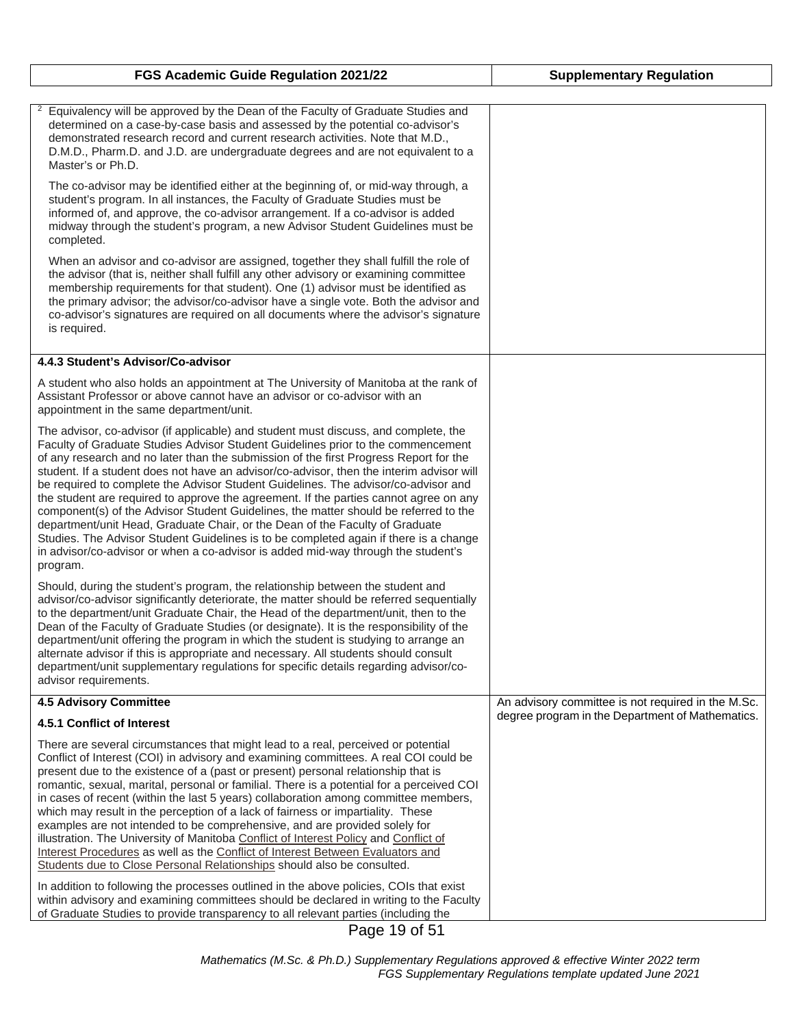| FGS Academic Guide Regulation 2021/22                                                                                                                                                                                                                                                                                                                                                                                                                                                                                                                                                                                                                                                                                                                                                                                                                                                                         | <b>Supplementary Regulation</b>                    |
|---------------------------------------------------------------------------------------------------------------------------------------------------------------------------------------------------------------------------------------------------------------------------------------------------------------------------------------------------------------------------------------------------------------------------------------------------------------------------------------------------------------------------------------------------------------------------------------------------------------------------------------------------------------------------------------------------------------------------------------------------------------------------------------------------------------------------------------------------------------------------------------------------------------|----------------------------------------------------|
|                                                                                                                                                                                                                                                                                                                                                                                                                                                                                                                                                                                                                                                                                                                                                                                                                                                                                                               |                                                    |
| $\mathbf{2}$<br>Equivalency will be approved by the Dean of the Faculty of Graduate Studies and<br>determined on a case-by-case basis and assessed by the potential co-advisor's<br>demonstrated research record and current research activities. Note that M.D.,<br>D.M.D., Pharm.D. and J.D. are undergraduate degrees and are not equivalent to a<br>Master's or Ph.D.                                                                                                                                                                                                                                                                                                                                                                                                                                                                                                                                     |                                                    |
| The co-advisor may be identified either at the beginning of, or mid-way through, a<br>student's program. In all instances, the Faculty of Graduate Studies must be<br>informed of, and approve, the co-advisor arrangement. If a co-advisor is added<br>midway through the student's program, a new Advisor Student Guidelines must be<br>completed.                                                                                                                                                                                                                                                                                                                                                                                                                                                                                                                                                          |                                                    |
| When an advisor and co-advisor are assigned, together they shall fulfill the role of<br>the advisor (that is, neither shall fulfill any other advisory or examining committee<br>membership requirements for that student). One (1) advisor must be identified as<br>the primary advisor; the advisor/co-advisor have a single vote. Both the advisor and<br>co-advisor's signatures are required on all documents where the advisor's signature<br>is required.                                                                                                                                                                                                                                                                                                                                                                                                                                              |                                                    |
| 4.4.3 Student's Advisor/Co-advisor                                                                                                                                                                                                                                                                                                                                                                                                                                                                                                                                                                                                                                                                                                                                                                                                                                                                            |                                                    |
| A student who also holds an appointment at The University of Manitoba at the rank of<br>Assistant Professor or above cannot have an advisor or co-advisor with an<br>appointment in the same department/unit.                                                                                                                                                                                                                                                                                                                                                                                                                                                                                                                                                                                                                                                                                                 |                                                    |
| The advisor, co-advisor (if applicable) and student must discuss, and complete, the<br>Faculty of Graduate Studies Advisor Student Guidelines prior to the commencement<br>of any research and no later than the submission of the first Progress Report for the<br>student. If a student does not have an advisor/co-advisor, then the interim advisor will<br>be required to complete the Advisor Student Guidelines. The advisor/co-advisor and<br>the student are required to approve the agreement. If the parties cannot agree on any<br>component(s) of the Advisor Student Guidelines, the matter should be referred to the<br>department/unit Head, Graduate Chair, or the Dean of the Faculty of Graduate<br>Studies. The Advisor Student Guidelines is to be completed again if there is a change<br>in advisor/co-advisor or when a co-advisor is added mid-way through the student's<br>program. |                                                    |
| Should, during the student's program, the relationship between the student and<br>advisor/co-advisor significantly deteriorate, the matter should be referred sequentially<br>to the department/unit Graduate Chair, the Head of the department/unit, then to the<br>Dean of the Faculty of Graduate Studies (or designate). It is the responsibility of the<br>department/unit offering the program in which the student is studying to arrange an<br>alternate advisor if this is appropriate and necessary. All students should consult<br>department/unit supplementary regulations for specific details regarding advisor/co-<br>advisor requirements.                                                                                                                                                                                                                                                   |                                                    |
| <b>4.5 Advisory Committee</b>                                                                                                                                                                                                                                                                                                                                                                                                                                                                                                                                                                                                                                                                                                                                                                                                                                                                                 | An advisory committee is not required in the M.Sc. |
| 4.5.1 Conflict of Interest                                                                                                                                                                                                                                                                                                                                                                                                                                                                                                                                                                                                                                                                                                                                                                                                                                                                                    | degree program in the Department of Mathematics.   |
| There are several circumstances that might lead to a real, perceived or potential<br>Conflict of Interest (COI) in advisory and examining committees. A real COI could be<br>present due to the existence of a (past or present) personal relationship that is<br>romantic, sexual, marital, personal or familial. There is a potential for a perceived COI<br>in cases of recent (within the last 5 years) collaboration among committee members,<br>which may result in the perception of a lack of fairness or impartiality. These<br>examples are not intended to be comprehensive, and are provided solely for<br>illustration. The University of Manitoba Conflict of Interest Policy and Conflict of<br>Interest Procedures as well as the Conflict of Interest Between Evaluators and<br>Students due to Close Personal Relationships should also be consulted.                                       |                                                    |
| In addition to following the processes outlined in the above policies, COIs that exist<br>within advisory and examining committees should be declared in writing to the Faculty<br>of Graduate Studies to provide transparency to all relevant parties (including the                                                                                                                                                                                                                                                                                                                                                                                                                                                                                                                                                                                                                                         |                                                    |

 $\mathbf{I}$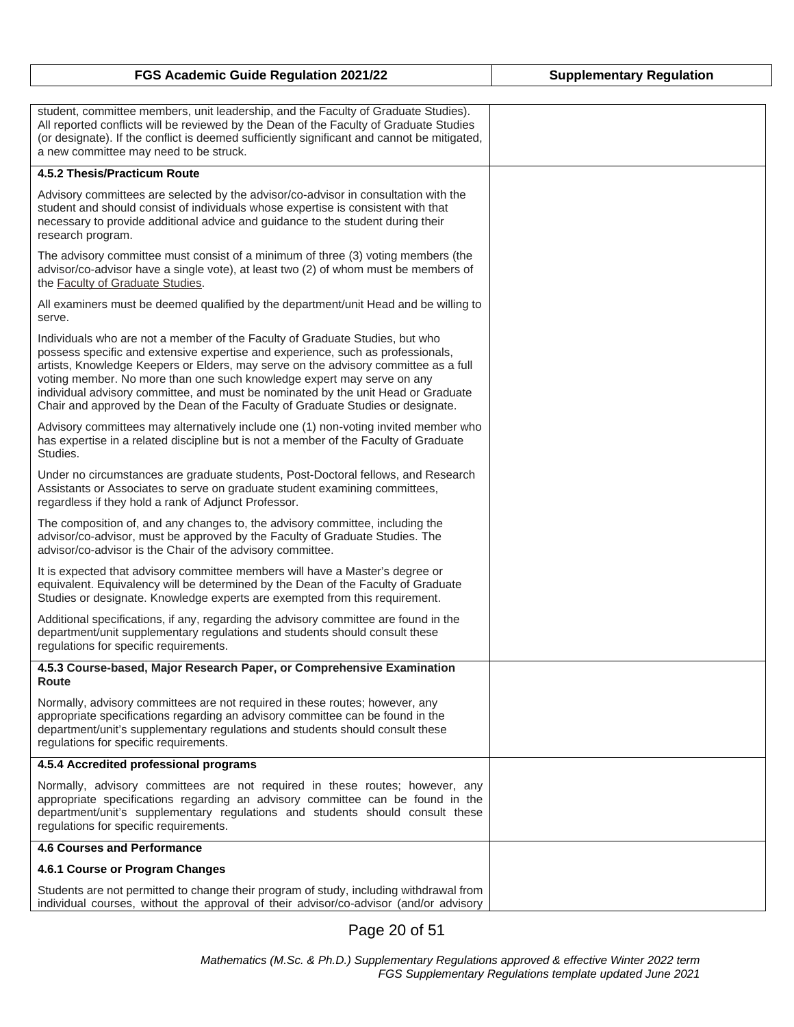| FGS Academic Guide Regulation 2021/22                                                                                                                                                                                                                                                                                                                                                                                                                                                                    | <b>Supplementary Regulation</b> |
|----------------------------------------------------------------------------------------------------------------------------------------------------------------------------------------------------------------------------------------------------------------------------------------------------------------------------------------------------------------------------------------------------------------------------------------------------------------------------------------------------------|---------------------------------|
| student, committee members, unit leadership, and the Faculty of Graduate Studies).<br>All reported conflicts will be reviewed by the Dean of the Faculty of Graduate Studies<br>(or designate). If the conflict is deemed sufficiently significant and cannot be mitigated,<br>a new committee may need to be struck.                                                                                                                                                                                    |                                 |
| 4.5.2 Thesis/Practicum Route                                                                                                                                                                                                                                                                                                                                                                                                                                                                             |                                 |
| Advisory committees are selected by the advisor/co-advisor in consultation with the<br>student and should consist of individuals whose expertise is consistent with that<br>necessary to provide additional advice and guidance to the student during their<br>research program.                                                                                                                                                                                                                         |                                 |
| The advisory committee must consist of a minimum of three (3) voting members (the<br>advisor/co-advisor have a single vote), at least two (2) of whom must be members of<br>the Faculty of Graduate Studies.                                                                                                                                                                                                                                                                                             |                                 |
| All examiners must be deemed qualified by the department/unit Head and be willing to<br>serve.                                                                                                                                                                                                                                                                                                                                                                                                           |                                 |
| Individuals who are not a member of the Faculty of Graduate Studies, but who<br>possess specific and extensive expertise and experience, such as professionals,<br>artists, Knowledge Keepers or Elders, may serve on the advisory committee as a full<br>voting member. No more than one such knowledge expert may serve on any<br>individual advisory committee, and must be nominated by the unit Head or Graduate<br>Chair and approved by the Dean of the Faculty of Graduate Studies or designate. |                                 |
| Advisory committees may alternatively include one (1) non-voting invited member who<br>has expertise in a related discipline but is not a member of the Faculty of Graduate<br>Studies.                                                                                                                                                                                                                                                                                                                  |                                 |
| Under no circumstances are graduate students, Post-Doctoral fellows, and Research<br>Assistants or Associates to serve on graduate student examining committees,<br>regardless if they hold a rank of Adjunct Professor.                                                                                                                                                                                                                                                                                 |                                 |
| The composition of, and any changes to, the advisory committee, including the<br>advisor/co-advisor, must be approved by the Faculty of Graduate Studies. The<br>advisor/co-advisor is the Chair of the advisory committee.                                                                                                                                                                                                                                                                              |                                 |
| It is expected that advisory committee members will have a Master's degree or<br>equivalent. Equivalency will be determined by the Dean of the Faculty of Graduate<br>Studies or designate. Knowledge experts are exempted from this requirement.                                                                                                                                                                                                                                                        |                                 |
| Additional specifications, if any, regarding the advisory committee are found in the<br>department/unit supplementary regulations and students should consult these<br>regulations for specific requirements.                                                                                                                                                                                                                                                                                            |                                 |
| 4.5.3 Course-based, Major Research Paper, or Comprehensive Examination<br><b>Route</b>                                                                                                                                                                                                                                                                                                                                                                                                                   |                                 |
| Normally, advisory committees are not required in these routes; however, any<br>appropriate specifications regarding an advisory committee can be found in the<br>department/unit's supplementary regulations and students should consult these<br>regulations for specific requirements.                                                                                                                                                                                                                |                                 |
| 4.5.4 Accredited professional programs                                                                                                                                                                                                                                                                                                                                                                                                                                                                   |                                 |
| Normally, advisory committees are not required in these routes; however, any<br>appropriate specifications regarding an advisory committee can be found in the<br>department/unit's supplementary regulations and students should consult these<br>regulations for specific requirements.                                                                                                                                                                                                                |                                 |
| <b>4.6 Courses and Performance</b>                                                                                                                                                                                                                                                                                                                                                                                                                                                                       |                                 |
| 4.6.1 Course or Program Changes                                                                                                                                                                                                                                                                                                                                                                                                                                                                          |                                 |
| Students are not permitted to change their program of study, including withdrawal from<br>individual courses, without the approval of their advisor/co-advisor (and/or advisory                                                                                                                                                                                                                                                                                                                          |                                 |

Page 20 of 51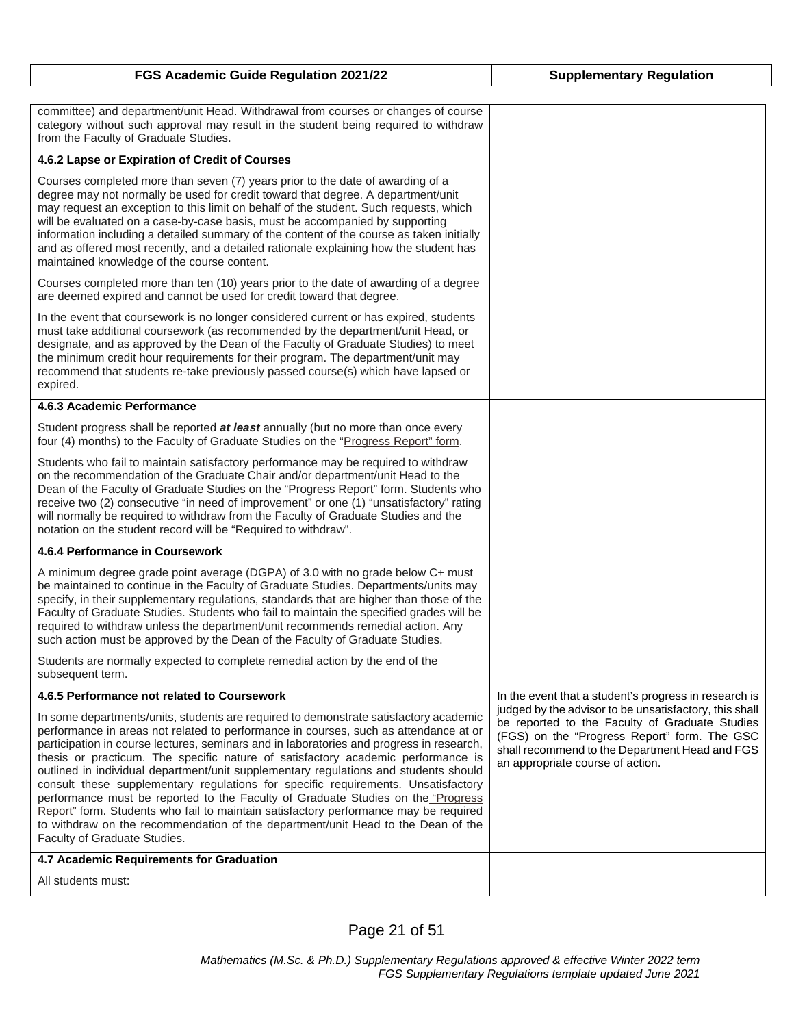| FGS Academic Guide Regulation 2021/22                                                                                                                                                                                                                                                                                                                                                                                                                                                                                                                                                                                                                                                                                                                                                                                                      | <b>Supplementary Regulation</b>                                                                                                                                                                                                                |
|--------------------------------------------------------------------------------------------------------------------------------------------------------------------------------------------------------------------------------------------------------------------------------------------------------------------------------------------------------------------------------------------------------------------------------------------------------------------------------------------------------------------------------------------------------------------------------------------------------------------------------------------------------------------------------------------------------------------------------------------------------------------------------------------------------------------------------------------|------------------------------------------------------------------------------------------------------------------------------------------------------------------------------------------------------------------------------------------------|
|                                                                                                                                                                                                                                                                                                                                                                                                                                                                                                                                                                                                                                                                                                                                                                                                                                            |                                                                                                                                                                                                                                                |
| committee) and department/unit Head. Withdrawal from courses or changes of course<br>category without such approval may result in the student being required to withdraw<br>from the Faculty of Graduate Studies.                                                                                                                                                                                                                                                                                                                                                                                                                                                                                                                                                                                                                          |                                                                                                                                                                                                                                                |
| 4.6.2 Lapse or Expiration of Credit of Courses                                                                                                                                                                                                                                                                                                                                                                                                                                                                                                                                                                                                                                                                                                                                                                                             |                                                                                                                                                                                                                                                |
| Courses completed more than seven (7) years prior to the date of awarding of a<br>degree may not normally be used for credit toward that degree. A department/unit<br>may request an exception to this limit on behalf of the student. Such requests, which<br>will be evaluated on a case-by-case basis, must be accompanied by supporting<br>information including a detailed summary of the content of the course as taken initially<br>and as offered most recently, and a detailed rationale explaining how the student has<br>maintained knowledge of the course content.                                                                                                                                                                                                                                                            |                                                                                                                                                                                                                                                |
| Courses completed more than ten (10) years prior to the date of awarding of a degree<br>are deemed expired and cannot be used for credit toward that degree.                                                                                                                                                                                                                                                                                                                                                                                                                                                                                                                                                                                                                                                                               |                                                                                                                                                                                                                                                |
| In the event that coursework is no longer considered current or has expired, students<br>must take additional coursework (as recommended by the department/unit Head, or<br>designate, and as approved by the Dean of the Faculty of Graduate Studies) to meet<br>the minimum credit hour requirements for their program. The department/unit may<br>recommend that students re-take previously passed course(s) which have lapsed or<br>expired.                                                                                                                                                                                                                                                                                                                                                                                          |                                                                                                                                                                                                                                                |
| 4.6.3 Academic Performance                                                                                                                                                                                                                                                                                                                                                                                                                                                                                                                                                                                                                                                                                                                                                                                                                 |                                                                                                                                                                                                                                                |
| Student progress shall be reported at least annually (but no more than once every<br>four (4) months) to the Faculty of Graduate Studies on the "Progress Report" form.                                                                                                                                                                                                                                                                                                                                                                                                                                                                                                                                                                                                                                                                    |                                                                                                                                                                                                                                                |
| Students who fail to maintain satisfactory performance may be required to withdraw<br>on the recommendation of the Graduate Chair and/or department/unit Head to the<br>Dean of the Faculty of Graduate Studies on the "Progress Report" form. Students who<br>receive two (2) consecutive "in need of improvement" or one (1) "unsatisfactory" rating<br>will normally be required to withdraw from the Faculty of Graduate Studies and the<br>notation on the student record will be "Required to withdraw".                                                                                                                                                                                                                                                                                                                             |                                                                                                                                                                                                                                                |
| 4.6.4 Performance in Coursework                                                                                                                                                                                                                                                                                                                                                                                                                                                                                                                                                                                                                                                                                                                                                                                                            |                                                                                                                                                                                                                                                |
| A minimum degree grade point average (DGPA) of 3.0 with no grade below C+ must<br>be maintained to continue in the Faculty of Graduate Studies. Departments/units may<br>specify, in their supplementary regulations, standards that are higher than those of the<br>Faculty of Graduate Studies. Students who fail to maintain the specified grades will be<br>required to withdraw unless the department/unit recommends remedial action. Any<br>such action must be approved by the Dean of the Faculty of Graduate Studies.                                                                                                                                                                                                                                                                                                            |                                                                                                                                                                                                                                                |
| Students are normally expected to complete remedial action by the end of the<br>subsequent term.                                                                                                                                                                                                                                                                                                                                                                                                                                                                                                                                                                                                                                                                                                                                           |                                                                                                                                                                                                                                                |
| 4.6.5 Performance not related to Coursework                                                                                                                                                                                                                                                                                                                                                                                                                                                                                                                                                                                                                                                                                                                                                                                                | In the event that a student's progress in research is                                                                                                                                                                                          |
| In some departments/units, students are required to demonstrate satisfactory academic<br>performance in areas not related to performance in courses, such as attendance at or<br>participation in course lectures, seminars and in laboratories and progress in research,<br>thesis or practicum. The specific nature of satisfactory academic performance is<br>outlined in individual department/unit supplementary regulations and students should<br>consult these supplementary regulations for specific requirements. Unsatisfactory<br>performance must be reported to the Faculty of Graduate Studies on the "Progress<br>Report" form. Students who fail to maintain satisfactory performance may be required<br>to withdraw on the recommendation of the department/unit Head to the Dean of the<br>Faculty of Graduate Studies. | judged by the advisor to be unsatisfactory, this shall<br>be reported to the Faculty of Graduate Studies<br>(FGS) on the "Progress Report" form. The GSC<br>shall recommend to the Department Head and FGS<br>an appropriate course of action. |
| 4.7 Academic Requirements for Graduation                                                                                                                                                                                                                                                                                                                                                                                                                                                                                                                                                                                                                                                                                                                                                                                                   |                                                                                                                                                                                                                                                |
| All students must:                                                                                                                                                                                                                                                                                                                                                                                                                                                                                                                                                                                                                                                                                                                                                                                                                         |                                                                                                                                                                                                                                                |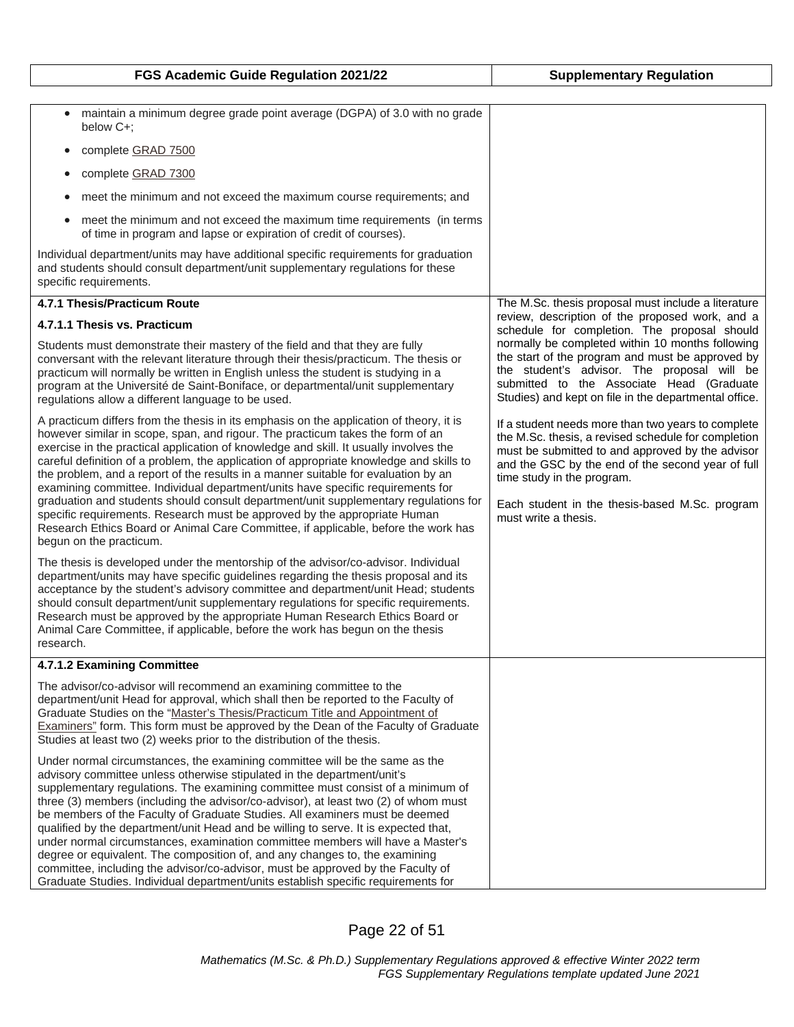| FGS Academic Guide Regulation 2021/22                                                                                                                                                                                                                                                                                                                                                                                                                                                                                                                                                                                                                                                                                                                                                                                                           | <b>Supplementary Regulation</b>                                                                                                                                                                                                                                                                                            |
|-------------------------------------------------------------------------------------------------------------------------------------------------------------------------------------------------------------------------------------------------------------------------------------------------------------------------------------------------------------------------------------------------------------------------------------------------------------------------------------------------------------------------------------------------------------------------------------------------------------------------------------------------------------------------------------------------------------------------------------------------------------------------------------------------------------------------------------------------|----------------------------------------------------------------------------------------------------------------------------------------------------------------------------------------------------------------------------------------------------------------------------------------------------------------------------|
|                                                                                                                                                                                                                                                                                                                                                                                                                                                                                                                                                                                                                                                                                                                                                                                                                                                 |                                                                                                                                                                                                                                                                                                                            |
| maintain a minimum degree grade point average (DGPA) of 3.0 with no grade<br>$\bullet$<br>below C+;                                                                                                                                                                                                                                                                                                                                                                                                                                                                                                                                                                                                                                                                                                                                             |                                                                                                                                                                                                                                                                                                                            |
| complete GRAD 7500<br>$\bullet$                                                                                                                                                                                                                                                                                                                                                                                                                                                                                                                                                                                                                                                                                                                                                                                                                 |                                                                                                                                                                                                                                                                                                                            |
| complete GRAD 7300                                                                                                                                                                                                                                                                                                                                                                                                                                                                                                                                                                                                                                                                                                                                                                                                                              |                                                                                                                                                                                                                                                                                                                            |
| meet the minimum and not exceed the maximum course requirements; and                                                                                                                                                                                                                                                                                                                                                                                                                                                                                                                                                                                                                                                                                                                                                                            |                                                                                                                                                                                                                                                                                                                            |
| meet the minimum and not exceed the maximum time requirements (in terms<br>of time in program and lapse or expiration of credit of courses).                                                                                                                                                                                                                                                                                                                                                                                                                                                                                                                                                                                                                                                                                                    |                                                                                                                                                                                                                                                                                                                            |
| Individual department/units may have additional specific requirements for graduation<br>and students should consult department/unit supplementary regulations for these<br>specific requirements.                                                                                                                                                                                                                                                                                                                                                                                                                                                                                                                                                                                                                                               |                                                                                                                                                                                                                                                                                                                            |
| 4.7.1 Thesis/Practicum Route                                                                                                                                                                                                                                                                                                                                                                                                                                                                                                                                                                                                                                                                                                                                                                                                                    | The M.Sc. thesis proposal must include a literature                                                                                                                                                                                                                                                                        |
| 4.7.1.1 Thesis vs. Practicum                                                                                                                                                                                                                                                                                                                                                                                                                                                                                                                                                                                                                                                                                                                                                                                                                    | review, description of the proposed work, and a<br>schedule for completion. The proposal should                                                                                                                                                                                                                            |
| Students must demonstrate their mastery of the field and that they are fully<br>conversant with the relevant literature through their thesis/practicum. The thesis or<br>practicum will normally be written in English unless the student is studying in a<br>program at the Université de Saint-Boniface, or departmental/unit supplementary<br>regulations allow a different language to be used.                                                                                                                                                                                                                                                                                                                                                                                                                                             | normally be completed within 10 months following<br>the start of the program and must be approved by<br>the student's advisor. The proposal will be<br>submitted to the Associate Head (Graduate<br>Studies) and kept on file in the departmental office.                                                                  |
| A practicum differs from the thesis in its emphasis on the application of theory, it is<br>however similar in scope, span, and rigour. The practicum takes the form of an<br>exercise in the practical application of knowledge and skill. It usually involves the<br>careful definition of a problem, the application of appropriate knowledge and skills to<br>the problem, and a report of the results in a manner suitable for evaluation by an<br>examining committee. Individual department/units have specific requirements for<br>graduation and students should consult department/unit supplementary regulations for<br>specific requirements. Research must be approved by the appropriate Human<br>Research Ethics Board or Animal Care Committee, if applicable, before the work has<br>begun on the practicum.                    | If a student needs more than two years to complete<br>the M.Sc. thesis, a revised schedule for completion<br>must be submitted to and approved by the advisor<br>and the GSC by the end of the second year of full<br>time study in the program.<br>Each student in the thesis-based M.Sc. program<br>must write a thesis. |
| The thesis is developed under the mentorship of the advisor/co-advisor. Individual<br>department/units may have specific guidelines regarding the thesis proposal and its<br>acceptance by the student's advisory committee and department/unit Head; students<br>should consult department/unit supplementary regulations for specific requirements.<br>Research must be approved by the appropriate Human Research Ethics Board or<br>Animal Care Committee, if applicable, before the work has begun on the thesis<br>research.                                                                                                                                                                                                                                                                                                              |                                                                                                                                                                                                                                                                                                                            |
| 4.7.1.2 Examining Committee                                                                                                                                                                                                                                                                                                                                                                                                                                                                                                                                                                                                                                                                                                                                                                                                                     |                                                                                                                                                                                                                                                                                                                            |
| The advisor/co-advisor will recommend an examining committee to the<br>department/unit Head for approval, which shall then be reported to the Faculty of<br>Graduate Studies on the "Master's Thesis/Practicum Title and Appointment of<br>Examiners" form. This form must be approved by the Dean of the Faculty of Graduate<br>Studies at least two (2) weeks prior to the distribution of the thesis.                                                                                                                                                                                                                                                                                                                                                                                                                                        |                                                                                                                                                                                                                                                                                                                            |
| Under normal circumstances, the examining committee will be the same as the<br>advisory committee unless otherwise stipulated in the department/unit's<br>supplementary regulations. The examining committee must consist of a minimum of<br>three (3) members (including the advisor/co-advisor), at least two (2) of whom must<br>be members of the Faculty of Graduate Studies. All examiners must be deemed<br>qualified by the department/unit Head and be willing to serve. It is expected that,<br>under normal circumstances, examination committee members will have a Master's<br>degree or equivalent. The composition of, and any changes to, the examining<br>committee, including the advisor/co-advisor, must be approved by the Faculty of<br>Graduate Studies. Individual department/units establish specific requirements for |                                                                                                                                                                                                                                                                                                                            |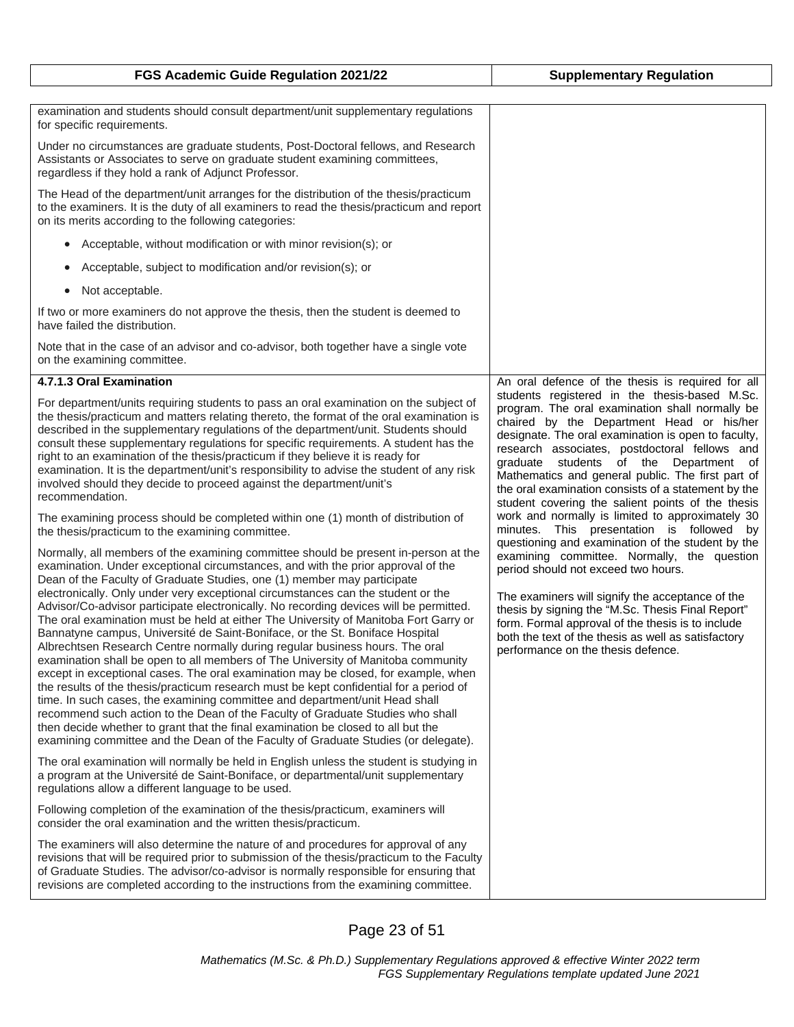| FGS Academic Guide Regulation 2021/22                                                                                                                                                                                                                                                                                                                                                                                                                                                                                                                                                                                                                                                                                                                                                                                                                                                                                                                                                                                                                                                                                                                                                                                                                                                                   | <b>Supplementary Regulation</b>                                                                                                                                                                                                                                                                                                                                                                                 |
|---------------------------------------------------------------------------------------------------------------------------------------------------------------------------------------------------------------------------------------------------------------------------------------------------------------------------------------------------------------------------------------------------------------------------------------------------------------------------------------------------------------------------------------------------------------------------------------------------------------------------------------------------------------------------------------------------------------------------------------------------------------------------------------------------------------------------------------------------------------------------------------------------------------------------------------------------------------------------------------------------------------------------------------------------------------------------------------------------------------------------------------------------------------------------------------------------------------------------------------------------------------------------------------------------------|-----------------------------------------------------------------------------------------------------------------------------------------------------------------------------------------------------------------------------------------------------------------------------------------------------------------------------------------------------------------------------------------------------------------|
|                                                                                                                                                                                                                                                                                                                                                                                                                                                                                                                                                                                                                                                                                                                                                                                                                                                                                                                                                                                                                                                                                                                                                                                                                                                                                                         |                                                                                                                                                                                                                                                                                                                                                                                                                 |
| examination and students should consult department/unit supplementary regulations<br>for specific requirements.                                                                                                                                                                                                                                                                                                                                                                                                                                                                                                                                                                                                                                                                                                                                                                                                                                                                                                                                                                                                                                                                                                                                                                                         |                                                                                                                                                                                                                                                                                                                                                                                                                 |
| Under no circumstances are graduate students, Post-Doctoral fellows, and Research<br>Assistants or Associates to serve on graduate student examining committees,<br>regardless if they hold a rank of Adjunct Professor.                                                                                                                                                                                                                                                                                                                                                                                                                                                                                                                                                                                                                                                                                                                                                                                                                                                                                                                                                                                                                                                                                |                                                                                                                                                                                                                                                                                                                                                                                                                 |
| The Head of the department/unit arranges for the distribution of the thesis/practicum<br>to the examiners. It is the duty of all examiners to read the thesis/practicum and report<br>on its merits according to the following categories:                                                                                                                                                                                                                                                                                                                                                                                                                                                                                                                                                                                                                                                                                                                                                                                                                                                                                                                                                                                                                                                              |                                                                                                                                                                                                                                                                                                                                                                                                                 |
| Acceptable, without modification or with minor revision(s); or<br>$\bullet$                                                                                                                                                                                                                                                                                                                                                                                                                                                                                                                                                                                                                                                                                                                                                                                                                                                                                                                                                                                                                                                                                                                                                                                                                             |                                                                                                                                                                                                                                                                                                                                                                                                                 |
| Acceptable, subject to modification and/or revision(s); or<br>۰                                                                                                                                                                                                                                                                                                                                                                                                                                                                                                                                                                                                                                                                                                                                                                                                                                                                                                                                                                                                                                                                                                                                                                                                                                         |                                                                                                                                                                                                                                                                                                                                                                                                                 |
| Not acceptable.<br>$\bullet$                                                                                                                                                                                                                                                                                                                                                                                                                                                                                                                                                                                                                                                                                                                                                                                                                                                                                                                                                                                                                                                                                                                                                                                                                                                                            |                                                                                                                                                                                                                                                                                                                                                                                                                 |
| If two or more examiners do not approve the thesis, then the student is deemed to<br>have failed the distribution.                                                                                                                                                                                                                                                                                                                                                                                                                                                                                                                                                                                                                                                                                                                                                                                                                                                                                                                                                                                                                                                                                                                                                                                      |                                                                                                                                                                                                                                                                                                                                                                                                                 |
| Note that in the case of an advisor and co-advisor, both together have a single vote<br>on the examining committee.                                                                                                                                                                                                                                                                                                                                                                                                                                                                                                                                                                                                                                                                                                                                                                                                                                                                                                                                                                                                                                                                                                                                                                                     |                                                                                                                                                                                                                                                                                                                                                                                                                 |
| 4.7.1.3 Oral Examination                                                                                                                                                                                                                                                                                                                                                                                                                                                                                                                                                                                                                                                                                                                                                                                                                                                                                                                                                                                                                                                                                                                                                                                                                                                                                | An oral defence of the thesis is required for all<br>students registered in the thesis-based M.Sc.                                                                                                                                                                                                                                                                                                              |
| For department/units requiring students to pass an oral examination on the subject of<br>the thesis/practicum and matters relating thereto, the format of the oral examination is<br>described in the supplementary regulations of the department/unit. Students should<br>consult these supplementary regulations for specific requirements. A student has the<br>right to an examination of the thesis/practicum if they believe it is ready for<br>examination. It is the department/unit's responsibility to advise the student of any risk<br>involved should they decide to proceed against the department/unit's<br>recommendation.                                                                                                                                                                                                                                                                                                                                                                                                                                                                                                                                                                                                                                                              | program. The oral examination shall normally be<br>chaired by the Department Head or his/her<br>designate. The oral examination is open to faculty,<br>research associates, postdoctoral fellows and<br>graduate students of the Department of<br>Mathematics and general public. The first part of<br>the oral examination consists of a statement by the<br>student covering the salient points of the thesis |
| The examining process should be completed within one (1) month of distribution of<br>the thesis/practicum to the examining committee.                                                                                                                                                                                                                                                                                                                                                                                                                                                                                                                                                                                                                                                                                                                                                                                                                                                                                                                                                                                                                                                                                                                                                                   | work and normally is limited to approximately 30<br>minutes. This presentation is followed by                                                                                                                                                                                                                                                                                                                   |
| Normally, all members of the examining committee should be present in-person at the<br>examination. Under exceptional circumstances, and with the prior approval of the<br>Dean of the Faculty of Graduate Studies, one (1) member may participate<br>electronically. Only under very exceptional circumstances can the student or the<br>Advisor/Co-advisor participate electronically. No recording devices will be permitted.<br>The oral examination must be held at either The University of Manitoba Fort Garry or<br>Bannatyne campus, Université de Saint-Boniface, or the St. Boniface Hospital<br>Albrechtsen Research Centre normally during regular business hours. The oral<br>examination shall be open to all members of The University of Manitoba community<br>except in exceptional cases. The oral examination may be closed, for example, when<br>the results of the thesis/practicum research must be kept confidential for a period of<br>time. In such cases, the examining committee and department/unit Head shall<br>recommend such action to the Dean of the Faculty of Graduate Studies who shall<br>then decide whether to grant that the final examination be closed to all but the<br>examining committee and the Dean of the Faculty of Graduate Studies (or delegate). | questioning and examination of the student by the<br>examining committee. Normally, the question<br>period should not exceed two hours.<br>The examiners will signify the acceptance of the<br>thesis by signing the "M.Sc. Thesis Final Report"<br>form. Formal approval of the thesis is to include<br>both the text of the thesis as well as satisfactory<br>performance on the thesis defence.              |
| The oral examination will normally be held in English unless the student is studying in<br>a program at the Université de Saint-Boniface, or departmental/unit supplementary<br>regulations allow a different language to be used.                                                                                                                                                                                                                                                                                                                                                                                                                                                                                                                                                                                                                                                                                                                                                                                                                                                                                                                                                                                                                                                                      |                                                                                                                                                                                                                                                                                                                                                                                                                 |
| Following completion of the examination of the thesis/practicum, examiners will<br>consider the oral examination and the written thesis/practicum.                                                                                                                                                                                                                                                                                                                                                                                                                                                                                                                                                                                                                                                                                                                                                                                                                                                                                                                                                                                                                                                                                                                                                      |                                                                                                                                                                                                                                                                                                                                                                                                                 |
| The examiners will also determine the nature of and procedures for approval of any<br>revisions that will be required prior to submission of the thesis/practicum to the Faculty<br>of Graduate Studies. The advisor/co-advisor is normally responsible for ensuring that<br>revisions are completed according to the instructions from the examining committee.                                                                                                                                                                                                                                                                                                                                                                                                                                                                                                                                                                                                                                                                                                                                                                                                                                                                                                                                        |                                                                                                                                                                                                                                                                                                                                                                                                                 |

Page 23 of 51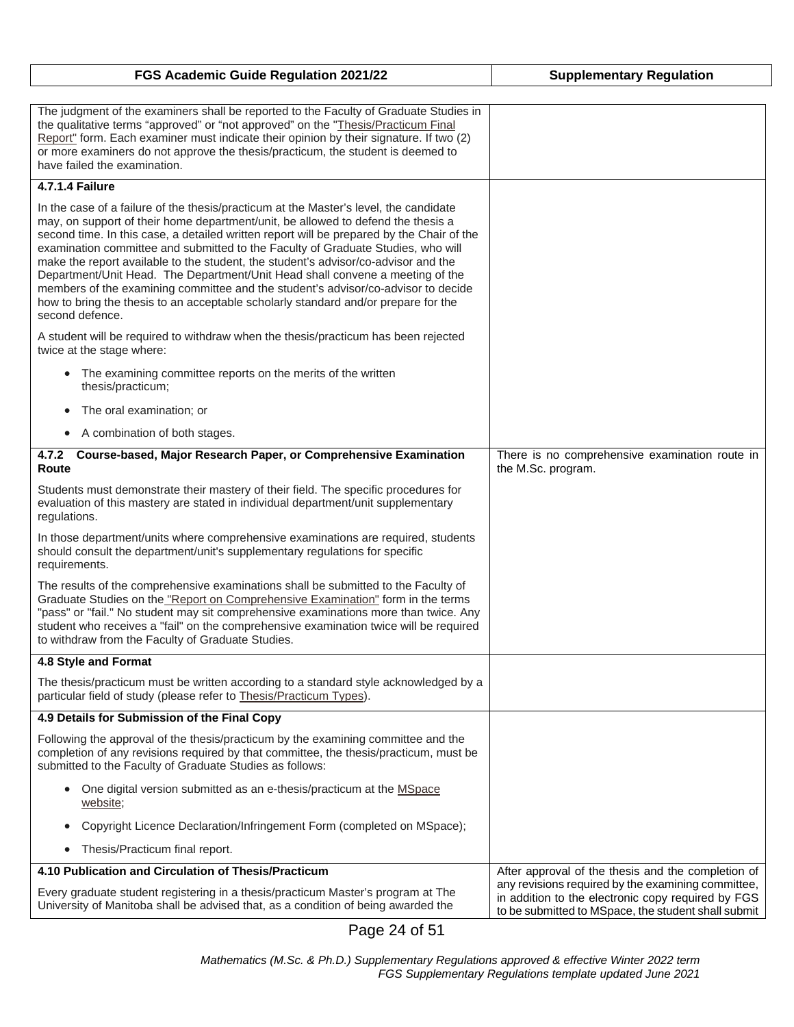| FGS Academic Guide Regulation 2021/22                                                                                                                                                                                                                                                                                                                                                                                                                                                                                                                                                                                                                                                                                           | <b>Supplementary Regulation</b>                                                                                                                                 |
|---------------------------------------------------------------------------------------------------------------------------------------------------------------------------------------------------------------------------------------------------------------------------------------------------------------------------------------------------------------------------------------------------------------------------------------------------------------------------------------------------------------------------------------------------------------------------------------------------------------------------------------------------------------------------------------------------------------------------------|-----------------------------------------------------------------------------------------------------------------------------------------------------------------|
| The judgment of the examiners shall be reported to the Faculty of Graduate Studies in<br>the qualitative terms "approved" or "not approved" on the "Thesis/Practicum Final<br>Report" form. Each examiner must indicate their opinion by their signature. If two (2)<br>or more examiners do not approve the thesis/practicum, the student is deemed to<br>have failed the examination.                                                                                                                                                                                                                                                                                                                                         |                                                                                                                                                                 |
| <b>4.7.1.4 Failure</b>                                                                                                                                                                                                                                                                                                                                                                                                                                                                                                                                                                                                                                                                                                          |                                                                                                                                                                 |
| In the case of a failure of the thesis/practicum at the Master's level, the candidate<br>may, on support of their home department/unit, be allowed to defend the thesis a<br>second time. In this case, a detailed written report will be prepared by the Chair of the<br>examination committee and submitted to the Faculty of Graduate Studies, who will<br>make the report available to the student, the student's advisor/co-advisor and the<br>Department/Unit Head. The Department/Unit Head shall convene a meeting of the<br>members of the examining committee and the student's advisor/co-advisor to decide<br>how to bring the thesis to an acceptable scholarly standard and/or prepare for the<br>second defence. |                                                                                                                                                                 |
| A student will be required to withdraw when the thesis/practicum has been rejected<br>twice at the stage where:                                                                                                                                                                                                                                                                                                                                                                                                                                                                                                                                                                                                                 |                                                                                                                                                                 |
| The examining committee reports on the merits of the written<br>thesis/practicum;                                                                                                                                                                                                                                                                                                                                                                                                                                                                                                                                                                                                                                               |                                                                                                                                                                 |
| The oral examination; or<br>$\bullet$                                                                                                                                                                                                                                                                                                                                                                                                                                                                                                                                                                                                                                                                                           |                                                                                                                                                                 |
| A combination of both stages.<br>$\bullet$                                                                                                                                                                                                                                                                                                                                                                                                                                                                                                                                                                                                                                                                                      |                                                                                                                                                                 |
| Course-based, Major Research Paper, or Comprehensive Examination<br>4.7.2<br>Route                                                                                                                                                                                                                                                                                                                                                                                                                                                                                                                                                                                                                                              | There is no comprehensive examination route in<br>the M.Sc. program.                                                                                            |
| Students must demonstrate their mastery of their field. The specific procedures for<br>evaluation of this mastery are stated in individual department/unit supplementary<br>regulations.                                                                                                                                                                                                                                                                                                                                                                                                                                                                                                                                        |                                                                                                                                                                 |
| In those department/units where comprehensive examinations are required, students<br>should consult the department/unit's supplementary regulations for specific<br>requirements.                                                                                                                                                                                                                                                                                                                                                                                                                                                                                                                                               |                                                                                                                                                                 |
| The results of the comprehensive examinations shall be submitted to the Faculty of<br>Graduate Studies on the "Report on Comprehensive Examination" form in the terms<br>"pass" or "fail." No student may sit comprehensive examinations more than twice. Any<br>student who receives a "fail" on the comprehensive examination twice will be required<br>to withdraw from the Faculty of Graduate Studies.                                                                                                                                                                                                                                                                                                                     |                                                                                                                                                                 |
| 4.8 Style and Format                                                                                                                                                                                                                                                                                                                                                                                                                                                                                                                                                                                                                                                                                                            |                                                                                                                                                                 |
| The thesis/practicum must be written according to a standard style acknowledged by a<br>particular field of study (please refer to Thesis/Practicum Types).                                                                                                                                                                                                                                                                                                                                                                                                                                                                                                                                                                     |                                                                                                                                                                 |
| 4.9 Details for Submission of the Final Copy                                                                                                                                                                                                                                                                                                                                                                                                                                                                                                                                                                                                                                                                                    |                                                                                                                                                                 |
| Following the approval of the thesis/practicum by the examining committee and the<br>completion of any revisions required by that committee, the thesis/practicum, must be<br>submitted to the Faculty of Graduate Studies as follows:                                                                                                                                                                                                                                                                                                                                                                                                                                                                                          |                                                                                                                                                                 |
| One digital version submitted as an e-thesis/practicum at the MSpace<br>$\bullet$<br>website;                                                                                                                                                                                                                                                                                                                                                                                                                                                                                                                                                                                                                                   |                                                                                                                                                                 |
| Copyright Licence Declaration/Infringement Form (completed on MSpace);<br>$\bullet$                                                                                                                                                                                                                                                                                                                                                                                                                                                                                                                                                                                                                                             |                                                                                                                                                                 |
| Thesis/Practicum final report.<br>$\bullet$                                                                                                                                                                                                                                                                                                                                                                                                                                                                                                                                                                                                                                                                                     |                                                                                                                                                                 |
| 4.10 Publication and Circulation of Thesis/Practicum                                                                                                                                                                                                                                                                                                                                                                                                                                                                                                                                                                                                                                                                            | After approval of the thesis and the completion of                                                                                                              |
| Every graduate student registering in a thesis/practicum Master's program at The<br>University of Manitoba shall be advised that, as a condition of being awarded the                                                                                                                                                                                                                                                                                                                                                                                                                                                                                                                                                           | any revisions required by the examining committee,<br>in addition to the electronic copy required by FGS<br>to be submitted to MSpace, the student shall submit |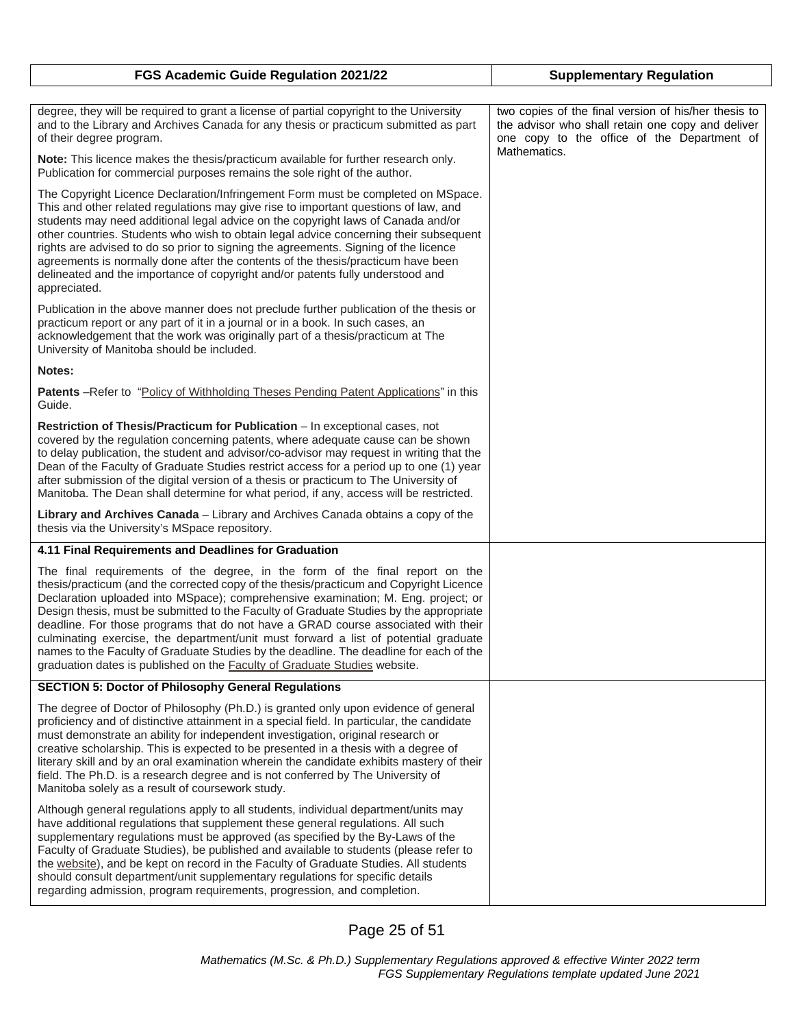| FGS Academic Guide Regulation 2021/22                                                                                                                                                                                                                                                                                                                                                                                                                                                                                                                                                                                                                                                                    | <b>Supplementary Regulation</b>                                                                                                                                          |
|----------------------------------------------------------------------------------------------------------------------------------------------------------------------------------------------------------------------------------------------------------------------------------------------------------------------------------------------------------------------------------------------------------------------------------------------------------------------------------------------------------------------------------------------------------------------------------------------------------------------------------------------------------------------------------------------------------|--------------------------------------------------------------------------------------------------------------------------------------------------------------------------|
|                                                                                                                                                                                                                                                                                                                                                                                                                                                                                                                                                                                                                                                                                                          |                                                                                                                                                                          |
| degree, they will be required to grant a license of partial copyright to the University<br>and to the Library and Archives Canada for any thesis or practicum submitted as part<br>of their degree program.                                                                                                                                                                                                                                                                                                                                                                                                                                                                                              | two copies of the final version of his/her thesis to<br>the advisor who shall retain one copy and deliver<br>one copy to the office of the Department of<br>Mathematics. |
| Note: This licence makes the thesis/practicum available for further research only.<br>Publication for commercial purposes remains the sole right of the author.                                                                                                                                                                                                                                                                                                                                                                                                                                                                                                                                          |                                                                                                                                                                          |
| The Copyright Licence Declaration/Infringement Form must be completed on MSpace.<br>This and other related regulations may give rise to important questions of law, and<br>students may need additional legal advice on the copyright laws of Canada and/or<br>other countries. Students who wish to obtain legal advice concerning their subsequent<br>rights are advised to do so prior to signing the agreements. Signing of the licence<br>agreements is normally done after the contents of the thesis/practicum have been<br>delineated and the importance of copyright and/or patents fully understood and<br>appreciated.                                                                        |                                                                                                                                                                          |
| Publication in the above manner does not preclude further publication of the thesis or<br>practicum report or any part of it in a journal or in a book. In such cases, an<br>acknowledgement that the work was originally part of a thesis/practicum at The<br>University of Manitoba should be included.                                                                                                                                                                                                                                                                                                                                                                                                |                                                                                                                                                                          |
| Notes:                                                                                                                                                                                                                                                                                                                                                                                                                                                                                                                                                                                                                                                                                                   |                                                                                                                                                                          |
| <b>Patents</b> - Refer to "Policy of Withholding Theses Pending Patent Applications" in this<br>Guide.                                                                                                                                                                                                                                                                                                                                                                                                                                                                                                                                                                                                   |                                                                                                                                                                          |
| Restriction of Thesis/Practicum for Publication - In exceptional cases, not<br>covered by the regulation concerning patents, where adequate cause can be shown<br>to delay publication, the student and advisor/co-advisor may request in writing that the<br>Dean of the Faculty of Graduate Studies restrict access for a period up to one (1) year<br>after submission of the digital version of a thesis or practicum to The University of<br>Manitoba. The Dean shall determine for what period, if any, access will be restricted.                                                                                                                                                                 |                                                                                                                                                                          |
| Library and Archives Canada - Library and Archives Canada obtains a copy of the<br>thesis via the University's MSpace repository.                                                                                                                                                                                                                                                                                                                                                                                                                                                                                                                                                                        |                                                                                                                                                                          |
| 4.11 Final Requirements and Deadlines for Graduation                                                                                                                                                                                                                                                                                                                                                                                                                                                                                                                                                                                                                                                     |                                                                                                                                                                          |
| The final requirements of the degree, in the form of the final report on the<br>thesis/practicum (and the corrected copy of the thesis/practicum and Copyright Licence<br>Declaration uploaded into MSpace); comprehensive examination; M. Eng. project; or<br>Design thesis, must be submitted to the Faculty of Graduate Studies by the appropriate<br>deadline. For those programs that do not have a GRAD course associated with their<br>culminating exercise, the department/unit must forward a list of potential graduate<br>names to the Faculty of Graduate Studies by the deadline. The deadline for each of the<br>graduation dates is published on the Faculty of Graduate Studies website. |                                                                                                                                                                          |
| <b>SECTION 5: Doctor of Philosophy General Regulations</b>                                                                                                                                                                                                                                                                                                                                                                                                                                                                                                                                                                                                                                               |                                                                                                                                                                          |
| The degree of Doctor of Philosophy (Ph.D.) is granted only upon evidence of general<br>proficiency and of distinctive attainment in a special field. In particular, the candidate<br>must demonstrate an ability for independent investigation, original research or<br>creative scholarship. This is expected to be presented in a thesis with a degree of<br>literary skill and by an oral examination wherein the candidate exhibits mastery of their<br>field. The Ph.D. is a research degree and is not conferred by The University of<br>Manitoba solely as a result of coursework study.                                                                                                          |                                                                                                                                                                          |
| Although general regulations apply to all students, individual department/units may<br>have additional regulations that supplement these general regulations. All such<br>supplementary regulations must be approved (as specified by the By-Laws of the<br>Faculty of Graduate Studies), be published and available to students (please refer to<br>the website), and be kept on record in the Faculty of Graduate Studies. All students<br>should consult department/unit supplementary regulations for specific details<br>regarding admission, program requirements, progression, and completion.                                                                                                    |                                                                                                                                                                          |

Page 25 of 51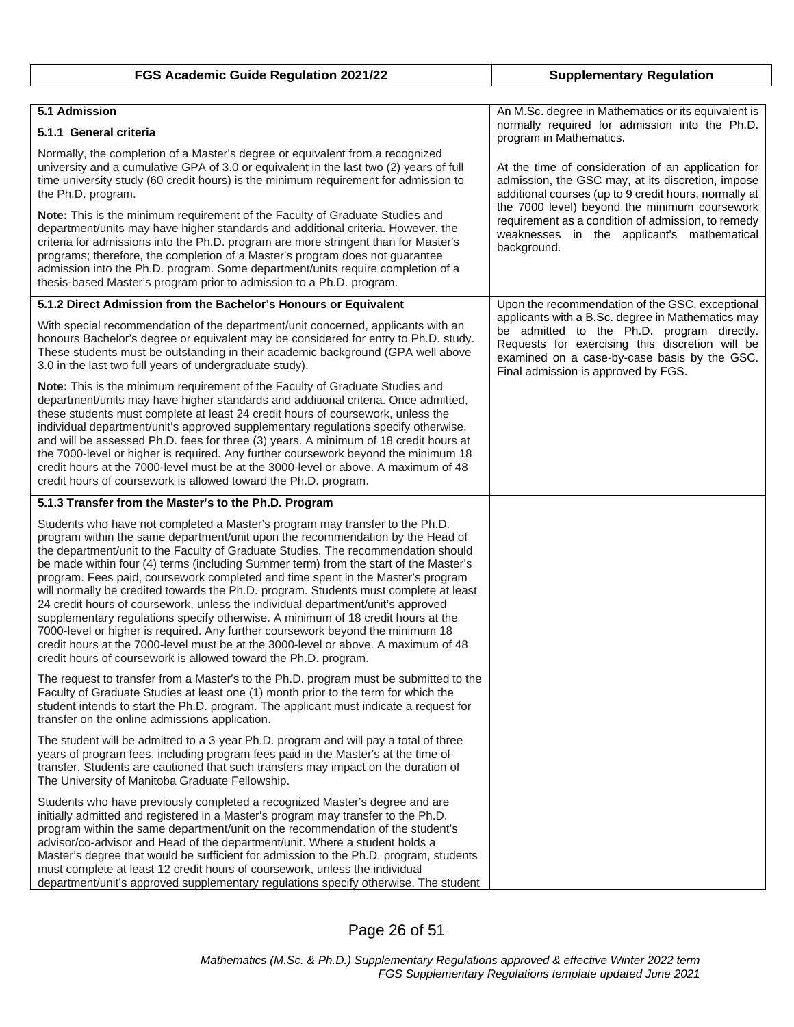| FGS Academic Guide Regulation 2021/22                                                                                                                                                                                                                                                                                                                                                                                                                                                                                                                                                                                                                                                                                                                                                                                                                                                                                                    | <b>Supplementary Regulation</b>                                                                                                                                                                                                                                                                                                      |
|------------------------------------------------------------------------------------------------------------------------------------------------------------------------------------------------------------------------------------------------------------------------------------------------------------------------------------------------------------------------------------------------------------------------------------------------------------------------------------------------------------------------------------------------------------------------------------------------------------------------------------------------------------------------------------------------------------------------------------------------------------------------------------------------------------------------------------------------------------------------------------------------------------------------------------------|--------------------------------------------------------------------------------------------------------------------------------------------------------------------------------------------------------------------------------------------------------------------------------------------------------------------------------------|
|                                                                                                                                                                                                                                                                                                                                                                                                                                                                                                                                                                                                                                                                                                                                                                                                                                                                                                                                          |                                                                                                                                                                                                                                                                                                                                      |
| 5.1 Admission<br>5.1.1 General criteria                                                                                                                                                                                                                                                                                                                                                                                                                                                                                                                                                                                                                                                                                                                                                                                                                                                                                                  | An M.Sc. degree in Mathematics or its equivalent is<br>normally required for admission into the Ph.D.<br>program in Mathematics.                                                                                                                                                                                                     |
| Normally, the completion of a Master's degree or equivalent from a recognized<br>university and a cumulative GPA of 3.0 or equivalent in the last two (2) years of full<br>time university study (60 credit hours) is the minimum requirement for admission to<br>the Ph.D. program.                                                                                                                                                                                                                                                                                                                                                                                                                                                                                                                                                                                                                                                     | At the time of consideration of an application for<br>admission, the GSC may, at its discretion, impose<br>additional courses (up to 9 credit hours, normally at<br>the 7000 level) beyond the minimum coursework<br>requirement as a condition of admission, to remedy<br>weaknesses in the applicant's mathematical<br>background. |
| Note: This is the minimum requirement of the Faculty of Graduate Studies and<br>department/units may have higher standards and additional criteria. However, the<br>criteria for admissions into the Ph.D. program are more stringent than for Master's<br>programs; therefore, the completion of a Master's program does not guarantee<br>admission into the Ph.D. program. Some department/units require completion of a<br>thesis-based Master's program prior to admission to a Ph.D. program.                                                                                                                                                                                                                                                                                                                                                                                                                                       |                                                                                                                                                                                                                                                                                                                                      |
| 5.1.2 Direct Admission from the Bachelor's Honours or Equivalent                                                                                                                                                                                                                                                                                                                                                                                                                                                                                                                                                                                                                                                                                                                                                                                                                                                                         | Upon the recommendation of the GSC, exceptional                                                                                                                                                                                                                                                                                      |
| With special recommendation of the department/unit concerned, applicants with an<br>honours Bachelor's degree or equivalent may be considered for entry to Ph.D. study.<br>These students must be outstanding in their academic background (GPA well above<br>3.0 in the last two full years of undergraduate study).                                                                                                                                                                                                                                                                                                                                                                                                                                                                                                                                                                                                                    | applicants with a B.Sc. degree in Mathematics may<br>be admitted to the Ph.D. program directly.<br>Requests for exercising this discretion will be<br>examined on a case-by-case basis by the GSC.<br>Final admission is approved by FGS.                                                                                            |
| <b>Note:</b> This is the minimum requirement of the Faculty of Graduate Studies and<br>department/units may have higher standards and additional criteria. Once admitted,<br>these students must complete at least 24 credit hours of coursework, unless the<br>individual department/unit's approved supplementary regulations specify otherwise,<br>and will be assessed Ph.D. fees for three (3) years. A minimum of 18 credit hours at<br>the 7000-level or higher is required. Any further coursework beyond the minimum 18<br>credit hours at the 7000-level must be at the 3000-level or above. A maximum of 48<br>credit hours of coursework is allowed toward the Ph.D. program.                                                                                                                                                                                                                                                |                                                                                                                                                                                                                                                                                                                                      |
| 5.1.3 Transfer from the Master's to the Ph.D. Program                                                                                                                                                                                                                                                                                                                                                                                                                                                                                                                                                                                                                                                                                                                                                                                                                                                                                    |                                                                                                                                                                                                                                                                                                                                      |
| Students who have not completed a Master's program may transfer to the Ph.D.<br>program within the same department/unit upon the recommendation by the Head of<br>the department/unit to the Faculty of Graduate Studies. The recommendation should<br>be made within four (4) terms (including Summer term) from the start of the Master's<br>program. Fees paid, coursework completed and time spent in the Master's program<br>will normally be credited towards the Ph.D. program. Students must complete at least<br>24 credit hours of coursework, unless the individual department/unit's approved<br>supplementary regulations specify otherwise. A minimum of 18 credit hours at the<br>7000-level or higher is required. Any further coursework beyond the minimum 18<br>credit hours at the 7000-level must be at the 3000-level or above. A maximum of 48<br>credit hours of coursework is allowed toward the Ph.D. program. |                                                                                                                                                                                                                                                                                                                                      |
| The request to transfer from a Master's to the Ph.D. program must be submitted to the<br>Faculty of Graduate Studies at least one (1) month prior to the term for which the<br>student intends to start the Ph.D. program. The applicant must indicate a request for<br>transfer on the online admissions application.                                                                                                                                                                                                                                                                                                                                                                                                                                                                                                                                                                                                                   |                                                                                                                                                                                                                                                                                                                                      |
| The student will be admitted to a 3-year Ph.D. program and will pay a total of three<br>years of program fees, including program fees paid in the Master's at the time of<br>transfer. Students are cautioned that such transfers may impact on the duration of<br>The University of Manitoba Graduate Fellowship.                                                                                                                                                                                                                                                                                                                                                                                                                                                                                                                                                                                                                       |                                                                                                                                                                                                                                                                                                                                      |
| Students who have previously completed a recognized Master's degree and are<br>initially admitted and registered in a Master's program may transfer to the Ph.D.<br>program within the same department/unit on the recommendation of the student's<br>advisor/co-advisor and Head of the department/unit. Where a student holds a<br>Master's degree that would be sufficient for admission to the Ph.D. program, students<br>must complete at least 12 credit hours of coursework, unless the individual<br>department/unit's approved supplementary regulations specify otherwise. The student                                                                                                                                                                                                                                                                                                                                         |                                                                                                                                                                                                                                                                                                                                      |

Page 26 of 51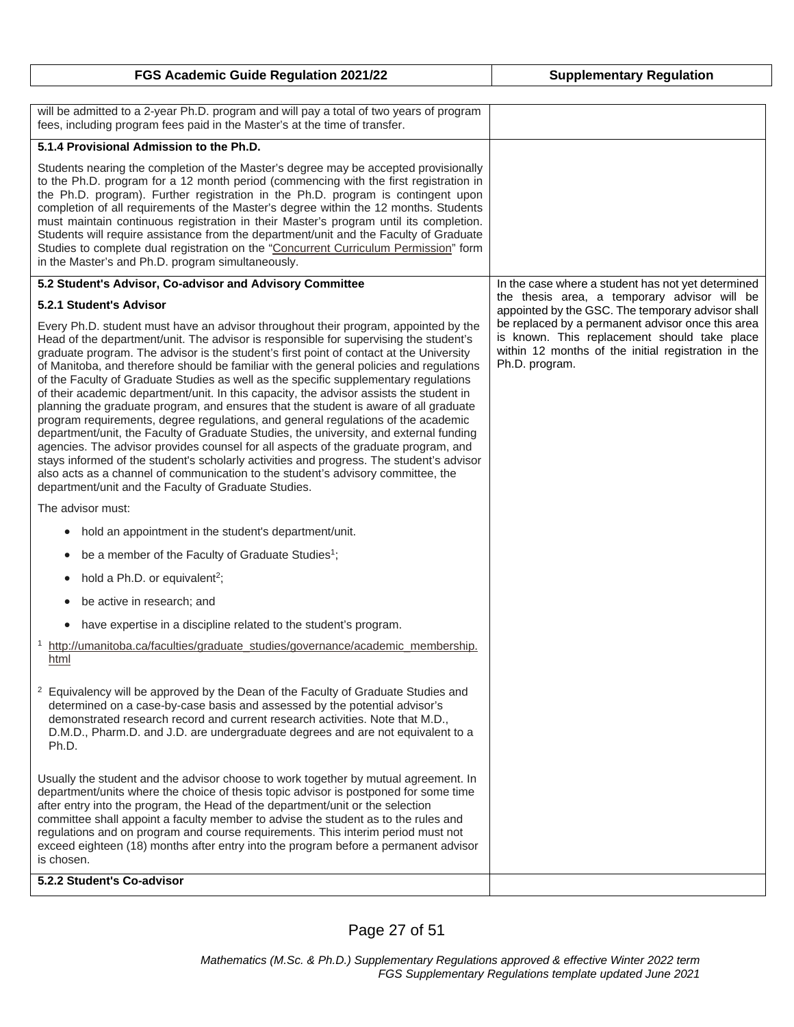| FGS Academic Guide Regulation 2021/22                                                                                                                                                                                                                                                                                                                                                                                                                                                                                                                                                                                                                                                                                                                                                                                                                                                                                                                                                                                                                                                                                                                       | <b>Supplementary Regulation</b>                                                                                                                                            |
|-------------------------------------------------------------------------------------------------------------------------------------------------------------------------------------------------------------------------------------------------------------------------------------------------------------------------------------------------------------------------------------------------------------------------------------------------------------------------------------------------------------------------------------------------------------------------------------------------------------------------------------------------------------------------------------------------------------------------------------------------------------------------------------------------------------------------------------------------------------------------------------------------------------------------------------------------------------------------------------------------------------------------------------------------------------------------------------------------------------------------------------------------------------|----------------------------------------------------------------------------------------------------------------------------------------------------------------------------|
|                                                                                                                                                                                                                                                                                                                                                                                                                                                                                                                                                                                                                                                                                                                                                                                                                                                                                                                                                                                                                                                                                                                                                             |                                                                                                                                                                            |
| will be admitted to a 2-year Ph.D. program and will pay a total of two years of program<br>fees, including program fees paid in the Master's at the time of transfer.                                                                                                                                                                                                                                                                                                                                                                                                                                                                                                                                                                                                                                                                                                                                                                                                                                                                                                                                                                                       |                                                                                                                                                                            |
| 5.1.4 Provisional Admission to the Ph.D.                                                                                                                                                                                                                                                                                                                                                                                                                                                                                                                                                                                                                                                                                                                                                                                                                                                                                                                                                                                                                                                                                                                    |                                                                                                                                                                            |
| Students nearing the completion of the Master's degree may be accepted provisionally<br>to the Ph.D. program for a 12 month period (commencing with the first registration in<br>the Ph.D. program). Further registration in the Ph.D. program is contingent upon<br>completion of all requirements of the Master's degree within the 12 months. Students<br>must maintain continuous registration in their Master's program until its completion.<br>Students will require assistance from the department/unit and the Faculty of Graduate<br>Studies to complete dual registration on the "Concurrent Curriculum Permission" form<br>in the Master's and Ph.D. program simultaneously.                                                                                                                                                                                                                                                                                                                                                                                                                                                                    |                                                                                                                                                                            |
| 5.2 Student's Advisor, Co-advisor and Advisory Committee                                                                                                                                                                                                                                                                                                                                                                                                                                                                                                                                                                                                                                                                                                                                                                                                                                                                                                                                                                                                                                                                                                    | In the case where a student has not yet determined                                                                                                                         |
| 5.2.1 Student's Advisor                                                                                                                                                                                                                                                                                                                                                                                                                                                                                                                                                                                                                                                                                                                                                                                                                                                                                                                                                                                                                                                                                                                                     | the thesis area, a temporary advisor will be<br>appointed by the GSC. The temporary advisor shall                                                                          |
| Every Ph.D. student must have an advisor throughout their program, appointed by the<br>Head of the department/unit. The advisor is responsible for supervising the student's<br>graduate program. The advisor is the student's first point of contact at the University<br>of Manitoba, and therefore should be familiar with the general policies and regulations<br>of the Faculty of Graduate Studies as well as the specific supplementary regulations<br>of their academic department/unit. In this capacity, the advisor assists the student in<br>planning the graduate program, and ensures that the student is aware of all graduate<br>program requirements, degree regulations, and general regulations of the academic<br>department/unit, the Faculty of Graduate Studies, the university, and external funding<br>agencies. The advisor provides counsel for all aspects of the graduate program, and<br>stays informed of the student's scholarly activities and progress. The student's advisor<br>also acts as a channel of communication to the student's advisory committee, the<br>department/unit and the Faculty of Graduate Studies. | be replaced by a permanent advisor once this area<br>is known. This replacement should take place<br>within 12 months of the initial registration in the<br>Ph.D. program. |
| The advisor must:                                                                                                                                                                                                                                                                                                                                                                                                                                                                                                                                                                                                                                                                                                                                                                                                                                                                                                                                                                                                                                                                                                                                           |                                                                                                                                                                            |
| hold an appointment in the student's department/unit.<br>$\bullet$                                                                                                                                                                                                                                                                                                                                                                                                                                                                                                                                                                                                                                                                                                                                                                                                                                                                                                                                                                                                                                                                                          |                                                                                                                                                                            |
| be a member of the Faculty of Graduate Studies <sup>1</sup> ;<br>٠                                                                                                                                                                                                                                                                                                                                                                                                                                                                                                                                                                                                                                                                                                                                                                                                                                                                                                                                                                                                                                                                                          |                                                                                                                                                                            |
| hold a Ph.D. or equivalent <sup>2</sup> ;<br>$\bullet$                                                                                                                                                                                                                                                                                                                                                                                                                                                                                                                                                                                                                                                                                                                                                                                                                                                                                                                                                                                                                                                                                                      |                                                                                                                                                                            |
| be active in research; and<br>$\bullet$                                                                                                                                                                                                                                                                                                                                                                                                                                                                                                                                                                                                                                                                                                                                                                                                                                                                                                                                                                                                                                                                                                                     |                                                                                                                                                                            |
| have expertise in a discipline related to the student's program.                                                                                                                                                                                                                                                                                                                                                                                                                                                                                                                                                                                                                                                                                                                                                                                                                                                                                                                                                                                                                                                                                            |                                                                                                                                                                            |
| <sup>1</sup> http://umanitoba.ca/faculties/graduate studies/governance/academic membership.<br>html                                                                                                                                                                                                                                                                                                                                                                                                                                                                                                                                                                                                                                                                                                                                                                                                                                                                                                                                                                                                                                                         |                                                                                                                                                                            |
| <sup>2</sup> Equivalency will be approved by the Dean of the Faculty of Graduate Studies and<br>determined on a case-by-case basis and assessed by the potential advisor's<br>demonstrated research record and current research activities. Note that M.D.,<br>D.M.D., Pharm.D. and J.D. are undergraduate degrees and are not equivalent to a<br>Ph.D.                                                                                                                                                                                                                                                                                                                                                                                                                                                                                                                                                                                                                                                                                                                                                                                                     |                                                                                                                                                                            |
| Usually the student and the advisor choose to work together by mutual agreement. In<br>department/units where the choice of thesis topic advisor is postponed for some time<br>after entry into the program, the Head of the department/unit or the selection<br>committee shall appoint a faculty member to advise the student as to the rules and<br>regulations and on program and course requirements. This interim period must not<br>exceed eighteen (18) months after entry into the program before a permanent advisor<br>is chosen.                                                                                                                                                                                                                                                                                                                                                                                                                                                                                                                                                                                                                |                                                                                                                                                                            |
| 5.2.2 Student's Co-advisor                                                                                                                                                                                                                                                                                                                                                                                                                                                                                                                                                                                                                                                                                                                                                                                                                                                                                                                                                                                                                                                                                                                                  |                                                                                                                                                                            |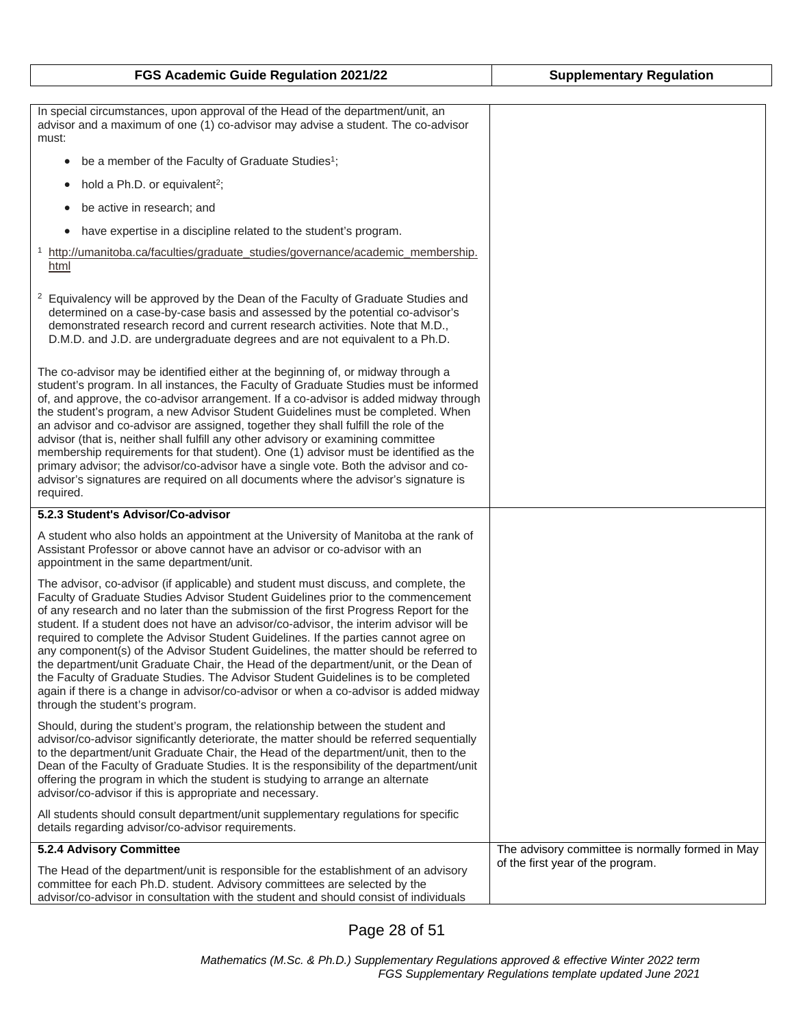| FGS Academic Guide Regulation 2021/22                                                                                                                                                                                                                                                                                                                                                                                                                                                                                                                                                                                                                                                                                                                                                                                                             | <b>Supplementary Regulation</b>                  |
|---------------------------------------------------------------------------------------------------------------------------------------------------------------------------------------------------------------------------------------------------------------------------------------------------------------------------------------------------------------------------------------------------------------------------------------------------------------------------------------------------------------------------------------------------------------------------------------------------------------------------------------------------------------------------------------------------------------------------------------------------------------------------------------------------------------------------------------------------|--------------------------------------------------|
|                                                                                                                                                                                                                                                                                                                                                                                                                                                                                                                                                                                                                                                                                                                                                                                                                                                   |                                                  |
| In special circumstances, upon approval of the Head of the department/unit, an<br>advisor and a maximum of one (1) co-advisor may advise a student. The co-advisor<br>must:                                                                                                                                                                                                                                                                                                                                                                                                                                                                                                                                                                                                                                                                       |                                                  |
| be a member of the Faculty of Graduate Studies <sup>1</sup> ;<br>$\bullet$                                                                                                                                                                                                                                                                                                                                                                                                                                                                                                                                                                                                                                                                                                                                                                        |                                                  |
| hold a Ph.D. or equivalent <sup>2</sup> ;<br>$\bullet$                                                                                                                                                                                                                                                                                                                                                                                                                                                                                                                                                                                                                                                                                                                                                                                            |                                                  |
| be active in research; and                                                                                                                                                                                                                                                                                                                                                                                                                                                                                                                                                                                                                                                                                                                                                                                                                        |                                                  |
| have expertise in a discipline related to the student's program.<br>$\bullet$                                                                                                                                                                                                                                                                                                                                                                                                                                                                                                                                                                                                                                                                                                                                                                     |                                                  |
| http://umanitoba.ca/faculties/graduate_studies/governance/academic_membership.<br>html                                                                                                                                                                                                                                                                                                                                                                                                                                                                                                                                                                                                                                                                                                                                                            |                                                  |
| <sup>2</sup> Equivalency will be approved by the Dean of the Faculty of Graduate Studies and<br>determined on a case-by-case basis and assessed by the potential co-advisor's<br>demonstrated research record and current research activities. Note that M.D.,<br>D.M.D. and J.D. are undergraduate degrees and are not equivalent to a Ph.D.                                                                                                                                                                                                                                                                                                                                                                                                                                                                                                     |                                                  |
| The co-advisor may be identified either at the beginning of, or midway through a<br>student's program. In all instances, the Faculty of Graduate Studies must be informed<br>of, and approve, the co-advisor arrangement. If a co-advisor is added midway through<br>the student's program, a new Advisor Student Guidelines must be completed. When<br>an advisor and co-advisor are assigned, together they shall fulfill the role of the<br>advisor (that is, neither shall fulfill any other advisory or examining committee<br>membership requirements for that student). One (1) advisor must be identified as the<br>primary advisor; the advisor/co-advisor have a single vote. Both the advisor and co-<br>advisor's signatures are required on all documents where the advisor's signature is<br>required.                              |                                                  |
| 5.2.3 Student's Advisor/Co-advisor                                                                                                                                                                                                                                                                                                                                                                                                                                                                                                                                                                                                                                                                                                                                                                                                                |                                                  |
| A student who also holds an appointment at the University of Manitoba at the rank of<br>Assistant Professor or above cannot have an advisor or co-advisor with an<br>appointment in the same department/unit.                                                                                                                                                                                                                                                                                                                                                                                                                                                                                                                                                                                                                                     |                                                  |
| The advisor, co-advisor (if applicable) and student must discuss, and complete, the<br>Faculty of Graduate Studies Advisor Student Guidelines prior to the commencement<br>of any research and no later than the submission of the first Progress Report for the<br>student. If a student does not have an advisor/co-advisor, the interim advisor will be<br>required to complete the Advisor Student Guidelines. If the parties cannot agree on<br>any component(s) of the Advisor Student Guidelines, the matter should be referred to<br>the department/unit Graduate Chair, the Head of the department/unit, or the Dean of<br>the Faculty of Graduate Studies. The Advisor Student Guidelines is to be completed<br>again if there is a change in advisor/co-advisor or when a co-advisor is added midway<br>through the student's program. |                                                  |
| Should, during the student's program, the relationship between the student and<br>advisor/co-advisor significantly deteriorate, the matter should be referred sequentially<br>to the department/unit Graduate Chair, the Head of the department/unit, then to the<br>Dean of the Faculty of Graduate Studies. It is the responsibility of the department/unit<br>offering the program in which the student is studying to arrange an alternate<br>advisor/co-advisor if this is appropriate and necessary.                                                                                                                                                                                                                                                                                                                                        |                                                  |
| All students should consult department/unit supplementary regulations for specific<br>details regarding advisor/co-advisor requirements.                                                                                                                                                                                                                                                                                                                                                                                                                                                                                                                                                                                                                                                                                                          |                                                  |
| 5.2.4 Advisory Committee                                                                                                                                                                                                                                                                                                                                                                                                                                                                                                                                                                                                                                                                                                                                                                                                                          | The advisory committee is normally formed in May |
| The Head of the department/unit is responsible for the establishment of an advisory<br>committee for each Ph.D. student. Advisory committees are selected by the<br>advisor/co-advisor in consultation with the student and should consist of individuals                                                                                                                                                                                                                                                                                                                                                                                                                                                                                                                                                                                         | of the first year of the program.                |

Page 28 of 51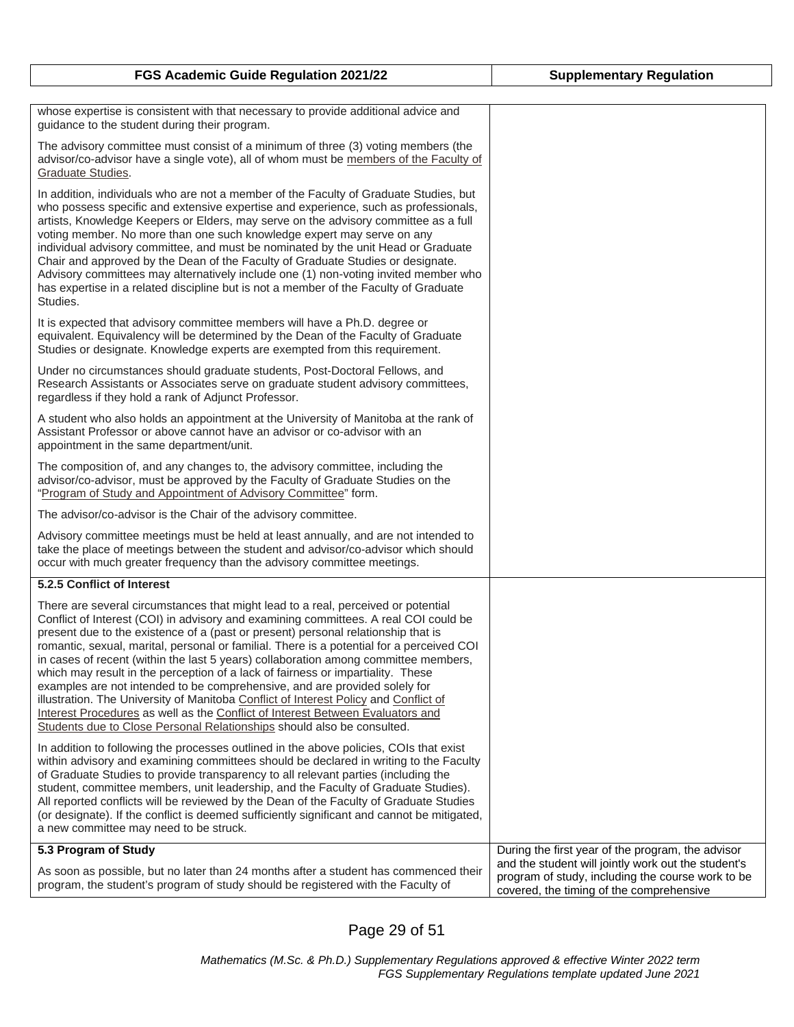| whose expertise is consistent with that necessary to provide additional advice and<br>guidance to the student during their program.                                                                                                                                                                                                                                                                                                                                                                                                                                                                                                                                                                                                                                                                                                                                     |                                                                                                                                                      |
|-------------------------------------------------------------------------------------------------------------------------------------------------------------------------------------------------------------------------------------------------------------------------------------------------------------------------------------------------------------------------------------------------------------------------------------------------------------------------------------------------------------------------------------------------------------------------------------------------------------------------------------------------------------------------------------------------------------------------------------------------------------------------------------------------------------------------------------------------------------------------|------------------------------------------------------------------------------------------------------------------------------------------------------|
| The advisory committee must consist of a minimum of three (3) voting members (the<br>advisor/co-advisor have a single vote), all of whom must be members of the Faculty of<br>Graduate Studies.                                                                                                                                                                                                                                                                                                                                                                                                                                                                                                                                                                                                                                                                         |                                                                                                                                                      |
| In addition, individuals who are not a member of the Faculty of Graduate Studies, but<br>who possess specific and extensive expertise and experience, such as professionals,<br>artists, Knowledge Keepers or Elders, may serve on the advisory committee as a full<br>voting member. No more than one such knowledge expert may serve on any<br>individual advisory committee, and must be nominated by the unit Head or Graduate<br>Chair and approved by the Dean of the Faculty of Graduate Studies or designate.<br>Advisory committees may alternatively include one (1) non-voting invited member who<br>has expertise in a related discipline but is not a member of the Faculty of Graduate<br>Studies.                                                                                                                                                        |                                                                                                                                                      |
| It is expected that advisory committee members will have a Ph.D. degree or<br>equivalent. Equivalency will be determined by the Dean of the Faculty of Graduate<br>Studies or designate. Knowledge experts are exempted from this requirement.                                                                                                                                                                                                                                                                                                                                                                                                                                                                                                                                                                                                                          |                                                                                                                                                      |
| Under no circumstances should graduate students, Post-Doctoral Fellows, and<br>Research Assistants or Associates serve on graduate student advisory committees,<br>regardless if they hold a rank of Adjunct Professor.                                                                                                                                                                                                                                                                                                                                                                                                                                                                                                                                                                                                                                                 |                                                                                                                                                      |
| A student who also holds an appointment at the University of Manitoba at the rank of<br>Assistant Professor or above cannot have an advisor or co-advisor with an<br>appointment in the same department/unit.                                                                                                                                                                                                                                                                                                                                                                                                                                                                                                                                                                                                                                                           |                                                                                                                                                      |
| The composition of, and any changes to, the advisory committee, including the<br>advisor/co-advisor, must be approved by the Faculty of Graduate Studies on the<br>"Program of Study and Appointment of Advisory Committee" form.                                                                                                                                                                                                                                                                                                                                                                                                                                                                                                                                                                                                                                       |                                                                                                                                                      |
| The advisor/co-advisor is the Chair of the advisory committee.                                                                                                                                                                                                                                                                                                                                                                                                                                                                                                                                                                                                                                                                                                                                                                                                          |                                                                                                                                                      |
| Advisory committee meetings must be held at least annually, and are not intended to<br>take the place of meetings between the student and advisor/co-advisor which should<br>occur with much greater frequency than the advisory committee meetings.                                                                                                                                                                                                                                                                                                                                                                                                                                                                                                                                                                                                                    |                                                                                                                                                      |
| 5.2.5 Conflict of Interest                                                                                                                                                                                                                                                                                                                                                                                                                                                                                                                                                                                                                                                                                                                                                                                                                                              |                                                                                                                                                      |
| There are several circumstances that might lead to a real, perceived or potential<br>Conflict of Interest (COI) in advisory and examining committees. A real COI could be<br>present due to the existence of a (past or present) personal relationship that is<br>romantic, sexual, marital, personal or familial. There is a potential for a perceived COI<br>in cases of recent (within the last 5 years) collaboration among committee members,<br>which may result in the perception of a lack of fairness or impartiality. These<br>examples are not intended to be comprehensive, and are provided solely for<br>illustration. The University of Manitoba Conflict of Interest Policy and Conflict of<br>Interest Procedures as well as the Conflict of Interest Between Evaluators and<br>Students due to Close Personal Relationships should also be consulted. |                                                                                                                                                      |
| In addition to following the processes outlined in the above policies, COIs that exist<br>within advisory and examining committees should be declared in writing to the Faculty<br>of Graduate Studies to provide transparency to all relevant parties (including the<br>student, committee members, unit leadership, and the Faculty of Graduate Studies).<br>All reported conflicts will be reviewed by the Dean of the Faculty of Graduate Studies<br>(or designate). If the conflict is deemed sufficiently significant and cannot be mitigated,<br>a new committee may need to be struck.                                                                                                                                                                                                                                                                          |                                                                                                                                                      |
| 5.3 Program of Study                                                                                                                                                                                                                                                                                                                                                                                                                                                                                                                                                                                                                                                                                                                                                                                                                                                    | During the first year of the program, the advisor                                                                                                    |
| As soon as possible, but no later than 24 months after a student has commenced their<br>program, the student's program of study should be registered with the Faculty of                                                                                                                                                                                                                                                                                                                                                                                                                                                                                                                                                                                                                                                                                                | and the student will jointly work out the student's<br>program of study, including the course work to be<br>covered, the timing of the comprehensive |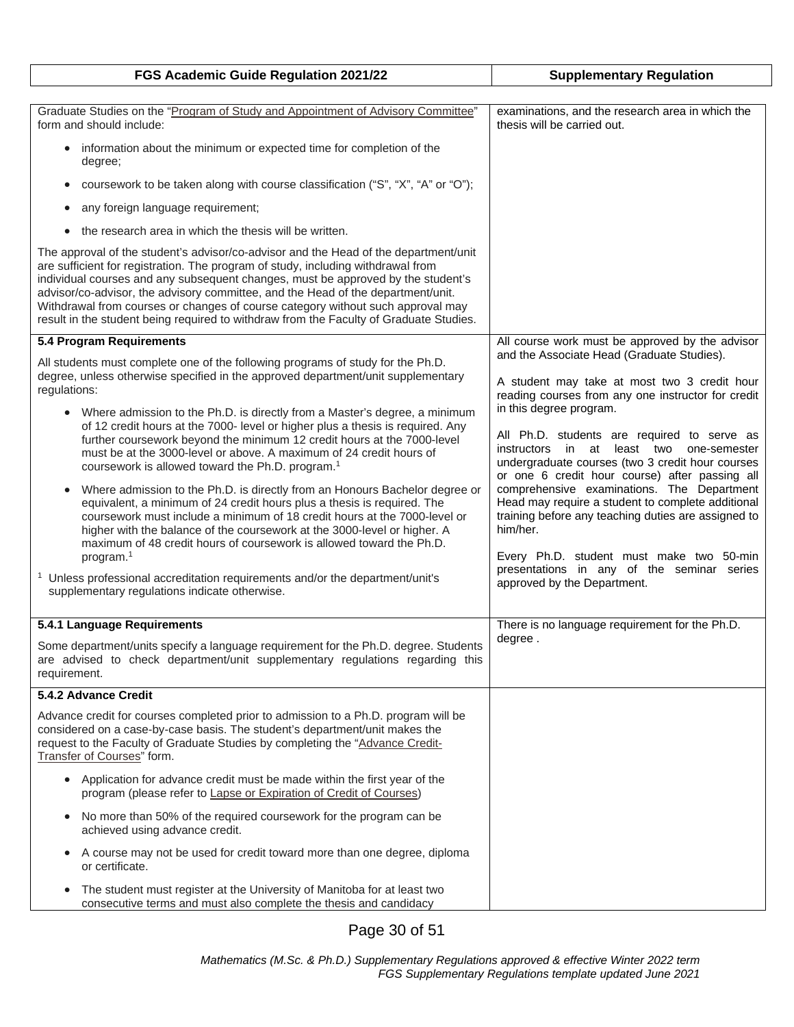| FGS Academic Guide Regulation 2021/22                                                                                                                                                                                                                                                                                                                                                                                                                                                                                                                                                                                                                                                                                                                                                                                                                                                                                                                                                                                                                                                                                                                                                                                                                                                     | <b>Supplementary Regulation</b>                                                                                                                                                                                                                                                                                                                                                                                                                                                                                                                                                                                                                                                                                                   |
|-------------------------------------------------------------------------------------------------------------------------------------------------------------------------------------------------------------------------------------------------------------------------------------------------------------------------------------------------------------------------------------------------------------------------------------------------------------------------------------------------------------------------------------------------------------------------------------------------------------------------------------------------------------------------------------------------------------------------------------------------------------------------------------------------------------------------------------------------------------------------------------------------------------------------------------------------------------------------------------------------------------------------------------------------------------------------------------------------------------------------------------------------------------------------------------------------------------------------------------------------------------------------------------------|-----------------------------------------------------------------------------------------------------------------------------------------------------------------------------------------------------------------------------------------------------------------------------------------------------------------------------------------------------------------------------------------------------------------------------------------------------------------------------------------------------------------------------------------------------------------------------------------------------------------------------------------------------------------------------------------------------------------------------------|
| Graduate Studies on the "Program of Study and Appointment of Advisory Committee"<br>form and should include:<br>• information about the minimum or expected time for completion of the<br>degree;<br>coursework to be taken along with course classification ("S", "X", "A" or "O");<br>any foreign language requirement;<br>٠<br>the research area in which the thesis will be written.<br>The approval of the student's advisor/co-advisor and the Head of the department/unit<br>are sufficient for registration. The program of study, including withdrawal from<br>individual courses and any subsequent changes, must be approved by the student's<br>advisor/co-advisor, the advisory committee, and the Head of the department/unit.<br>Withdrawal from courses or changes of course category without such approval may                                                                                                                                                                                                                                                                                                                                                                                                                                                           | examinations, and the research area in which the<br>thesis will be carried out.                                                                                                                                                                                                                                                                                                                                                                                                                                                                                                                                                                                                                                                   |
| result in the student being required to withdraw from the Faculty of Graduate Studies.<br>5.4 Program Requirements<br>All students must complete one of the following programs of study for the Ph.D.<br>degree, unless otherwise specified in the approved department/unit supplementary<br>regulations:<br>Where admission to the Ph.D. is directly from a Master's degree, a minimum<br>$\bullet$<br>of 12 credit hours at the 7000- level or higher plus a thesis is required. Any<br>further coursework beyond the minimum 12 credit hours at the 7000-level<br>must be at the 3000-level or above. A maximum of 24 credit hours of<br>coursework is allowed toward the Ph.D. program. <sup>1</sup><br>Where admission to the Ph.D. is directly from an Honours Bachelor degree or<br>$\bullet$<br>equivalent, a minimum of 24 credit hours plus a thesis is required. The<br>coursework must include a minimum of 18 credit hours at the 7000-level or<br>higher with the balance of the coursework at the 3000-level or higher. A<br>maximum of 48 credit hours of coursework is allowed toward the Ph.D.<br>program. <sup>1</sup><br>$\mathbf{1}$<br>Unless professional accreditation requirements and/or the department/unit's<br>supplementary regulations indicate otherwise. | All course work must be approved by the advisor<br>and the Associate Head (Graduate Studies).<br>A student may take at most two 3 credit hour<br>reading courses from any one instructor for credit<br>in this degree program.<br>All Ph.D. students are required to serve as<br>instructors in at least two<br>one-semester<br>undergraduate courses (two 3 credit hour courses<br>or one 6 credit hour course) after passing all<br>comprehensive examinations. The Department<br>Head may require a student to complete additional<br>training before any teaching duties are assigned to<br>him/her.<br>Every Ph.D. student must make two 50-min<br>presentations in any of the seminar series<br>approved by the Department. |
| 5.4.1 Language Requirements<br>Some department/units specify a language requirement for the Ph.D. degree. Students<br>are advised to check department/unit supplementary regulations regarding this<br>requirement.                                                                                                                                                                                                                                                                                                                                                                                                                                                                                                                                                                                                                                                                                                                                                                                                                                                                                                                                                                                                                                                                       | There is no language requirement for the Ph.D.<br>degree.                                                                                                                                                                                                                                                                                                                                                                                                                                                                                                                                                                                                                                                                         |
| 5.4.2 Advance Credit                                                                                                                                                                                                                                                                                                                                                                                                                                                                                                                                                                                                                                                                                                                                                                                                                                                                                                                                                                                                                                                                                                                                                                                                                                                                      |                                                                                                                                                                                                                                                                                                                                                                                                                                                                                                                                                                                                                                                                                                                                   |
| Advance credit for courses completed prior to admission to a Ph.D. program will be<br>considered on a case-by-case basis. The student's department/unit makes the<br>request to the Faculty of Graduate Studies by completing the "Advance Credit-<br>Transfer of Courses" form.                                                                                                                                                                                                                                                                                                                                                                                                                                                                                                                                                                                                                                                                                                                                                                                                                                                                                                                                                                                                          |                                                                                                                                                                                                                                                                                                                                                                                                                                                                                                                                                                                                                                                                                                                                   |
| Application for advance credit must be made within the first year of the<br>$\bullet$<br>program (please refer to Lapse or Expiration of Credit of Courses)                                                                                                                                                                                                                                                                                                                                                                                                                                                                                                                                                                                                                                                                                                                                                                                                                                                                                                                                                                                                                                                                                                                               |                                                                                                                                                                                                                                                                                                                                                                                                                                                                                                                                                                                                                                                                                                                                   |
| No more than 50% of the required coursework for the program can be<br>۰<br>achieved using advance credit.                                                                                                                                                                                                                                                                                                                                                                                                                                                                                                                                                                                                                                                                                                                                                                                                                                                                                                                                                                                                                                                                                                                                                                                 |                                                                                                                                                                                                                                                                                                                                                                                                                                                                                                                                                                                                                                                                                                                                   |
| A course may not be used for credit toward more than one degree, diploma<br>$\bullet$<br>or certificate.                                                                                                                                                                                                                                                                                                                                                                                                                                                                                                                                                                                                                                                                                                                                                                                                                                                                                                                                                                                                                                                                                                                                                                                  |                                                                                                                                                                                                                                                                                                                                                                                                                                                                                                                                                                                                                                                                                                                                   |
| The student must register at the University of Manitoba for at least two<br>$\bullet$<br>consecutive terms and must also complete the thesis and candidacy                                                                                                                                                                                                                                                                                                                                                                                                                                                                                                                                                                                                                                                                                                                                                                                                                                                                                                                                                                                                                                                                                                                                |                                                                                                                                                                                                                                                                                                                                                                                                                                                                                                                                                                                                                                                                                                                                   |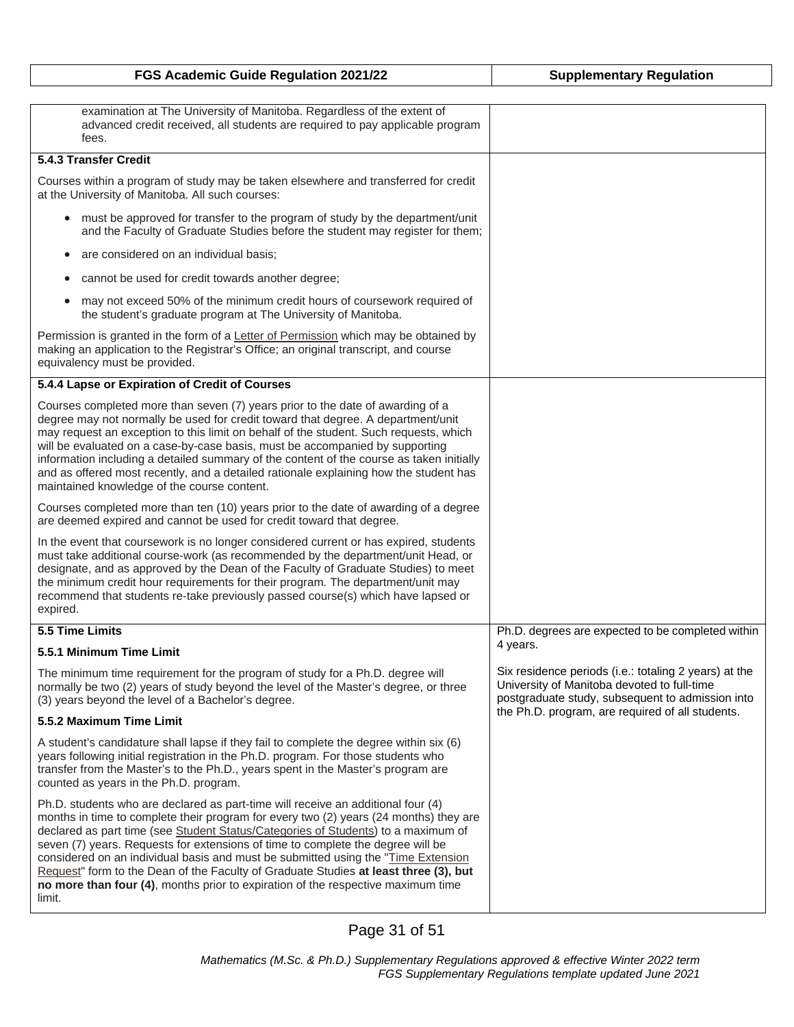| FGS Academic Guide Regulation 2021/22                                                                                                                                                                                                                                                                                                                                                                                                                                                                                                                                                                                        | <b>Supplementary Regulation</b>                                                                                                                          |
|------------------------------------------------------------------------------------------------------------------------------------------------------------------------------------------------------------------------------------------------------------------------------------------------------------------------------------------------------------------------------------------------------------------------------------------------------------------------------------------------------------------------------------------------------------------------------------------------------------------------------|----------------------------------------------------------------------------------------------------------------------------------------------------------|
|                                                                                                                                                                                                                                                                                                                                                                                                                                                                                                                                                                                                                              |                                                                                                                                                          |
| examination at The University of Manitoba. Regardless of the extent of<br>advanced credit received, all students are required to pay applicable program<br>fees.                                                                                                                                                                                                                                                                                                                                                                                                                                                             |                                                                                                                                                          |
| 5.4.3 Transfer Credit                                                                                                                                                                                                                                                                                                                                                                                                                                                                                                                                                                                                        |                                                                                                                                                          |
| Courses within a program of study may be taken elsewhere and transferred for credit<br>at the University of Manitoba. All such courses:                                                                                                                                                                                                                                                                                                                                                                                                                                                                                      |                                                                                                                                                          |
| must be approved for transfer to the program of study by the department/unit<br>and the Faculty of Graduate Studies before the student may register for them;                                                                                                                                                                                                                                                                                                                                                                                                                                                                |                                                                                                                                                          |
| are considered on an individual basis;<br>$\bullet$                                                                                                                                                                                                                                                                                                                                                                                                                                                                                                                                                                          |                                                                                                                                                          |
| cannot be used for credit towards another degree;<br>$\bullet$                                                                                                                                                                                                                                                                                                                                                                                                                                                                                                                                                               |                                                                                                                                                          |
| may not exceed 50% of the minimum credit hours of coursework required of<br>$\bullet$<br>the student's graduate program at The University of Manitoba.                                                                                                                                                                                                                                                                                                                                                                                                                                                                       |                                                                                                                                                          |
| Permission is granted in the form of a Letter of Permission which may be obtained by<br>making an application to the Registrar's Office; an original transcript, and course<br>equivalency must be provided.                                                                                                                                                                                                                                                                                                                                                                                                                 |                                                                                                                                                          |
| 5.4.4 Lapse or Expiration of Credit of Courses                                                                                                                                                                                                                                                                                                                                                                                                                                                                                                                                                                               |                                                                                                                                                          |
| Courses completed more than seven (7) years prior to the date of awarding of a<br>degree may not normally be used for credit toward that degree. A department/unit<br>may request an exception to this limit on behalf of the student. Such requests, which<br>will be evaluated on a case-by-case basis, must be accompanied by supporting<br>information including a detailed summary of the content of the course as taken initially<br>and as offered most recently, and a detailed rationale explaining how the student has<br>maintained knowledge of the course content.                                              |                                                                                                                                                          |
| Courses completed more than ten (10) years prior to the date of awarding of a degree<br>are deemed expired and cannot be used for credit toward that degree.                                                                                                                                                                                                                                                                                                                                                                                                                                                                 |                                                                                                                                                          |
| In the event that coursework is no longer considered current or has expired, students<br>must take additional course-work (as recommended by the department/unit Head, or<br>designate, and as approved by the Dean of the Faculty of Graduate Studies) to meet<br>the minimum credit hour requirements for their program. The department/unit may<br>recommend that students re-take previously passed course(s) which have lapsed or<br>expired.                                                                                                                                                                           |                                                                                                                                                          |
| 5.5 Time Limits                                                                                                                                                                                                                                                                                                                                                                                                                                                                                                                                                                                                              | Ph.D. degrees are expected to be completed within                                                                                                        |
| 5.5.1 Minimum Time Limit                                                                                                                                                                                                                                                                                                                                                                                                                                                                                                                                                                                                     | 4 years.                                                                                                                                                 |
| The minimum time requirement for the program of study for a Ph.D. degree will<br>normally be two (2) years of study beyond the level of the Master's degree, or three<br>(3) years beyond the level of a Bachelor's degree.                                                                                                                                                                                                                                                                                                                                                                                                  | Six residence periods (i.e.: totaling 2 years) at the<br>University of Manitoba devoted to full-time<br>postgraduate study, subsequent to admission into |
| 5.5.2 Maximum Time Limit                                                                                                                                                                                                                                                                                                                                                                                                                                                                                                                                                                                                     | the Ph.D. program, are required of all students.                                                                                                         |
| A student's candidature shall lapse if they fail to complete the degree within six (6)<br>years following initial registration in the Ph.D. program. For those students who<br>transfer from the Master's to the Ph.D., years spent in the Master's program are<br>counted as years in the Ph.D. program.                                                                                                                                                                                                                                                                                                                    |                                                                                                                                                          |
| Ph.D. students who are declared as part-time will receive an additional four (4)<br>months in time to complete their program for every two (2) years (24 months) they are<br>declared as part time (see Student Status/Categories of Students) to a maximum of<br>seven (7) years. Requests for extensions of time to complete the degree will be<br>considered on an individual basis and must be submitted using the "Time Extension<br>Request" form to the Dean of the Faculty of Graduate Studies at least three (3), but<br>no more than four (4), months prior to expiration of the respective maximum time<br>limit. |                                                                                                                                                          |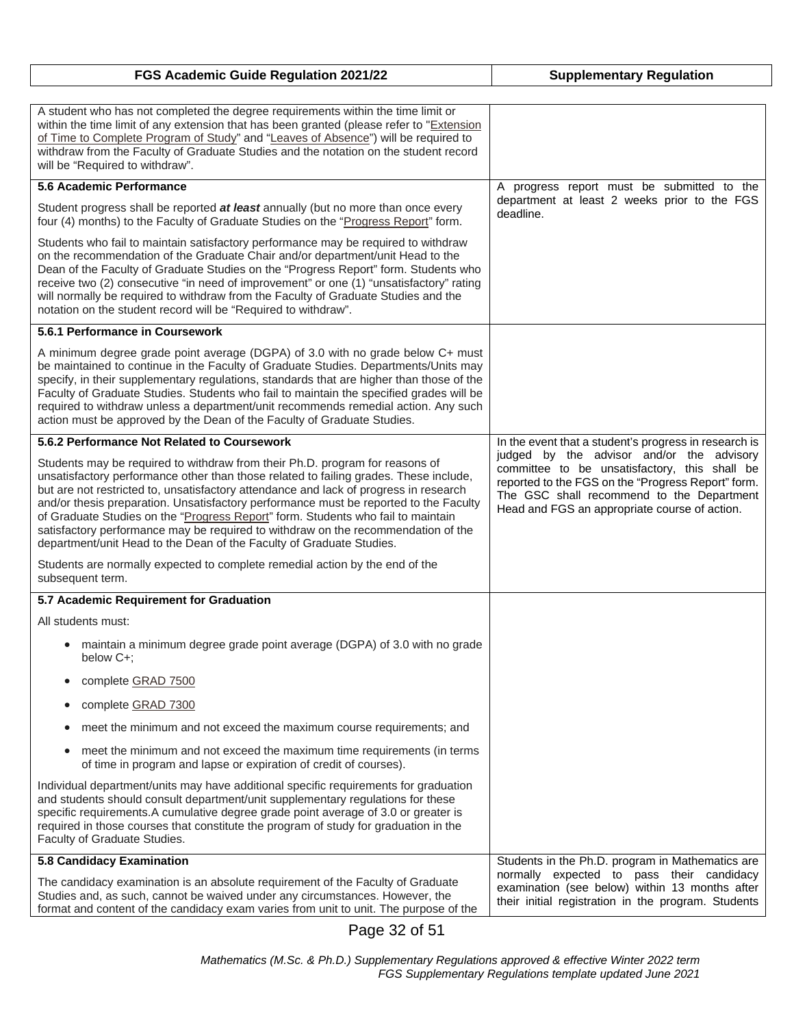| FGS Academic Guide Regulation 2021/22                                                                                                                                                                                                                                                                                                                                                                                                                                                                                                                                                                    | <b>Supplementary Regulation</b>                                                                                                                                                                                                                |
|----------------------------------------------------------------------------------------------------------------------------------------------------------------------------------------------------------------------------------------------------------------------------------------------------------------------------------------------------------------------------------------------------------------------------------------------------------------------------------------------------------------------------------------------------------------------------------------------------------|------------------------------------------------------------------------------------------------------------------------------------------------------------------------------------------------------------------------------------------------|
| A student who has not completed the degree requirements within the time limit or<br>within the time limit of any extension that has been granted (please refer to "Extension                                                                                                                                                                                                                                                                                                                                                                                                                             |                                                                                                                                                                                                                                                |
| of Time to Complete Program of Study" and "Leaves of Absence") will be required to<br>withdraw from the Faculty of Graduate Studies and the notation on the student record<br>will be "Required to withdraw".                                                                                                                                                                                                                                                                                                                                                                                            |                                                                                                                                                                                                                                                |
| 5.6 Academic Performance                                                                                                                                                                                                                                                                                                                                                                                                                                                                                                                                                                                 | A progress report must be submitted to the                                                                                                                                                                                                     |
| Student progress shall be reported at least annually (but no more than once every<br>four (4) months) to the Faculty of Graduate Studies on the "Progress Report" form.                                                                                                                                                                                                                                                                                                                                                                                                                                  | department at least 2 weeks prior to the FGS<br>deadline.                                                                                                                                                                                      |
| Students who fail to maintain satisfactory performance may be required to withdraw<br>on the recommendation of the Graduate Chair and/or department/unit Head to the<br>Dean of the Faculty of Graduate Studies on the "Progress Report" form. Students who<br>receive two (2) consecutive "in need of improvement" or one (1) "unsatisfactory" rating<br>will normally be required to withdraw from the Faculty of Graduate Studies and the<br>notation on the student record will be "Required to withdraw".                                                                                           |                                                                                                                                                                                                                                                |
| 5.6.1 Performance in Coursework                                                                                                                                                                                                                                                                                                                                                                                                                                                                                                                                                                          |                                                                                                                                                                                                                                                |
| A minimum degree grade point average (DGPA) of 3.0 with no grade below C+ must<br>be maintained to continue in the Faculty of Graduate Studies. Departments/Units may<br>specify, in their supplementary regulations, standards that are higher than those of the<br>Faculty of Graduate Studies. Students who fail to maintain the specified grades will be<br>required to withdraw unless a department/unit recommends remedial action. Any such<br>action must be approved by the Dean of the Faculty of Graduate Studies.                                                                            |                                                                                                                                                                                                                                                |
| 5.6.2 Performance Not Related to Coursework                                                                                                                                                                                                                                                                                                                                                                                                                                                                                                                                                              | In the event that a student's progress in research is                                                                                                                                                                                          |
| Students may be required to withdraw from their Ph.D. program for reasons of<br>unsatisfactory performance other than those related to failing grades. These include,<br>but are not restricted to, unsatisfactory attendance and lack of progress in research<br>and/or thesis preparation. Unsatisfactory performance must be reported to the Faculty<br>of Graduate Studies on the "Progress Report" form. Students who fail to maintain<br>satisfactory performance may be required to withdraw on the recommendation of the<br>department/unit Head to the Dean of the Faculty of Graduate Studies. | judged by the advisor and/or the advisory<br>committee to be unsatisfactory, this shall be<br>reported to the FGS on the "Progress Report" form.<br>The GSC shall recommend to the Department<br>Head and FGS an appropriate course of action. |
| Students are normally expected to complete remedial action by the end of the<br>subsequent term.                                                                                                                                                                                                                                                                                                                                                                                                                                                                                                         |                                                                                                                                                                                                                                                |
| 5.7 Academic Requirement for Graduation                                                                                                                                                                                                                                                                                                                                                                                                                                                                                                                                                                  |                                                                                                                                                                                                                                                |
| All students must:                                                                                                                                                                                                                                                                                                                                                                                                                                                                                                                                                                                       |                                                                                                                                                                                                                                                |
| • maintain a minimum degree grade point average (DGPA) of 3.0 with no grade<br>below C+:                                                                                                                                                                                                                                                                                                                                                                                                                                                                                                                 |                                                                                                                                                                                                                                                |
| complete GRAD 7500<br>$\bullet$                                                                                                                                                                                                                                                                                                                                                                                                                                                                                                                                                                          |                                                                                                                                                                                                                                                |
| complete GRAD 7300<br>$\bullet$                                                                                                                                                                                                                                                                                                                                                                                                                                                                                                                                                                          |                                                                                                                                                                                                                                                |
| meet the minimum and not exceed the maximum course requirements; and<br>$\bullet$                                                                                                                                                                                                                                                                                                                                                                                                                                                                                                                        |                                                                                                                                                                                                                                                |
| meet the minimum and not exceed the maximum time requirements (in terms<br>$\bullet$<br>of time in program and lapse or expiration of credit of courses).                                                                                                                                                                                                                                                                                                                                                                                                                                                |                                                                                                                                                                                                                                                |
| Individual department/units may have additional specific requirements for graduation<br>and students should consult department/unit supplementary regulations for these<br>specific requirements. A cumulative degree grade point average of 3.0 or greater is<br>required in those courses that constitute the program of study for graduation in the<br>Faculty of Graduate Studies.                                                                                                                                                                                                                   |                                                                                                                                                                                                                                                |
| 5.8 Candidacy Examination                                                                                                                                                                                                                                                                                                                                                                                                                                                                                                                                                                                | Students in the Ph.D. program in Mathematics are                                                                                                                                                                                               |
| The candidacy examination is an absolute requirement of the Faculty of Graduate<br>Studies and, as such, cannot be waived under any circumstances. However, the<br>format and content of the candidacy exam varies from unit to unit. The purpose of the                                                                                                                                                                                                                                                                                                                                                 | normally expected to pass their candidacy<br>examination (see below) within 13 months after<br>their initial registration in the program. Students                                                                                             |

Page 32 of 51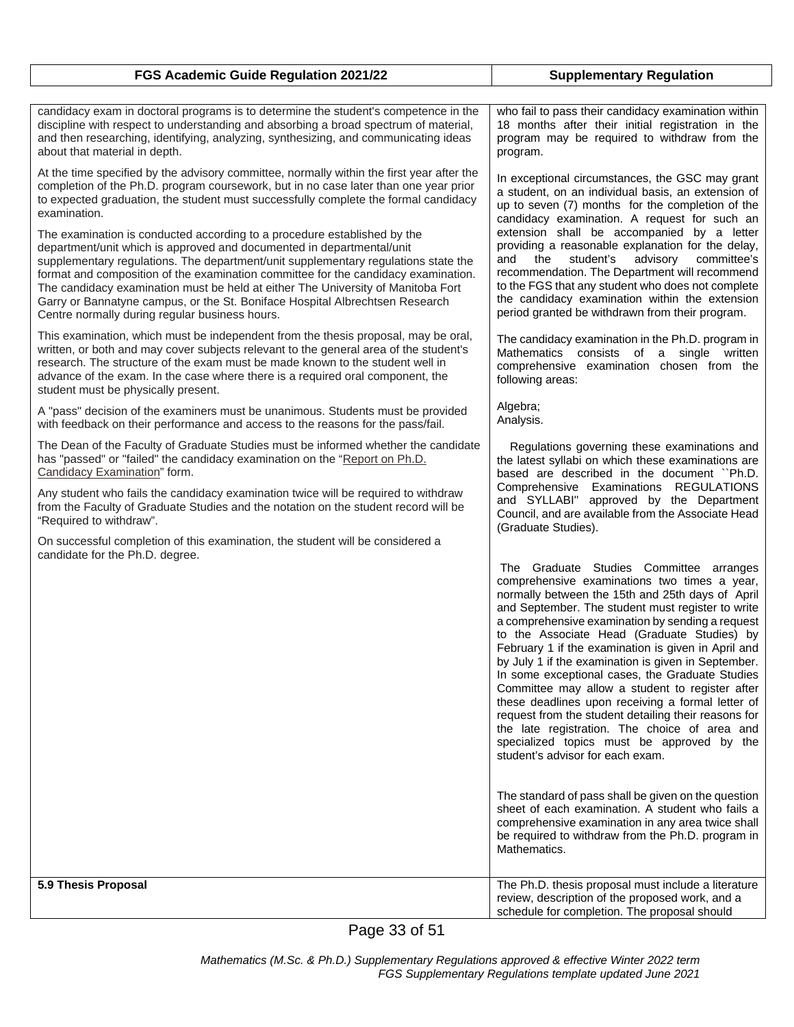| FGS Academic Guide Regulation 2021/22                                                                                                                                                                                                                                                                                                                                                                                                                                                                                                               | <b>Supplementary Regulation</b>                                                                                                                                                                                                                                                                                                                                                                                                                                                                                                                                                                                                                                                                                                                                         |
|-----------------------------------------------------------------------------------------------------------------------------------------------------------------------------------------------------------------------------------------------------------------------------------------------------------------------------------------------------------------------------------------------------------------------------------------------------------------------------------------------------------------------------------------------------|-------------------------------------------------------------------------------------------------------------------------------------------------------------------------------------------------------------------------------------------------------------------------------------------------------------------------------------------------------------------------------------------------------------------------------------------------------------------------------------------------------------------------------------------------------------------------------------------------------------------------------------------------------------------------------------------------------------------------------------------------------------------------|
| candidacy exam in doctoral programs is to determine the student's competence in the<br>discipline with respect to understanding and absorbing a broad spectrum of material,<br>and then researching, identifying, analyzing, synthesizing, and communicating ideas<br>about that material in depth.                                                                                                                                                                                                                                                 | who fail to pass their candidacy examination within<br>18 months after their initial registration in the<br>program may be required to withdraw from the<br>program.                                                                                                                                                                                                                                                                                                                                                                                                                                                                                                                                                                                                    |
| At the time specified by the advisory committee, normally within the first year after the<br>completion of the Ph.D. program coursework, but in no case later than one year prior<br>to expected graduation, the student must successfully complete the formal candidacy<br>examination.                                                                                                                                                                                                                                                            | In exceptional circumstances, the GSC may grant<br>a student, on an individual basis, an extension of<br>up to seven (7) months for the completion of the<br>candidacy examination. A request for such an                                                                                                                                                                                                                                                                                                                                                                                                                                                                                                                                                               |
| The examination is conducted according to a procedure established by the<br>department/unit which is approved and documented in departmental/unit<br>supplementary regulations. The department/unit supplementary regulations state the<br>format and composition of the examination committee for the candidacy examination.<br>The candidacy examination must be held at either The University of Manitoba Fort<br>Garry or Bannatyne campus, or the St. Boniface Hospital Albrechtsen Research<br>Centre normally during regular business hours. | extension shall be accompanied by a letter<br>providing a reasonable explanation for the delay,<br>student's<br>advisory<br>committee's<br>and the<br>recommendation. The Department will recommend<br>to the FGS that any student who does not complete<br>the candidacy examination within the extension<br>period granted be withdrawn from their program.                                                                                                                                                                                                                                                                                                                                                                                                           |
| This examination, which must be independent from the thesis proposal, may be oral,<br>written, or both and may cover subjects relevant to the general area of the student's<br>research. The structure of the exam must be made known to the student well in<br>advance of the exam. In the case where there is a required oral component, the<br>student must be physically present.                                                                                                                                                               | The candidacy examination in the Ph.D. program in<br>Mathematics consists of a single written<br>comprehensive examination chosen from the<br>following areas:                                                                                                                                                                                                                                                                                                                                                                                                                                                                                                                                                                                                          |
| A "pass" decision of the examiners must be unanimous. Students must be provided<br>with feedback on their performance and access to the reasons for the pass/fail.                                                                                                                                                                                                                                                                                                                                                                                  | Algebra;<br>Analysis.                                                                                                                                                                                                                                                                                                                                                                                                                                                                                                                                                                                                                                                                                                                                                   |
| The Dean of the Faculty of Graduate Studies must be informed whether the candidate<br>has "passed" or "failed" the candidacy examination on the "Report on Ph.D.<br>Candidacy Examination" form.                                                                                                                                                                                                                                                                                                                                                    | Regulations governing these examinations and<br>the latest syllabi on which these examinations are<br>based are described in the document "Ph.D.                                                                                                                                                                                                                                                                                                                                                                                                                                                                                                                                                                                                                        |
| Any student who fails the candidacy examination twice will be required to withdraw<br>from the Faculty of Graduate Studies and the notation on the student record will be<br>"Required to withdraw".                                                                                                                                                                                                                                                                                                                                                | Comprehensive Examinations REGULATIONS<br>and SYLLABI" approved by the Department<br>Council, and are available from the Associate Head<br>(Graduate Studies).                                                                                                                                                                                                                                                                                                                                                                                                                                                                                                                                                                                                          |
| On successful completion of this examination, the student will be considered a<br>candidate for the Ph.D. degree.                                                                                                                                                                                                                                                                                                                                                                                                                                   |                                                                                                                                                                                                                                                                                                                                                                                                                                                                                                                                                                                                                                                                                                                                                                         |
|                                                                                                                                                                                                                                                                                                                                                                                                                                                                                                                                                     | The Graduate Studies Committee arranges<br>comprehensive examinations two times a year,<br>normally between the 15th and 25th days of April<br>and September. The student must register to write<br>a comprehensive examination by sending a request<br>to the Associate Head (Graduate Studies) by<br>February 1 if the examination is given in April and<br>by July 1 if the examination is given in September.<br>In some exceptional cases, the Graduate Studies<br>Committee may allow a student to register after<br>these deadlines upon receiving a formal letter of<br>request from the student detailing their reasons for<br>the late registration. The choice of area and<br>specialized topics must be approved by the<br>student's advisor for each exam. |
|                                                                                                                                                                                                                                                                                                                                                                                                                                                                                                                                                     | The standard of pass shall be given on the question<br>sheet of each examination. A student who fails a<br>comprehensive examination in any area twice shall<br>be required to withdraw from the Ph.D. program in<br>Mathematics.                                                                                                                                                                                                                                                                                                                                                                                                                                                                                                                                       |
| 5.9 Thesis Proposal                                                                                                                                                                                                                                                                                                                                                                                                                                                                                                                                 | The Ph.D. thesis proposal must include a literature<br>review, description of the proposed work, and a<br>schedule for completion. The proposal should                                                                                                                                                                                                                                                                                                                                                                                                                                                                                                                                                                                                                  |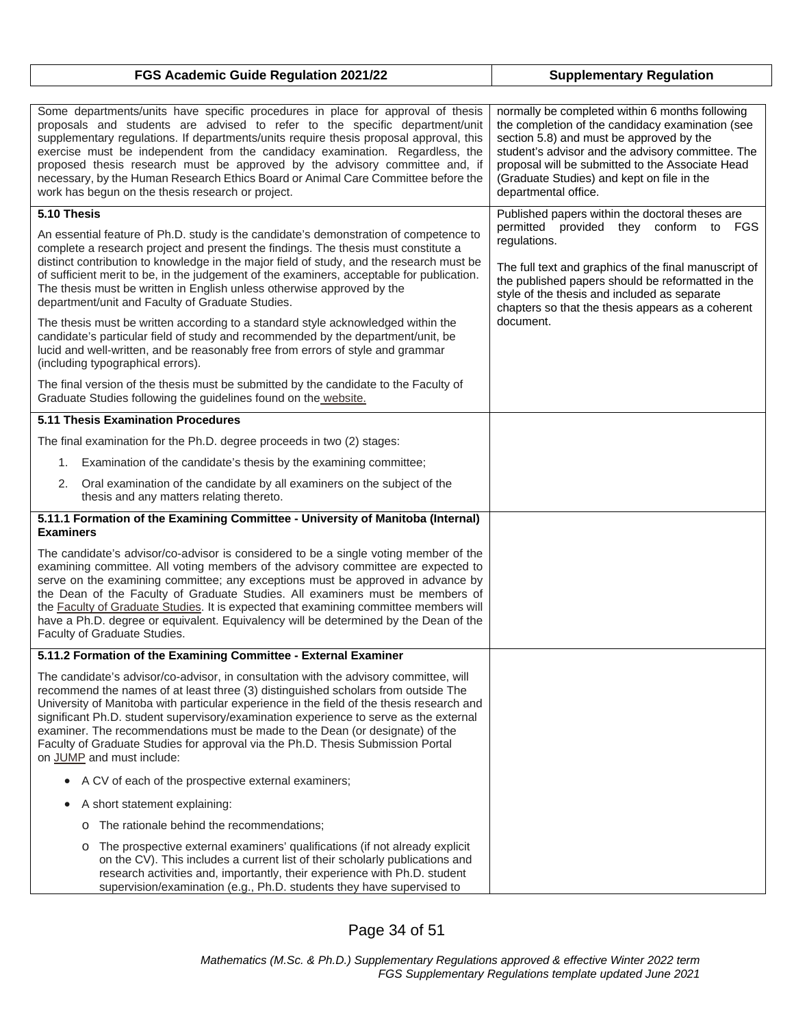| FGS Academic Guide Regulation 2021/22 | <b>Supplementary Regulation</b> |
|---------------------------------------|---------------------------------|
|---------------------------------------|---------------------------------|

| Some departments/units have specific procedures in place for approval of thesis<br>proposals and students are advised to refer to the specific department/unit<br>supplementary regulations. If departments/units require thesis proposal approval, this<br>exercise must be independent from the candidacy examination. Regardless, the<br>proposed thesis research must be approved by the advisory committee and, if<br>necessary, by the Human Research Ethics Board or Animal Care Committee before the<br>work has begun on the thesis research or project. | normally be completed within 6 months following<br>the completion of the candidacy examination (see<br>section 5.8) and must be approved by the<br>student's advisor and the advisory committee. The<br>proposal will be submitted to the Associate Head<br>(Graduate Studies) and kept on file in the<br>departmental office. |
|-------------------------------------------------------------------------------------------------------------------------------------------------------------------------------------------------------------------------------------------------------------------------------------------------------------------------------------------------------------------------------------------------------------------------------------------------------------------------------------------------------------------------------------------------------------------|--------------------------------------------------------------------------------------------------------------------------------------------------------------------------------------------------------------------------------------------------------------------------------------------------------------------------------|
| 5.10 Thesis                                                                                                                                                                                                                                                                                                                                                                                                                                                                                                                                                       | Published papers within the doctoral theses are                                                                                                                                                                                                                                                                                |
| An essential feature of Ph.D. study is the candidate's demonstration of competence to<br>complete a research project and present the findings. The thesis must constitute a<br>distinct contribution to knowledge in the major field of study, and the research must be<br>of sufficient merit to be, in the judgement of the examiners, acceptable for publication.<br>The thesis must be written in English unless otherwise approved by the<br>department/unit and Faculty of Graduate Studies.                                                                | permitted provided they conform to FGS<br>regulations.<br>The full text and graphics of the final manuscript of<br>the published papers should be reformatted in the<br>style of the thesis and included as separate<br>chapters so that the thesis appears as a coherent                                                      |
| The thesis must be written according to a standard style acknowledged within the<br>candidate's particular field of study and recommended by the department/unit, be<br>lucid and well-written, and be reasonably free from errors of style and grammar<br>(including typographical errors).                                                                                                                                                                                                                                                                      | document.                                                                                                                                                                                                                                                                                                                      |
| The final version of the thesis must be submitted by the candidate to the Faculty of<br>Graduate Studies following the guidelines found on the website.                                                                                                                                                                                                                                                                                                                                                                                                           |                                                                                                                                                                                                                                                                                                                                |
| 5.11 Thesis Examination Procedures                                                                                                                                                                                                                                                                                                                                                                                                                                                                                                                                |                                                                                                                                                                                                                                                                                                                                |
| The final examination for the Ph.D. degree proceeds in two (2) stages:                                                                                                                                                                                                                                                                                                                                                                                                                                                                                            |                                                                                                                                                                                                                                                                                                                                |
| 1. Examination of the candidate's thesis by the examining committee;                                                                                                                                                                                                                                                                                                                                                                                                                                                                                              |                                                                                                                                                                                                                                                                                                                                |
| Oral examination of the candidate by all examiners on the subject of the<br>2.<br>thesis and any matters relating thereto.                                                                                                                                                                                                                                                                                                                                                                                                                                        |                                                                                                                                                                                                                                                                                                                                |
| 5.11.1 Formation of the Examining Committee - University of Manitoba (Internal)<br><b>Examiners</b>                                                                                                                                                                                                                                                                                                                                                                                                                                                               |                                                                                                                                                                                                                                                                                                                                |
| The candidate's advisor/co-advisor is considered to be a single voting member of the<br>examining committee. All voting members of the advisory committee are expected to<br>serve on the examining committee; any exceptions must be approved in advance by<br>the Dean of the Faculty of Graduate Studies. All examiners must be members of<br>the Faculty of Graduate Studies. It is expected that examining committee members will<br>have a Ph.D. degree or equivalent. Equivalency will be determined by the Dean of the<br>Faculty of Graduate Studies.    |                                                                                                                                                                                                                                                                                                                                |
| 5.11.2 Formation of the Examining Committee - External Examiner                                                                                                                                                                                                                                                                                                                                                                                                                                                                                                   |                                                                                                                                                                                                                                                                                                                                |
| The candidate's advisor/co-advisor, in consultation with the advisory committee, will<br>recommend the names of at least three (3) distinguished scholars from outside The<br>University of Manitoba with particular experience in the field of the thesis research and<br>significant Ph.D. student supervisory/examination experience to serve as the external<br>examiner. The recommendations must be made to the Dean (or designate) of the<br>Faculty of Graduate Studies for approval via the Ph.D. Thesis Submission Portal<br>on JUMP and must include:  |                                                                                                                                                                                                                                                                                                                                |
| A CV of each of the prospective external examiners;<br>$\bullet$                                                                                                                                                                                                                                                                                                                                                                                                                                                                                                  |                                                                                                                                                                                                                                                                                                                                |
| A short statement explaining:<br>٠                                                                                                                                                                                                                                                                                                                                                                                                                                                                                                                                |                                                                                                                                                                                                                                                                                                                                |
| The rationale behind the recommendations;<br>$\circ$                                                                                                                                                                                                                                                                                                                                                                                                                                                                                                              |                                                                                                                                                                                                                                                                                                                                |
| The prospective external examiners' qualifications (if not already explicit<br>O<br>on the CV). This includes a current list of their scholarly publications and<br>research activities and, importantly, their experience with Ph.D. student<br>supervision/examination (e.g., Ph.D. students they have supervised to                                                                                                                                                                                                                                            |                                                                                                                                                                                                                                                                                                                                |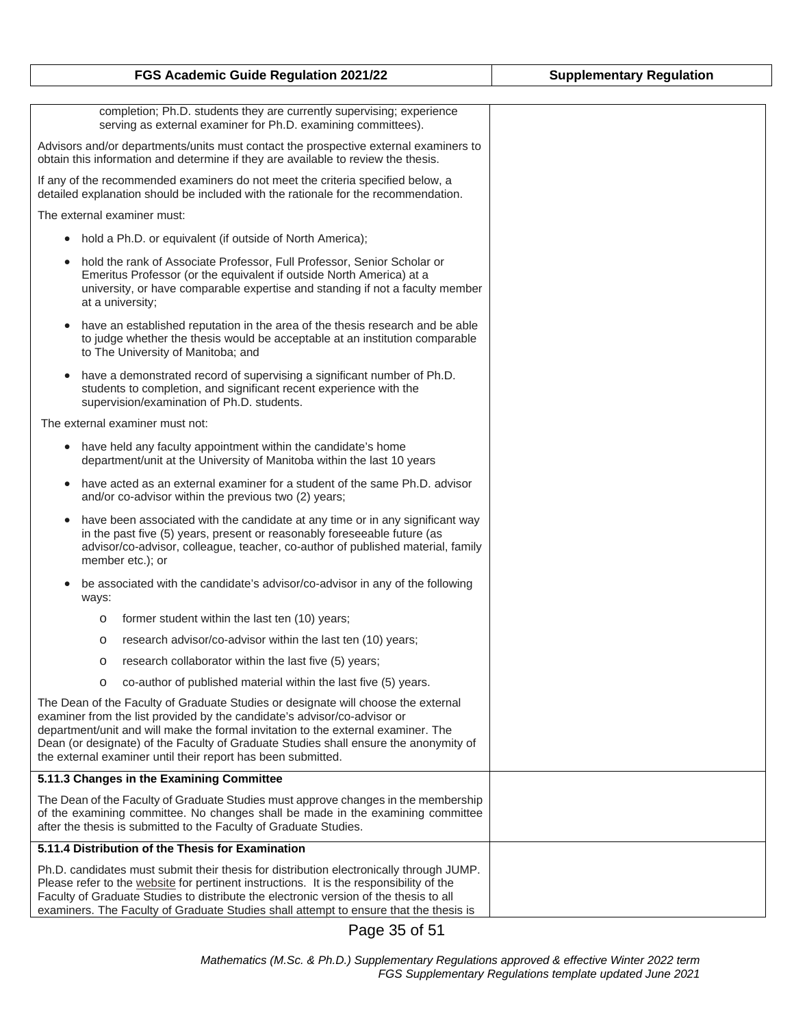| FGS Academic Guide Regulation 2021/22                                                                                                                                                                                                                                                                                                                                                                      | <b>Supplementary Regulation</b> |
|------------------------------------------------------------------------------------------------------------------------------------------------------------------------------------------------------------------------------------------------------------------------------------------------------------------------------------------------------------------------------------------------------------|---------------------------------|
|                                                                                                                                                                                                                                                                                                                                                                                                            |                                 |
| completion; Ph.D. students they are currently supervising; experience<br>serving as external examiner for Ph.D. examining committees).                                                                                                                                                                                                                                                                     |                                 |
| Advisors and/or departments/units must contact the prospective external examiners to<br>obtain this information and determine if they are available to review the thesis.                                                                                                                                                                                                                                  |                                 |
| If any of the recommended examiners do not meet the criteria specified below, a<br>detailed explanation should be included with the rationale for the recommendation.                                                                                                                                                                                                                                      |                                 |
| The external examiner must:                                                                                                                                                                                                                                                                                                                                                                                |                                 |
| hold a Ph.D. or equivalent (if outside of North America);                                                                                                                                                                                                                                                                                                                                                  |                                 |
| hold the rank of Associate Professor, Full Professor, Senior Scholar or<br>Emeritus Professor (or the equivalent if outside North America) at a<br>university, or have comparable expertise and standing if not a faculty member<br>at a university;                                                                                                                                                       |                                 |
| have an established reputation in the area of the thesis research and be able<br>to judge whether the thesis would be acceptable at an institution comparable<br>to The University of Manitoba; and                                                                                                                                                                                                        |                                 |
| have a demonstrated record of supervising a significant number of Ph.D.<br>$\bullet$<br>students to completion, and significant recent experience with the<br>supervision/examination of Ph.D. students.                                                                                                                                                                                                   |                                 |
| The external examiner must not:                                                                                                                                                                                                                                                                                                                                                                            |                                 |
| have held any faculty appointment within the candidate's home<br>$\bullet$<br>department/unit at the University of Manitoba within the last 10 years                                                                                                                                                                                                                                                       |                                 |
| have acted as an external examiner for a student of the same Ph.D. advisor<br>$\bullet$<br>and/or co-advisor within the previous two (2) years;                                                                                                                                                                                                                                                            |                                 |
| have been associated with the candidate at any time or in any significant way<br>$\bullet$<br>in the past five (5) years, present or reasonably foreseeable future (as<br>advisor/co-advisor, colleague, teacher, co-author of published material, family<br>member etc.); or                                                                                                                              |                                 |
| be associated with the candidate's advisor/co-advisor in any of the following<br>ways:                                                                                                                                                                                                                                                                                                                     |                                 |
| former student within the last ten (10) years;<br>$\circ$                                                                                                                                                                                                                                                                                                                                                  |                                 |
| research advisor/co-advisor within the last ten (10) years;<br>$\circ$                                                                                                                                                                                                                                                                                                                                     |                                 |
| research collaborator within the last five (5) years;<br>$\circ$                                                                                                                                                                                                                                                                                                                                           |                                 |
| co-author of published material within the last five (5) years.<br>$\circ$                                                                                                                                                                                                                                                                                                                                 |                                 |
| The Dean of the Faculty of Graduate Studies or designate will choose the external<br>examiner from the list provided by the candidate's advisor/co-advisor or<br>department/unit and will make the formal invitation to the external examiner. The<br>Dean (or designate) of the Faculty of Graduate Studies shall ensure the anonymity of<br>the external examiner until their report has been submitted. |                                 |
| 5.11.3 Changes in the Examining Committee                                                                                                                                                                                                                                                                                                                                                                  |                                 |
| The Dean of the Faculty of Graduate Studies must approve changes in the membership<br>of the examining committee. No changes shall be made in the examining committee<br>after the thesis is submitted to the Faculty of Graduate Studies.                                                                                                                                                                 |                                 |
| 5.11.4 Distribution of the Thesis for Examination                                                                                                                                                                                                                                                                                                                                                          |                                 |
| Ph.D. candidates must submit their thesis for distribution electronically through JUMP.<br>Please refer to the website for pertinent instructions. It is the responsibility of the<br>Faculty of Graduate Studies to distribute the electronic version of the thesis to all<br>examiners. The Faculty of Graduate Studies shall attempt to ensure that the thesis is                                       |                                 |

Page 35 of 51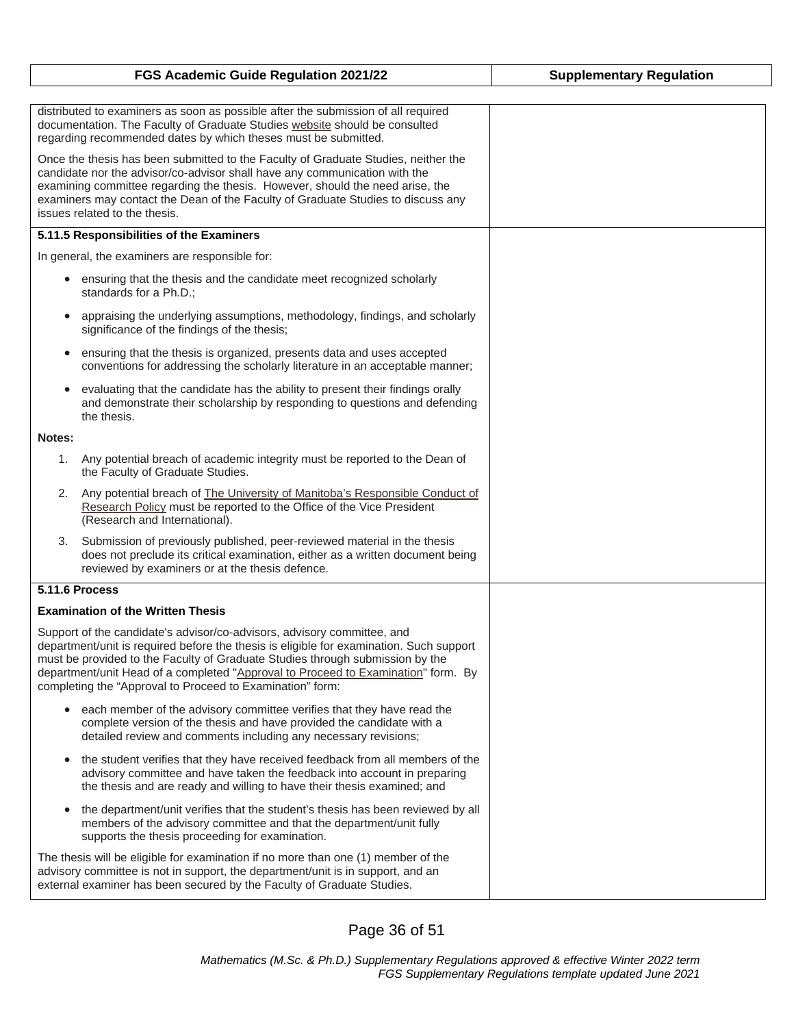|           | FGS Academic Guide Regulation 2021/22                                                                                                                                                                                                                                                                                                                                                                 | <b>Supplementary Regulation</b> |
|-----------|-------------------------------------------------------------------------------------------------------------------------------------------------------------------------------------------------------------------------------------------------------------------------------------------------------------------------------------------------------------------------------------------------------|---------------------------------|
|           |                                                                                                                                                                                                                                                                                                                                                                                                       |                                 |
|           | distributed to examiners as soon as possible after the submission of all required<br>documentation. The Faculty of Graduate Studies website should be consulted<br>regarding recommended dates by which theses must be submitted.                                                                                                                                                                     |                                 |
|           | Once the thesis has been submitted to the Faculty of Graduate Studies, neither the<br>candidate nor the advisor/co-advisor shall have any communication with the<br>examining committee regarding the thesis. However, should the need arise, the<br>examiners may contact the Dean of the Faculty of Graduate Studies to discuss any<br>issues related to the thesis.                                |                                 |
|           | 5.11.5 Responsibilities of the Examiners                                                                                                                                                                                                                                                                                                                                                              |                                 |
|           | In general, the examiners are responsible for:                                                                                                                                                                                                                                                                                                                                                        |                                 |
| $\bullet$ | ensuring that the thesis and the candidate meet recognized scholarly<br>standards for a Ph.D.;                                                                                                                                                                                                                                                                                                        |                                 |
|           | appraising the underlying assumptions, methodology, findings, and scholarly<br>significance of the findings of the thesis;                                                                                                                                                                                                                                                                            |                                 |
| $\bullet$ | ensuring that the thesis is organized, presents data and uses accepted<br>conventions for addressing the scholarly literature in an acceptable manner;                                                                                                                                                                                                                                                |                                 |
| $\bullet$ | evaluating that the candidate has the ability to present their findings orally<br>and demonstrate their scholarship by responding to questions and defending<br>the thesis.                                                                                                                                                                                                                           |                                 |
| Notes:    |                                                                                                                                                                                                                                                                                                                                                                                                       |                                 |
| 1.        | Any potential breach of academic integrity must be reported to the Dean of<br>the Faculty of Graduate Studies.                                                                                                                                                                                                                                                                                        |                                 |
|           | 2. Any potential breach of The University of Manitoba's Responsible Conduct of<br>Research Policy must be reported to the Office of the Vice President<br>(Research and International).                                                                                                                                                                                                               |                                 |
|           | 3. Submission of previously published, peer-reviewed material in the thesis<br>does not preclude its critical examination, either as a written document being<br>reviewed by examiners or at the thesis defence.                                                                                                                                                                                      |                                 |
|           | 5.11.6 Process                                                                                                                                                                                                                                                                                                                                                                                        |                                 |
|           | <b>Examination of the Written Thesis</b>                                                                                                                                                                                                                                                                                                                                                              |                                 |
|           | Support of the candidate's advisor/co-advisors, advisory committee, and<br>department/unit is required before the thesis is eligible for examination. Such support<br>must be provided to the Faculty of Graduate Studies through submission by the<br>department/unit Head of a completed "Approval to Proceed to Examination" form. By<br>completing the "Approval to Proceed to Examination" form: |                                 |
|           | each member of the advisory committee verifies that they have read the<br>complete version of the thesis and have provided the candidate with a<br>detailed review and comments including any necessary revisions;                                                                                                                                                                                    |                                 |
| $\bullet$ | the student verifies that they have received feedback from all members of the<br>advisory committee and have taken the feedback into account in preparing<br>the thesis and are ready and willing to have their thesis examined; and                                                                                                                                                                  |                                 |
| $\bullet$ | the department/unit verifies that the student's thesis has been reviewed by all<br>members of the advisory committee and that the department/unit fully<br>supports the thesis proceeding for examination.                                                                                                                                                                                            |                                 |
|           | The thesis will be eligible for examination if no more than one (1) member of the<br>advisory committee is not in support, the department/unit is in support, and an<br>external examiner has been secured by the Faculty of Graduate Studies.                                                                                                                                                        |                                 |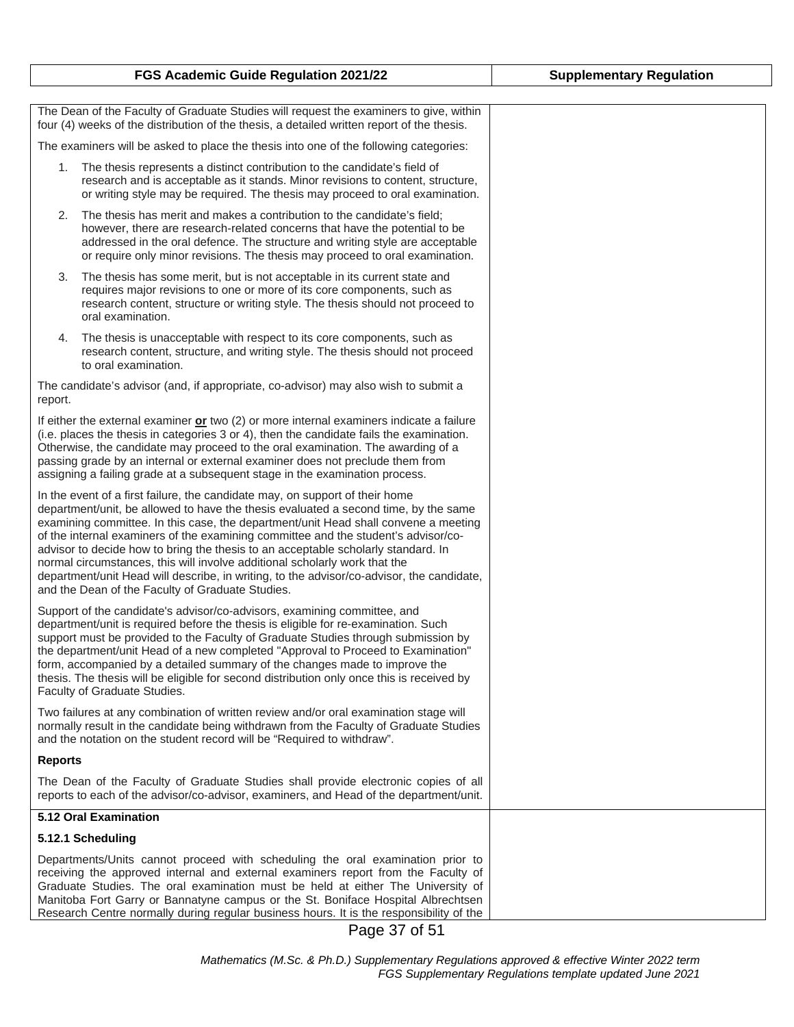### The Dean of the Faculty of Graduate Studies will request the examiners to give, within four (4) weeks of the distribution of the thesis, a detailed written report of the thesis. The examiners will be asked to place the thesis into one of the following categories: 1. The thesis represents a distinct contribution to the candidate's field of research and is acceptable as it stands. Minor revisions to content, structure, or writing style may be required. The thesis may proceed to oral examination. 2. The thesis has merit and makes a contribution to the candidate's field; however, there are research-related concerns that have the potential to be addressed in the oral defence. The structure and writing style are acceptable or require only minor revisions. The thesis may proceed to oral examination. 3. The thesis has some merit, but is not acceptable in its current state and requires major revisions to one or more of its core components, such as research content, structure or writing style. The thesis should not proceed to oral examination. 4. The thesis is unacceptable with respect to its core components, such as research content, structure, and writing style. The thesis should not proceed to oral examination. The candidate's advisor (and, if appropriate, co-advisor) may also wish to submit a report. If either the external examiner **or** two (2) or more internal examiners indicate a failure (i.e. places the thesis in categories 3 or 4), then the candidate fails the examination. Otherwise, the candidate may proceed to the oral examination. The awarding of a passing grade by an internal or external examiner does not preclude them from assigning a failing grade at a subsequent stage in the examination process. In the event of a first failure, the candidate may, on support of their home department/unit, be allowed to have the thesis evaluated a second time, by the same examining committee. In this case, the department/unit Head shall convene a meeting of the internal examiners of the examining committee and the student's advisor/coadvisor to decide how to bring the thesis to an acceptable scholarly standard. In normal circumstances, this will involve additional scholarly work that the department/unit Head will describe, in writing, to the advisor/co-advisor, the candidate, and the Dean of the Faculty of Graduate Studies. Support of the candidate's advisor/co-advisors, examining committee, and department/unit is required before the thesis is eligible for re-examination. Such support must be provided to the Faculty of Graduate Studies through submission by the department/unit Head of a new completed "Approval to Proceed to Examination" form, accompanied by a detailed summary of the changes made to improve the thesis. The thesis will be eligible for second distribution only once this is received by Faculty of Graduate Studies. Two failures at any combination of written review and/or oral examination stage will normally result in the candidate being withdrawn from the Faculty of Graduate Studies and the notation on the student record will be "Required to withdraw". **Reports** The Dean of the Faculty of Graduate Studies shall provide electronic copies of all reports to each of the advisor/co-advisor, examiners, and Head of the department/unit. **5.12 Oral Examination 5.12.1 Scheduling** Departments/Units cannot proceed with scheduling the oral examination prior to receiving the approved internal and external examiners report from the Faculty of Graduate Studies. The oral examination must be held at either The University of Manitoba Fort Garry or Bannatyne campus or the St. Boniface Hospital Albrechtsen

Page 37 of 51

Research Centre normally during regular business hours. It is the responsibility of the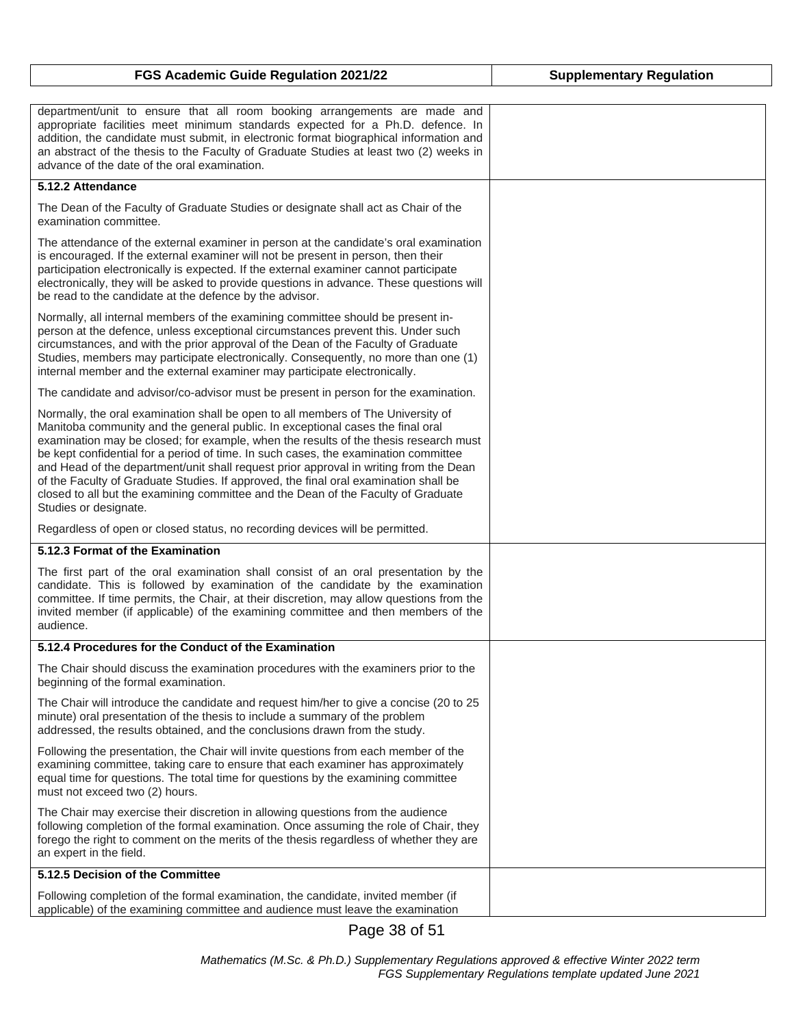| FGS Academic Guide Regulation 2021/22                                                                                                                                                                                                                                                                                                                                                                                                                                                                                                                                                                                                            | <b>Supplementary Regulation</b> |
|--------------------------------------------------------------------------------------------------------------------------------------------------------------------------------------------------------------------------------------------------------------------------------------------------------------------------------------------------------------------------------------------------------------------------------------------------------------------------------------------------------------------------------------------------------------------------------------------------------------------------------------------------|---------------------------------|
|                                                                                                                                                                                                                                                                                                                                                                                                                                                                                                                                                                                                                                                  |                                 |
| department/unit to ensure that all room booking arrangements are made and<br>appropriate facilities meet minimum standards expected for a Ph.D. defence. In<br>addition, the candidate must submit, in electronic format biographical information and<br>an abstract of the thesis to the Faculty of Graduate Studies at least two (2) weeks in<br>advance of the date of the oral examination.                                                                                                                                                                                                                                                  |                                 |
| 5.12.2 Attendance                                                                                                                                                                                                                                                                                                                                                                                                                                                                                                                                                                                                                                |                                 |
| The Dean of the Faculty of Graduate Studies or designate shall act as Chair of the<br>examination committee.                                                                                                                                                                                                                                                                                                                                                                                                                                                                                                                                     |                                 |
| The attendance of the external examiner in person at the candidate's oral examination<br>is encouraged. If the external examiner will not be present in person, then their<br>participation electronically is expected. If the external examiner cannot participate<br>electronically, they will be asked to provide questions in advance. These questions will<br>be read to the candidate at the defence by the advisor.                                                                                                                                                                                                                       |                                 |
| Normally, all internal members of the examining committee should be present in-<br>person at the defence, unless exceptional circumstances prevent this. Under such<br>circumstances, and with the prior approval of the Dean of the Faculty of Graduate<br>Studies, members may participate electronically. Consequently, no more than one (1)<br>internal member and the external examiner may participate electronically.                                                                                                                                                                                                                     |                                 |
| The candidate and advisor/co-advisor must be present in person for the examination.                                                                                                                                                                                                                                                                                                                                                                                                                                                                                                                                                              |                                 |
| Normally, the oral examination shall be open to all members of The University of<br>Manitoba community and the general public. In exceptional cases the final oral<br>examination may be closed; for example, when the results of the thesis research must<br>be kept confidential for a period of time. In such cases, the examination committee<br>and Head of the department/unit shall request prior approval in writing from the Dean<br>of the Faculty of Graduate Studies. If approved, the final oral examination shall be<br>closed to all but the examining committee and the Dean of the Faculty of Graduate<br>Studies or designate. |                                 |
| Regardless of open or closed status, no recording devices will be permitted.                                                                                                                                                                                                                                                                                                                                                                                                                                                                                                                                                                     |                                 |
| 5.12.3 Format of the Examination                                                                                                                                                                                                                                                                                                                                                                                                                                                                                                                                                                                                                 |                                 |
| The first part of the oral examination shall consist of an oral presentation by the<br>candidate. This is followed by examination of the candidate by the examination<br>committee. If time permits, the Chair, at their discretion, may allow questions from the<br>invited member (if applicable) of the examining committee and then members of the<br>audience.                                                                                                                                                                                                                                                                              |                                 |
| 5.12.4 Procedures for the Conduct of the Examination                                                                                                                                                                                                                                                                                                                                                                                                                                                                                                                                                                                             |                                 |
| The Chair should discuss the examination procedures with the examiners prior to the<br>beginning of the formal examination.                                                                                                                                                                                                                                                                                                                                                                                                                                                                                                                      |                                 |
| The Chair will introduce the candidate and request him/her to give a concise (20 to 25<br>minute) oral presentation of the thesis to include a summary of the problem<br>addressed, the results obtained, and the conclusions drawn from the study.                                                                                                                                                                                                                                                                                                                                                                                              |                                 |
| Following the presentation, the Chair will invite questions from each member of the<br>examining committee, taking care to ensure that each examiner has approximately<br>equal time for questions. The total time for questions by the examining committee<br>must not exceed two (2) hours.                                                                                                                                                                                                                                                                                                                                                    |                                 |
| The Chair may exercise their discretion in allowing questions from the audience<br>following completion of the formal examination. Once assuming the role of Chair, they<br>forego the right to comment on the merits of the thesis regardless of whether they are<br>an expert in the field.                                                                                                                                                                                                                                                                                                                                                    |                                 |
| 5.12.5 Decision of the Committee                                                                                                                                                                                                                                                                                                                                                                                                                                                                                                                                                                                                                 |                                 |
| Following completion of the formal examination, the candidate, invited member (if<br>applicable) of the examining committee and audience must leave the examination                                                                                                                                                                                                                                                                                                                                                                                                                                                                              |                                 |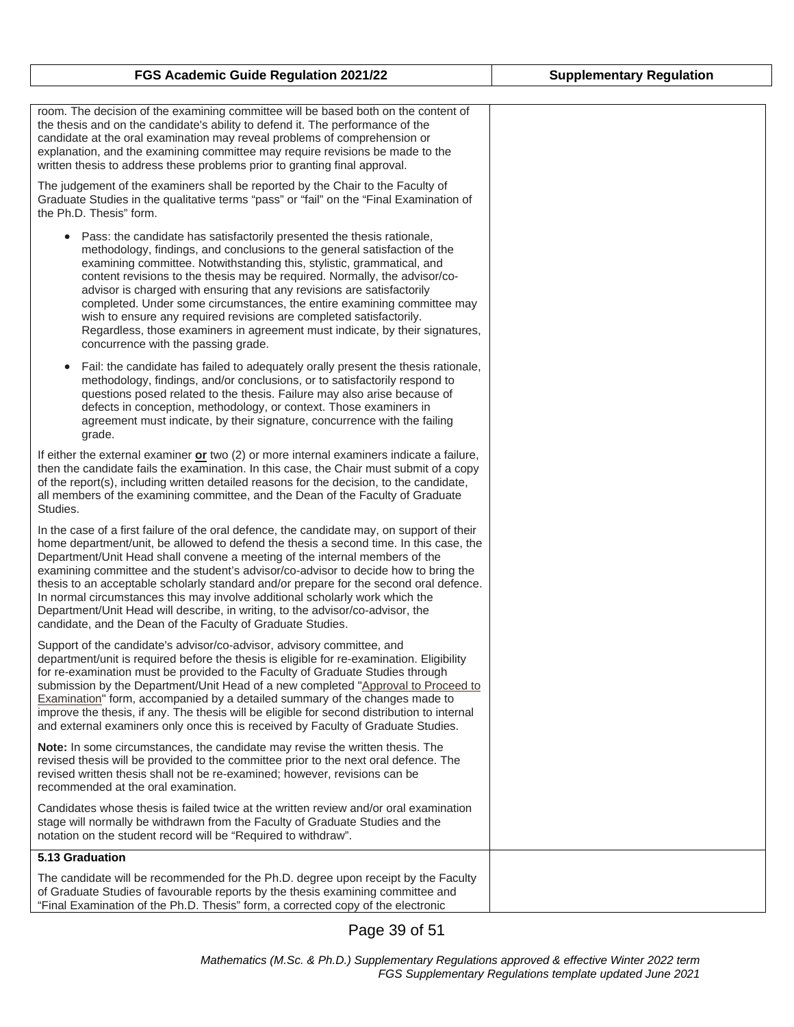| room. The decision of the examining committee will be based both on the content of<br>the thesis and on the candidate's ability to defend it. The performance of the<br>candidate at the oral examination may reveal problems of comprehension or<br>explanation, and the examining committee may require revisions be made to the<br>written thesis to address these problems prior to granting final approval.                                                                                                                                                                                                                                                                      |  |
|---------------------------------------------------------------------------------------------------------------------------------------------------------------------------------------------------------------------------------------------------------------------------------------------------------------------------------------------------------------------------------------------------------------------------------------------------------------------------------------------------------------------------------------------------------------------------------------------------------------------------------------------------------------------------------------|--|
| The judgement of the examiners shall be reported by the Chair to the Faculty of<br>Graduate Studies in the qualitative terms "pass" or "fail" on the "Final Examination of<br>the Ph.D. Thesis" form.                                                                                                                                                                                                                                                                                                                                                                                                                                                                                 |  |
| Pass: the candidate has satisfactorily presented the thesis rationale,<br>$\bullet$<br>methodology, findings, and conclusions to the general satisfaction of the<br>examining committee. Notwithstanding this, stylistic, grammatical, and<br>content revisions to the thesis may be required. Normally, the advisor/co-<br>advisor is charged with ensuring that any revisions are satisfactorily<br>completed. Under some circumstances, the entire examining committee may<br>wish to ensure any required revisions are completed satisfactorily.<br>Regardless, those examiners in agreement must indicate, by their signatures,<br>concurrence with the passing grade.           |  |
| Fail: the candidate has failed to adequately orally present the thesis rationale,<br>$\bullet$<br>methodology, findings, and/or conclusions, or to satisfactorily respond to<br>questions posed related to the thesis. Failure may also arise because of<br>defects in conception, methodology, or context. Those examiners in<br>agreement must indicate, by their signature, concurrence with the failing<br>grade.                                                                                                                                                                                                                                                                 |  |
| If either the external examiner or two (2) or more internal examiners indicate a failure,<br>then the candidate fails the examination. In this case, the Chair must submit of a copy<br>of the report(s), including written detailed reasons for the decision, to the candidate,<br>all members of the examining committee, and the Dean of the Faculty of Graduate<br>Studies.                                                                                                                                                                                                                                                                                                       |  |
| In the case of a first failure of the oral defence, the candidate may, on support of their<br>home department/unit, be allowed to defend the thesis a second time. In this case, the<br>Department/Unit Head shall convene a meeting of the internal members of the<br>examining committee and the student's advisor/co-advisor to decide how to bring the<br>thesis to an acceptable scholarly standard and/or prepare for the second oral defence.<br>In normal circumstances this may involve additional scholarly work which the<br>Department/Unit Head will describe, in writing, to the advisor/co-advisor, the<br>candidate, and the Dean of the Faculty of Graduate Studies. |  |
| Support of the candidate's advisor/co-advisor, advisory committee, and<br>department/unit is required before the thesis is eligible for re-examination. Eligibility<br>for re-examination must be provided to the Faculty of Graduate Studies through<br>submission by the Department/Unit Head of a new completed "Approval to Proceed to<br><b>Examination</b> " form, accompanied by a detailed summary of the changes made to<br>improve the thesis, if any. The thesis will be eligible for second distribution to internal<br>and external examiners only once this is received by Faculty of Graduate Studies.                                                                 |  |
| Note: In some circumstances, the candidate may revise the written thesis. The<br>revised thesis will be provided to the committee prior to the next oral defence. The<br>revised written thesis shall not be re-examined; however, revisions can be<br>recommended at the oral examination.                                                                                                                                                                                                                                                                                                                                                                                           |  |
| Candidates whose thesis is failed twice at the written review and/or oral examination<br>stage will normally be withdrawn from the Faculty of Graduate Studies and the<br>notation on the student record will be "Required to withdraw".                                                                                                                                                                                                                                                                                                                                                                                                                                              |  |
| 5.13 Graduation                                                                                                                                                                                                                                                                                                                                                                                                                                                                                                                                                                                                                                                                       |  |
| The candidate will be recommended for the Ph.D. degree upon receipt by the Faculty<br>of Graduate Studies of favourable reports by the thesis examining committee and<br>"Final Examination of the Ph.D. Thesis" form, a corrected copy of the electronic                                                                                                                                                                                                                                                                                                                                                                                                                             |  |

Page 39 of 51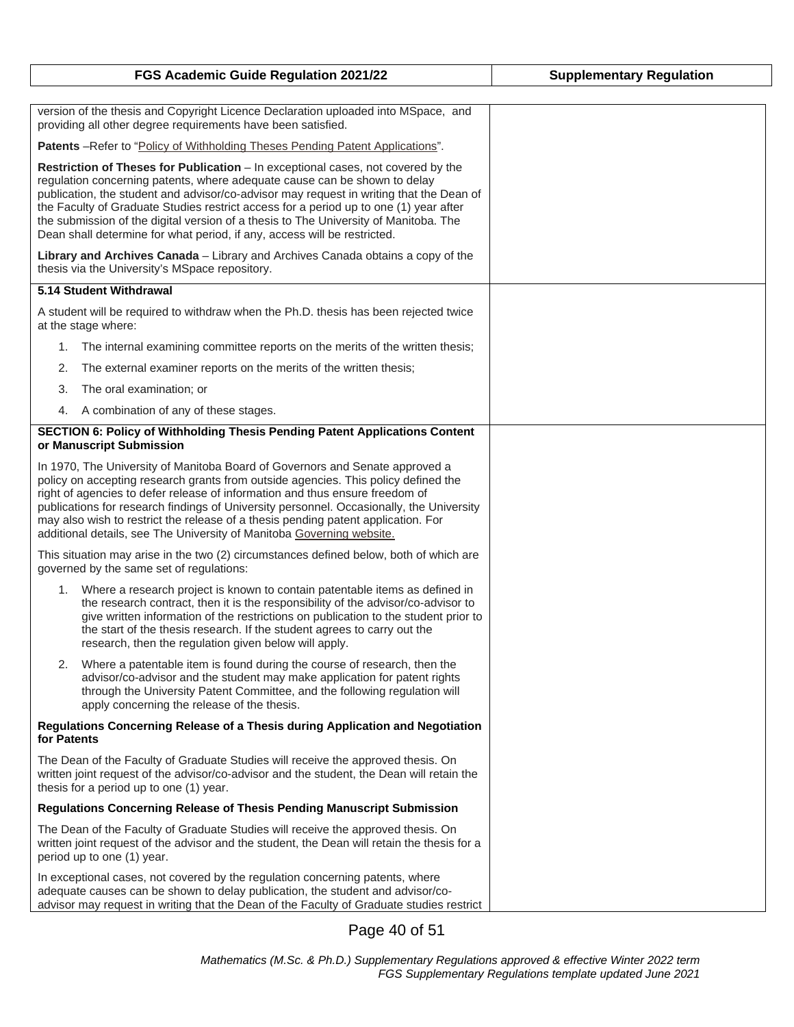| FGS Academic Guide Regulation 2021/22                                                                                                                                                                                                                                                                                                                                                                                                                                                                                        | <b>Supplementary Regulation</b> |
|------------------------------------------------------------------------------------------------------------------------------------------------------------------------------------------------------------------------------------------------------------------------------------------------------------------------------------------------------------------------------------------------------------------------------------------------------------------------------------------------------------------------------|---------------------------------|
|                                                                                                                                                                                                                                                                                                                                                                                                                                                                                                                              |                                 |
| version of the thesis and Copyright Licence Declaration uploaded into MSpace, and<br>providing all other degree requirements have been satisfied.                                                                                                                                                                                                                                                                                                                                                                            |                                 |
| Patents -Refer to "Policy of Withholding Theses Pending Patent Applications".                                                                                                                                                                                                                                                                                                                                                                                                                                                |                                 |
| <b>Restriction of Theses for Publication</b> – In exceptional cases, not covered by the<br>regulation concerning patents, where adequate cause can be shown to delay<br>publication, the student and advisor/co-advisor may request in writing that the Dean of<br>the Faculty of Graduate Studies restrict access for a period up to one (1) year after<br>the submission of the digital version of a thesis to The University of Manitoba. The<br>Dean shall determine for what period, if any, access will be restricted. |                                 |
| Library and Archives Canada - Library and Archives Canada obtains a copy of the<br>thesis via the University's MSpace repository.                                                                                                                                                                                                                                                                                                                                                                                            |                                 |
| 5.14 Student Withdrawal                                                                                                                                                                                                                                                                                                                                                                                                                                                                                                      |                                 |
| A student will be required to withdraw when the Ph.D. thesis has been rejected twice<br>at the stage where:                                                                                                                                                                                                                                                                                                                                                                                                                  |                                 |
| The internal examining committee reports on the merits of the written thesis;<br>1.                                                                                                                                                                                                                                                                                                                                                                                                                                          |                                 |
| 2.<br>The external examiner reports on the merits of the written thesis;                                                                                                                                                                                                                                                                                                                                                                                                                                                     |                                 |
| The oral examination; or<br>3.                                                                                                                                                                                                                                                                                                                                                                                                                                                                                               |                                 |
| A combination of any of these stages.<br>4.                                                                                                                                                                                                                                                                                                                                                                                                                                                                                  |                                 |
| SECTION 6: Policy of Withholding Thesis Pending Patent Applications Content<br>or Manuscript Submission                                                                                                                                                                                                                                                                                                                                                                                                                      |                                 |
| In 1970, The University of Manitoba Board of Governors and Senate approved a<br>policy on accepting research grants from outside agencies. This policy defined the<br>right of agencies to defer release of information and thus ensure freedom of<br>publications for research findings of University personnel. Occasionally, the University<br>may also wish to restrict the release of a thesis pending patent application. For<br>additional details, see The University of Manitoba Governing website.                 |                                 |
| This situation may arise in the two (2) circumstances defined below, both of which are<br>governed by the same set of regulations:                                                                                                                                                                                                                                                                                                                                                                                           |                                 |
| 1. Where a research project is known to contain patentable items as defined in<br>the research contract, then it is the responsibility of the advisor/co-advisor to<br>give written information of the restrictions on publication to the student prior to<br>the start of the thesis research. If the student agrees to carry out the<br>research, then the regulation given below will apply.                                                                                                                              |                                 |
| Where a patentable item is found during the course of research, then the<br>2.<br>advisor/co-advisor and the student may make application for patent rights<br>through the University Patent Committee, and the following regulation will<br>apply concerning the release of the thesis.                                                                                                                                                                                                                                     |                                 |
| Regulations Concerning Release of a Thesis during Application and Negotiation<br>for Patents                                                                                                                                                                                                                                                                                                                                                                                                                                 |                                 |
| The Dean of the Faculty of Graduate Studies will receive the approved thesis. On<br>written joint request of the advisor/co-advisor and the student, the Dean will retain the<br>thesis for a period up to one (1) year.                                                                                                                                                                                                                                                                                                     |                                 |
| <b>Regulations Concerning Release of Thesis Pending Manuscript Submission</b>                                                                                                                                                                                                                                                                                                                                                                                                                                                |                                 |
| The Dean of the Faculty of Graduate Studies will receive the approved thesis. On<br>written joint request of the advisor and the student, the Dean will retain the thesis for a<br>period up to one (1) year.                                                                                                                                                                                                                                                                                                                |                                 |
| In exceptional cases, not covered by the regulation concerning patents, where<br>adequate causes can be shown to delay publication, the student and advisor/co-<br>advisor may request in writing that the Dean of the Faculty of Graduate studies restrict                                                                                                                                                                                                                                                                  |                                 |

Page 40 of 51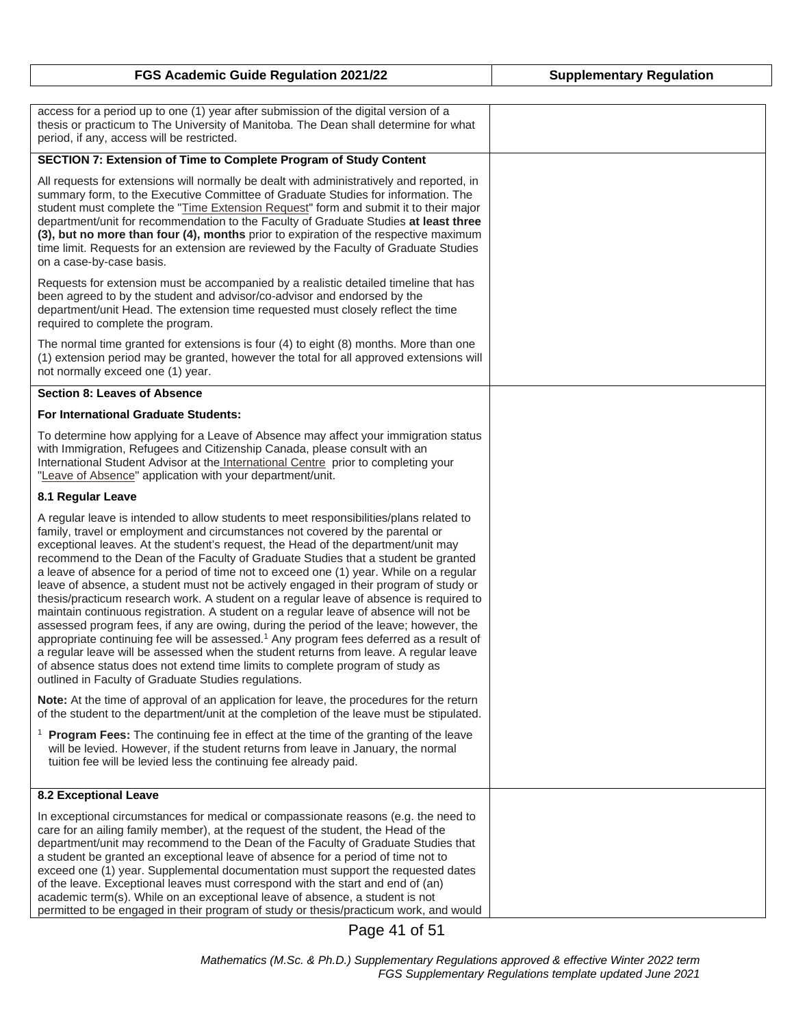| FGS Academic Guide Regulation 2021/22                                                                                                                                                                                                                                                                                                                                                                                                                                                                                                                                                                                                                                                                                                                                                                                                                                                                                                                                                                                                                                                                                                                      | <b>Supplementary Regulation</b> |
|------------------------------------------------------------------------------------------------------------------------------------------------------------------------------------------------------------------------------------------------------------------------------------------------------------------------------------------------------------------------------------------------------------------------------------------------------------------------------------------------------------------------------------------------------------------------------------------------------------------------------------------------------------------------------------------------------------------------------------------------------------------------------------------------------------------------------------------------------------------------------------------------------------------------------------------------------------------------------------------------------------------------------------------------------------------------------------------------------------------------------------------------------------|---------------------------------|
|                                                                                                                                                                                                                                                                                                                                                                                                                                                                                                                                                                                                                                                                                                                                                                                                                                                                                                                                                                                                                                                                                                                                                            |                                 |
| access for a period up to one (1) year after submission of the digital version of a<br>thesis or practicum to The University of Manitoba. The Dean shall determine for what<br>period, if any, access will be restricted.                                                                                                                                                                                                                                                                                                                                                                                                                                                                                                                                                                                                                                                                                                                                                                                                                                                                                                                                  |                                 |
| SECTION 7: Extension of Time to Complete Program of Study Content                                                                                                                                                                                                                                                                                                                                                                                                                                                                                                                                                                                                                                                                                                                                                                                                                                                                                                                                                                                                                                                                                          |                                 |
| All requests for extensions will normally be dealt with administratively and reported, in<br>summary form, to the Executive Committee of Graduate Studies for information. The<br>student must complete the "Time Extension Request" form and submit it to their major<br>department/unit for recommendation to the Faculty of Graduate Studies at least three<br>(3), but no more than four (4), months prior to expiration of the respective maximum<br>time limit. Requests for an extension are reviewed by the Faculty of Graduate Studies<br>on a case-by-case basis.                                                                                                                                                                                                                                                                                                                                                                                                                                                                                                                                                                                |                                 |
| Requests for extension must be accompanied by a realistic detailed timeline that has<br>been agreed to by the student and advisor/co-advisor and endorsed by the<br>department/unit Head. The extension time requested must closely reflect the time<br>required to complete the program.                                                                                                                                                                                                                                                                                                                                                                                                                                                                                                                                                                                                                                                                                                                                                                                                                                                                  |                                 |
| The normal time granted for extensions is four (4) to eight (8) months. More than one<br>(1) extension period may be granted, however the total for all approved extensions will<br>not normally exceed one (1) year.                                                                                                                                                                                                                                                                                                                                                                                                                                                                                                                                                                                                                                                                                                                                                                                                                                                                                                                                      |                                 |
| <b>Section 8: Leaves of Absence</b>                                                                                                                                                                                                                                                                                                                                                                                                                                                                                                                                                                                                                                                                                                                                                                                                                                                                                                                                                                                                                                                                                                                        |                                 |
| <b>For International Graduate Students:</b>                                                                                                                                                                                                                                                                                                                                                                                                                                                                                                                                                                                                                                                                                                                                                                                                                                                                                                                                                                                                                                                                                                                |                                 |
| To determine how applying for a Leave of Absence may affect your immigration status<br>with Immigration, Refugees and Citizenship Canada, please consult with an<br>International Student Advisor at the International Centre prior to completing your<br>"Leave of Absence" application with your department/unit.                                                                                                                                                                                                                                                                                                                                                                                                                                                                                                                                                                                                                                                                                                                                                                                                                                        |                                 |
| 8.1 Regular Leave                                                                                                                                                                                                                                                                                                                                                                                                                                                                                                                                                                                                                                                                                                                                                                                                                                                                                                                                                                                                                                                                                                                                          |                                 |
| A regular leave is intended to allow students to meet responsibilities/plans related to<br>family, travel or employment and circumstances not covered by the parental or<br>exceptional leaves. At the student's request, the Head of the department/unit may<br>recommend to the Dean of the Faculty of Graduate Studies that a student be granted<br>a leave of absence for a period of time not to exceed one (1) year. While on a regular<br>leave of absence, a student must not be actively engaged in their program of study or<br>thesis/practicum research work. A student on a regular leave of absence is required to<br>maintain continuous registration. A student on a regular leave of absence will not be<br>assessed program fees, if any are owing, during the period of the leave; however, the<br>appropriate continuing fee will be assessed. <sup>1</sup> Any program fees deferred as a result of<br>a regular leave will be assessed when the student returns from leave. A regular leave<br>of absence status does not extend time limits to complete program of study as<br>outlined in Faculty of Graduate Studies regulations. |                                 |
| Note: At the time of approval of an application for leave, the procedures for the return<br>of the student to the department/unit at the completion of the leave must be stipulated.                                                                                                                                                                                                                                                                                                                                                                                                                                                                                                                                                                                                                                                                                                                                                                                                                                                                                                                                                                       |                                 |
| <sup>1</sup> Program Fees: The continuing fee in effect at the time of the granting of the leave<br>will be levied. However, if the student returns from leave in January, the normal<br>tuition fee will be levied less the continuing fee already paid.                                                                                                                                                                                                                                                                                                                                                                                                                                                                                                                                                                                                                                                                                                                                                                                                                                                                                                  |                                 |
| <b>8.2 Exceptional Leave</b>                                                                                                                                                                                                                                                                                                                                                                                                                                                                                                                                                                                                                                                                                                                                                                                                                                                                                                                                                                                                                                                                                                                               |                                 |
| In exceptional circumstances for medical or compassionate reasons (e.g. the need to<br>care for an ailing family member), at the request of the student, the Head of the<br>department/unit may recommend to the Dean of the Faculty of Graduate Studies that<br>a student be granted an exceptional leave of absence for a period of time not to<br>exceed one (1) year. Supplemental documentation must support the requested dates<br>of the leave. Exceptional leaves must correspond with the start and end of (an)<br>academic term(s). While on an exceptional leave of absence, a student is not<br>permitted to be engaged in their program of study or thesis/practicum work, and would                                                                                                                                                                                                                                                                                                                                                                                                                                                          |                                 |

Page 41 of 51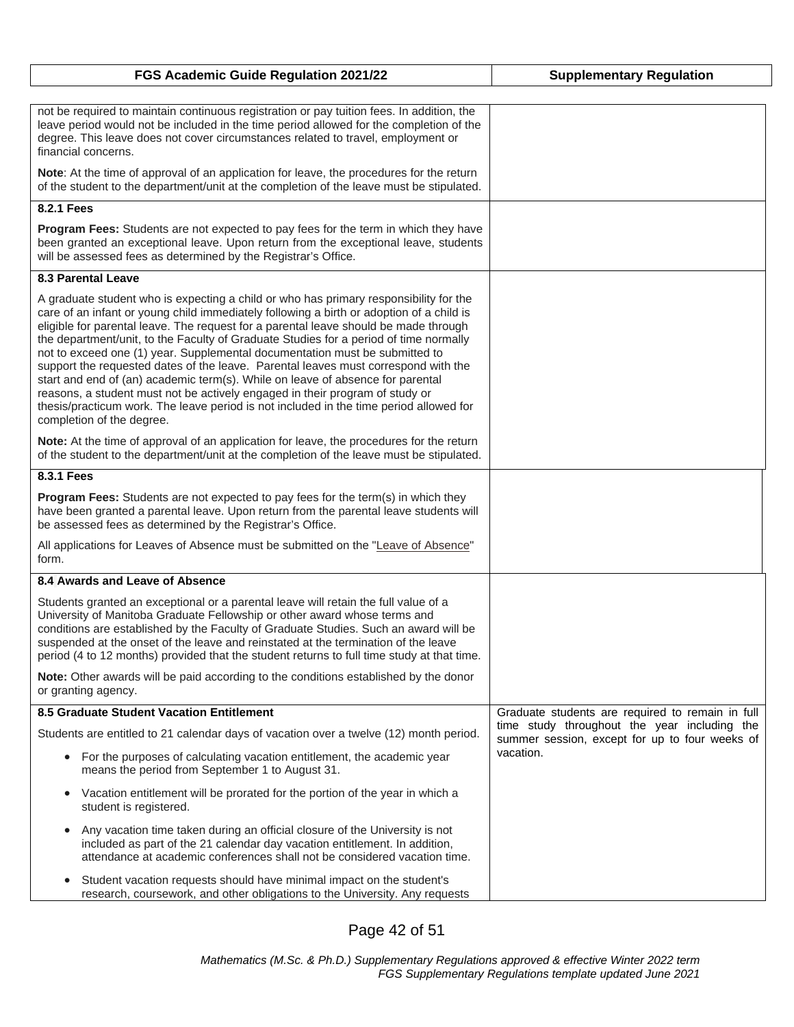| FGS Academic Guide Regulation 2021/22                                                                                                                                                                                                                                                                                                                                                                                                                                                                                                                                                                                                                                                                                                                                                                                            | <b>Supplementary Regulation</b>                                                                |
|----------------------------------------------------------------------------------------------------------------------------------------------------------------------------------------------------------------------------------------------------------------------------------------------------------------------------------------------------------------------------------------------------------------------------------------------------------------------------------------------------------------------------------------------------------------------------------------------------------------------------------------------------------------------------------------------------------------------------------------------------------------------------------------------------------------------------------|------------------------------------------------------------------------------------------------|
|                                                                                                                                                                                                                                                                                                                                                                                                                                                                                                                                                                                                                                                                                                                                                                                                                                  |                                                                                                |
| not be required to maintain continuous registration or pay tuition fees. In addition, the<br>leave period would not be included in the time period allowed for the completion of the<br>degree. This leave does not cover circumstances related to travel, employment or<br>financial concerns.                                                                                                                                                                                                                                                                                                                                                                                                                                                                                                                                  |                                                                                                |
| Note: At the time of approval of an application for leave, the procedures for the return<br>of the student to the department/unit at the completion of the leave must be stipulated.                                                                                                                                                                                                                                                                                                                                                                                                                                                                                                                                                                                                                                             |                                                                                                |
| 8.2.1 Fees                                                                                                                                                                                                                                                                                                                                                                                                                                                                                                                                                                                                                                                                                                                                                                                                                       |                                                                                                |
| Program Fees: Students are not expected to pay fees for the term in which they have<br>been granted an exceptional leave. Upon return from the exceptional leave, students<br>will be assessed fees as determined by the Registrar's Office.                                                                                                                                                                                                                                                                                                                                                                                                                                                                                                                                                                                     |                                                                                                |
| <b>8.3 Parental Leave</b>                                                                                                                                                                                                                                                                                                                                                                                                                                                                                                                                                                                                                                                                                                                                                                                                        |                                                                                                |
| A graduate student who is expecting a child or who has primary responsibility for the<br>care of an infant or young child immediately following a birth or adoption of a child is<br>eligible for parental leave. The request for a parental leave should be made through<br>the department/unit, to the Faculty of Graduate Studies for a period of time normally<br>not to exceed one (1) year. Supplemental documentation must be submitted to<br>support the requested dates of the leave. Parental leaves must correspond with the<br>start and end of (an) academic term(s). While on leave of absence for parental<br>reasons, a student must not be actively engaged in their program of study or<br>thesis/practicum work. The leave period is not included in the time period allowed for<br>completion of the degree. |                                                                                                |
| Note: At the time of approval of an application for leave, the procedures for the return<br>of the student to the department/unit at the completion of the leave must be stipulated.                                                                                                                                                                                                                                                                                                                                                                                                                                                                                                                                                                                                                                             |                                                                                                |
| 8.3.1 Fees                                                                                                                                                                                                                                                                                                                                                                                                                                                                                                                                                                                                                                                                                                                                                                                                                       |                                                                                                |
| <b>Program Fees:</b> Students are not expected to pay fees for the term(s) in which they<br>have been granted a parental leave. Upon return from the parental leave students will<br>be assessed fees as determined by the Registrar's Office.                                                                                                                                                                                                                                                                                                                                                                                                                                                                                                                                                                                   |                                                                                                |
| All applications for Leaves of Absence must be submitted on the "Leave of Absence"<br>form.                                                                                                                                                                                                                                                                                                                                                                                                                                                                                                                                                                                                                                                                                                                                      |                                                                                                |
| 8.4 Awards and Leave of Absence                                                                                                                                                                                                                                                                                                                                                                                                                                                                                                                                                                                                                                                                                                                                                                                                  |                                                                                                |
| Students granted an exceptional or a parental leave will retain the full value of a<br>University of Manitoba Graduate Fellowship or other award whose terms and<br>conditions are established by the Faculty of Graduate Studies. Such an award will be<br>suspended at the onset of the leave and reinstated at the termination of the leave<br>period (4 to 12 months) provided that the student returns to full time study at that time.                                                                                                                                                                                                                                                                                                                                                                                     |                                                                                                |
| Note: Other awards will be paid according to the conditions established by the donor<br>or granting agency.                                                                                                                                                                                                                                                                                                                                                                                                                                                                                                                                                                                                                                                                                                                      |                                                                                                |
| 8.5 Graduate Student Vacation Entitlement                                                                                                                                                                                                                                                                                                                                                                                                                                                                                                                                                                                                                                                                                                                                                                                        | Graduate students are required to remain in full                                               |
| Students are entitled to 21 calendar days of vacation over a twelve (12) month period.                                                                                                                                                                                                                                                                                                                                                                                                                                                                                                                                                                                                                                                                                                                                           | time study throughout the year including the<br>summer session, except for up to four weeks of |
| For the purposes of calculating vacation entitlement, the academic year<br>means the period from September 1 to August 31.                                                                                                                                                                                                                                                                                                                                                                                                                                                                                                                                                                                                                                                                                                       | vacation.                                                                                      |
| Vacation entitlement will be prorated for the portion of the year in which a<br>$\bullet$<br>student is registered.                                                                                                                                                                                                                                                                                                                                                                                                                                                                                                                                                                                                                                                                                                              |                                                                                                |
| Any vacation time taken during an official closure of the University is not<br>$\bullet$<br>included as part of the 21 calendar day vacation entitlement. In addition,<br>attendance at academic conferences shall not be considered vacation time.                                                                                                                                                                                                                                                                                                                                                                                                                                                                                                                                                                              |                                                                                                |
| Student vacation requests should have minimal impact on the student's<br>$\bullet$<br>research, coursework, and other obligations to the University. Any requests                                                                                                                                                                                                                                                                                                                                                                                                                                                                                                                                                                                                                                                                |                                                                                                |

Page 42 of 51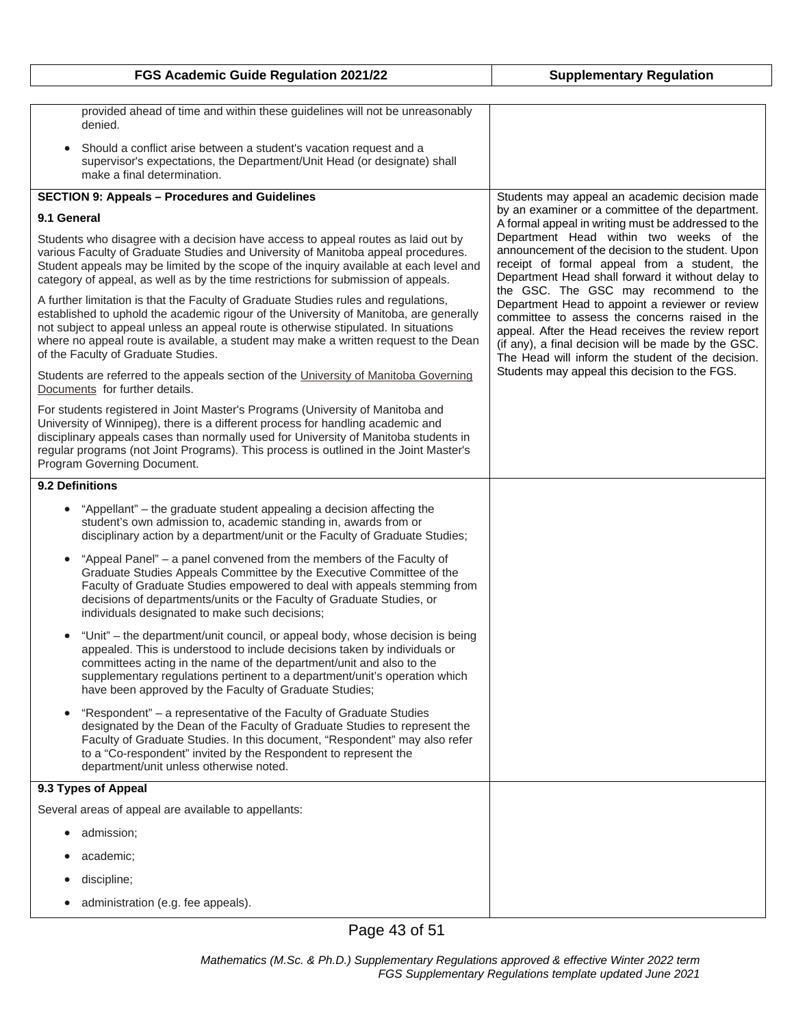| FGS Academic Guide Regulation 2021/22                                                                                                                                                                                                                                                                                                                                                               | <b>Supplementary Regulation</b>                                                                                                                                                                                                                                    |
|-----------------------------------------------------------------------------------------------------------------------------------------------------------------------------------------------------------------------------------------------------------------------------------------------------------------------------------------------------------------------------------------------------|--------------------------------------------------------------------------------------------------------------------------------------------------------------------------------------------------------------------------------------------------------------------|
|                                                                                                                                                                                                                                                                                                                                                                                                     |                                                                                                                                                                                                                                                                    |
| provided ahead of time and within these guidelines will not be unreasonably<br>denied.                                                                                                                                                                                                                                                                                                              |                                                                                                                                                                                                                                                                    |
| Should a conflict arise between a student's vacation request and a<br>$\bullet$<br>supervisor's expectations, the Department/Unit Head (or designate) shall<br>make a final determination.                                                                                                                                                                                                          |                                                                                                                                                                                                                                                                    |
| <b>SECTION 9: Appeals - Procedures and Guidelines</b>                                                                                                                                                                                                                                                                                                                                               | Students may appeal an academic decision made                                                                                                                                                                                                                      |
| 9.1 General                                                                                                                                                                                                                                                                                                                                                                                         | by an examiner or a committee of the department.<br>A formal appeal in writing must be addressed to the                                                                                                                                                            |
| Students who disagree with a decision have access to appeal routes as laid out by<br>various Faculty of Graduate Studies and University of Manitoba appeal procedures.<br>Student appeals may be limited by the scope of the inquiry available at each level and<br>category of appeal, as well as by the time restrictions for submission of appeals.                                              | Department Head within two weeks of the<br>announcement of the decision to the student. Upon<br>receipt of formal appeal from a student, the<br>Department Head shall forward it without delay to<br>the GSC. The GSC may recommend to the                         |
| A further limitation is that the Faculty of Graduate Studies rules and regulations,<br>established to uphold the academic rigour of the University of Manitoba, are generally<br>not subject to appeal unless an appeal route is otherwise stipulated. In situations<br>where no appeal route is available, a student may make a written request to the Dean<br>of the Faculty of Graduate Studies. | Department Head to appoint a reviewer or review<br>committee to assess the concerns raised in the<br>appeal. After the Head receives the review report<br>(if any), a final decision will be made by the GSC.<br>The Head will inform the student of the decision. |
| Students are referred to the appeals section of the University of Manitoba Governing<br>Documents for further details.                                                                                                                                                                                                                                                                              | Students may appeal this decision to the FGS.                                                                                                                                                                                                                      |
| For students registered in Joint Master's Programs (University of Manitoba and<br>University of Winnipeg), there is a different process for handling academic and<br>disciplinary appeals cases than normally used for University of Manitoba students in<br>regular programs (not Joint Programs). This process is outlined in the Joint Master's<br>Program Governing Document.                   |                                                                                                                                                                                                                                                                    |
| 9.2 Definitions                                                                                                                                                                                                                                                                                                                                                                                     |                                                                                                                                                                                                                                                                    |
| "Appellant" – the graduate student appealing a decision affecting the<br>student's own admission to, academic standing in, awards from or<br>disciplinary action by a department/unit or the Faculty of Graduate Studies;                                                                                                                                                                           |                                                                                                                                                                                                                                                                    |
| "Appeal Panel" – a panel convened from the members of the Faculty of<br>$\bullet$<br>Graduate Studies Appeals Committee by the Executive Committee of the<br>Faculty of Graduate Studies empowered to deal with appeals stemming from<br>decisions of departments/units or the Faculty of Graduate Studies, or<br>individuals designated to make such decisions;                                    |                                                                                                                                                                                                                                                                    |
| "Unit" – the department/unit council, or appeal body, whose decision is being<br>$\bullet$<br>appealed. This is understood to include decisions taken by individuals or<br>committees acting in the name of the department/unit and also to the<br>supplementary regulations pertinent to a department/unit's operation which<br>have been approved by the Faculty of Graduate Studies;             |                                                                                                                                                                                                                                                                    |
| "Respondent" - a representative of the Faculty of Graduate Studies<br>designated by the Dean of the Faculty of Graduate Studies to represent the<br>Faculty of Graduate Studies. In this document, "Respondent" may also refer<br>to a "Co-respondent" invited by the Respondent to represent the<br>department/unit unless otherwise noted.                                                        |                                                                                                                                                                                                                                                                    |
| 9.3 Types of Appeal                                                                                                                                                                                                                                                                                                                                                                                 |                                                                                                                                                                                                                                                                    |
| Several areas of appeal are available to appellants:                                                                                                                                                                                                                                                                                                                                                |                                                                                                                                                                                                                                                                    |
| admission;                                                                                                                                                                                                                                                                                                                                                                                          |                                                                                                                                                                                                                                                                    |
| academic;                                                                                                                                                                                                                                                                                                                                                                                           |                                                                                                                                                                                                                                                                    |
| discipline;                                                                                                                                                                                                                                                                                                                                                                                         |                                                                                                                                                                                                                                                                    |
| administration (e.g. fee appeals).                                                                                                                                                                                                                                                                                                                                                                  |                                                                                                                                                                                                                                                                    |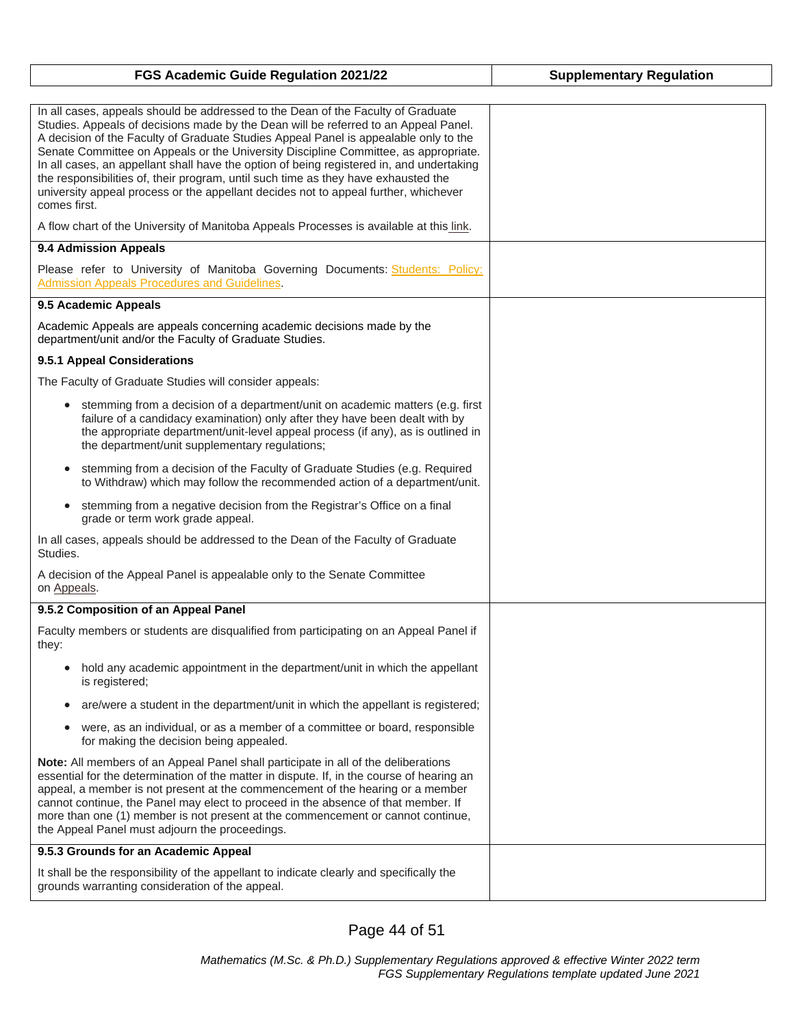| FGS Academic Guide Regulation 2021/22                                                                                                                                                                                                                                                                                                                                                                                                                                                                                                                                                                                                           | <b>Supplementary Regulation</b> |
|-------------------------------------------------------------------------------------------------------------------------------------------------------------------------------------------------------------------------------------------------------------------------------------------------------------------------------------------------------------------------------------------------------------------------------------------------------------------------------------------------------------------------------------------------------------------------------------------------------------------------------------------------|---------------------------------|
|                                                                                                                                                                                                                                                                                                                                                                                                                                                                                                                                                                                                                                                 |                                 |
| In all cases, appeals should be addressed to the Dean of the Faculty of Graduate<br>Studies. Appeals of decisions made by the Dean will be referred to an Appeal Panel.<br>A decision of the Faculty of Graduate Studies Appeal Panel is appealable only to the<br>Senate Committee on Appeals or the University Discipline Committee, as appropriate.<br>In all cases, an appellant shall have the option of being registered in, and undertaking<br>the responsibilities of, their program, until such time as they have exhausted the<br>university appeal process or the appellant decides not to appeal further, whichever<br>comes first. |                                 |
| A flow chart of the University of Manitoba Appeals Processes is available at this link.                                                                                                                                                                                                                                                                                                                                                                                                                                                                                                                                                         |                                 |
| 9.4 Admission Appeals                                                                                                                                                                                                                                                                                                                                                                                                                                                                                                                                                                                                                           |                                 |
| Please refer to University of Manitoba Governing Documents: Students: Policy:<br>Admission Appeals Procedures and Guidelines.                                                                                                                                                                                                                                                                                                                                                                                                                                                                                                                   |                                 |
| 9.5 Academic Appeals                                                                                                                                                                                                                                                                                                                                                                                                                                                                                                                                                                                                                            |                                 |
| Academic Appeals are appeals concerning academic decisions made by the<br>department/unit and/or the Faculty of Graduate Studies.                                                                                                                                                                                                                                                                                                                                                                                                                                                                                                               |                                 |
| 9.5.1 Appeal Considerations                                                                                                                                                                                                                                                                                                                                                                                                                                                                                                                                                                                                                     |                                 |
| The Faculty of Graduate Studies will consider appeals:                                                                                                                                                                                                                                                                                                                                                                                                                                                                                                                                                                                          |                                 |
| stemming from a decision of a department/unit on academic matters (e.g. first<br>failure of a candidacy examination) only after they have been dealt with by<br>the appropriate department/unit-level appeal process (if any), as is outlined in<br>the department/unit supplementary regulations;                                                                                                                                                                                                                                                                                                                                              |                                 |
| stemming from a decision of the Faculty of Graduate Studies (e.g. Required<br>$\bullet$<br>to Withdraw) which may follow the recommended action of a department/unit.                                                                                                                                                                                                                                                                                                                                                                                                                                                                           |                                 |
| stemming from a negative decision from the Registrar's Office on a final<br>$\bullet$<br>grade or term work grade appeal.                                                                                                                                                                                                                                                                                                                                                                                                                                                                                                                       |                                 |
| In all cases, appeals should be addressed to the Dean of the Faculty of Graduate<br>Studies.                                                                                                                                                                                                                                                                                                                                                                                                                                                                                                                                                    |                                 |
| A decision of the Appeal Panel is appealable only to the Senate Committee<br>on Appeals.                                                                                                                                                                                                                                                                                                                                                                                                                                                                                                                                                        |                                 |
| 9.5.2 Composition of an Appeal Panel                                                                                                                                                                                                                                                                                                                                                                                                                                                                                                                                                                                                            |                                 |
| Faculty members or students are disqualified from participating on an Appeal Panel if<br>they:                                                                                                                                                                                                                                                                                                                                                                                                                                                                                                                                                  |                                 |
| hold any academic appointment in the department/unit in which the appellant<br>$\bullet$<br>is registered;                                                                                                                                                                                                                                                                                                                                                                                                                                                                                                                                      |                                 |
| are/were a student in the department/unit in which the appellant is registered;<br>$\bullet$                                                                                                                                                                                                                                                                                                                                                                                                                                                                                                                                                    |                                 |
| were, as an individual, or as a member of a committee or board, responsible<br>٠<br>for making the decision being appealed.                                                                                                                                                                                                                                                                                                                                                                                                                                                                                                                     |                                 |
| Note: All members of an Appeal Panel shall participate in all of the deliberations<br>essential for the determination of the matter in dispute. If, in the course of hearing an<br>appeal, a member is not present at the commencement of the hearing or a member<br>cannot continue, the Panel may elect to proceed in the absence of that member. If<br>more than one (1) member is not present at the commencement or cannot continue,<br>the Appeal Panel must adjourn the proceedings.                                                                                                                                                     |                                 |
| 9.5.3 Grounds for an Academic Appeal                                                                                                                                                                                                                                                                                                                                                                                                                                                                                                                                                                                                            |                                 |
| It shall be the responsibility of the appellant to indicate clearly and specifically the<br>grounds warranting consideration of the appeal.                                                                                                                                                                                                                                                                                                                                                                                                                                                                                                     |                                 |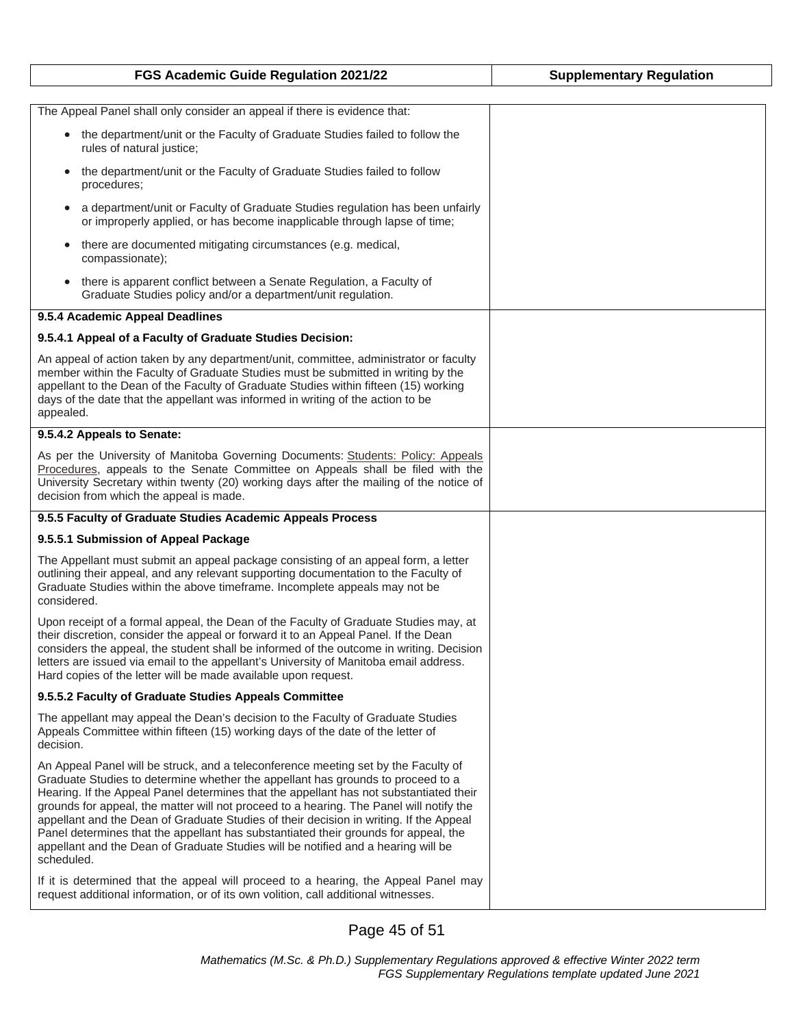| FGS Academic Guide Regulation 2021/22                                                                                                                                                                                                                                                                                                                                                                                                                                                                                                                                                                                                          | <b>Supplementary Regulation</b> |
|------------------------------------------------------------------------------------------------------------------------------------------------------------------------------------------------------------------------------------------------------------------------------------------------------------------------------------------------------------------------------------------------------------------------------------------------------------------------------------------------------------------------------------------------------------------------------------------------------------------------------------------------|---------------------------------|
|                                                                                                                                                                                                                                                                                                                                                                                                                                                                                                                                                                                                                                                |                                 |
| The Appeal Panel shall only consider an appeal if there is evidence that:                                                                                                                                                                                                                                                                                                                                                                                                                                                                                                                                                                      |                                 |
| • the department/unit or the Faculty of Graduate Studies failed to follow the<br>rules of natural justice;                                                                                                                                                                                                                                                                                                                                                                                                                                                                                                                                     |                                 |
| the department/unit or the Faculty of Graduate Studies failed to follow<br>$\bullet$<br>procedures;                                                                                                                                                                                                                                                                                                                                                                                                                                                                                                                                            |                                 |
| a department/unit or Faculty of Graduate Studies regulation has been unfairly<br>$\bullet$<br>or improperly applied, or has become inapplicable through lapse of time;                                                                                                                                                                                                                                                                                                                                                                                                                                                                         |                                 |
| there are documented mitigating circumstances (e.g. medical,<br>$\bullet$<br>compassionate);                                                                                                                                                                                                                                                                                                                                                                                                                                                                                                                                                   |                                 |
| there is apparent conflict between a Senate Regulation, a Faculty of<br>$\bullet$<br>Graduate Studies policy and/or a department/unit regulation.                                                                                                                                                                                                                                                                                                                                                                                                                                                                                              |                                 |
| 9.5.4 Academic Appeal Deadlines                                                                                                                                                                                                                                                                                                                                                                                                                                                                                                                                                                                                                |                                 |
| 9.5.4.1 Appeal of a Faculty of Graduate Studies Decision:                                                                                                                                                                                                                                                                                                                                                                                                                                                                                                                                                                                      |                                 |
| An appeal of action taken by any department/unit, committee, administrator or faculty<br>member within the Faculty of Graduate Studies must be submitted in writing by the<br>appellant to the Dean of the Faculty of Graduate Studies within fifteen (15) working<br>days of the date that the appellant was informed in writing of the action to be<br>appealed.                                                                                                                                                                                                                                                                             |                                 |
| 9.5.4.2 Appeals to Senate:                                                                                                                                                                                                                                                                                                                                                                                                                                                                                                                                                                                                                     |                                 |
| As per the University of Manitoba Governing Documents: Students: Policy: Appeals<br>Procedures, appeals to the Senate Committee on Appeals shall be filed with the<br>University Secretary within twenty (20) working days after the mailing of the notice of<br>decision from which the appeal is made.                                                                                                                                                                                                                                                                                                                                       |                                 |
| 9.5.5 Faculty of Graduate Studies Academic Appeals Process                                                                                                                                                                                                                                                                                                                                                                                                                                                                                                                                                                                     |                                 |
| 9.5.5.1 Submission of Appeal Package                                                                                                                                                                                                                                                                                                                                                                                                                                                                                                                                                                                                           |                                 |
| The Appellant must submit an appeal package consisting of an appeal form, a letter<br>outlining their appeal, and any relevant supporting documentation to the Faculty of<br>Graduate Studies within the above timeframe. Incomplete appeals may not be<br>considered.                                                                                                                                                                                                                                                                                                                                                                         |                                 |
| Upon receipt of a formal appeal, the Dean of the Faculty of Graduate Studies may, at<br>their discretion, consider the appeal or forward it to an Appeal Panel. If the Dean<br>considers the appeal, the student shall be informed of the outcome in writing. Decision<br>letters are issued via email to the appellant's University of Manitoba email address.<br>Hard copies of the letter will be made available upon request.                                                                                                                                                                                                              |                                 |
| 9.5.5.2 Faculty of Graduate Studies Appeals Committee                                                                                                                                                                                                                                                                                                                                                                                                                                                                                                                                                                                          |                                 |
| The appellant may appeal the Dean's decision to the Faculty of Graduate Studies<br>Appeals Committee within fifteen (15) working days of the date of the letter of<br>decision.                                                                                                                                                                                                                                                                                                                                                                                                                                                                |                                 |
| An Appeal Panel will be struck, and a teleconference meeting set by the Faculty of<br>Graduate Studies to determine whether the appellant has grounds to proceed to a<br>Hearing. If the Appeal Panel determines that the appellant has not substantiated their<br>grounds for appeal, the matter will not proceed to a hearing. The Panel will notify the<br>appellant and the Dean of Graduate Studies of their decision in writing. If the Appeal<br>Panel determines that the appellant has substantiated their grounds for appeal, the<br>appellant and the Dean of Graduate Studies will be notified and a hearing will be<br>scheduled. |                                 |
| If it is determined that the appeal will proceed to a hearing, the Appeal Panel may<br>request additional information, or of its own volition, call additional witnesses.                                                                                                                                                                                                                                                                                                                                                                                                                                                                      |                                 |

Page 45 of 51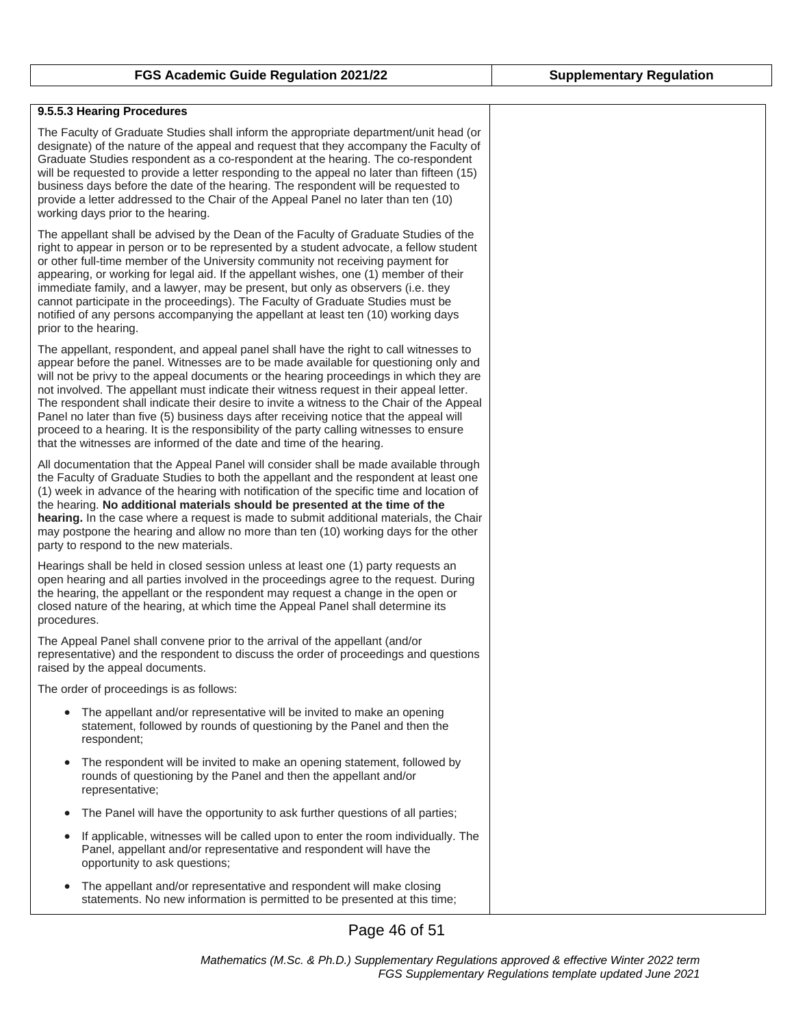| 9.5.5.3 Hearing Procedures                                                                                                                                                                                                                                                                                                                                                                                                                                                                                                                                                                                                                                                                                                   |
|------------------------------------------------------------------------------------------------------------------------------------------------------------------------------------------------------------------------------------------------------------------------------------------------------------------------------------------------------------------------------------------------------------------------------------------------------------------------------------------------------------------------------------------------------------------------------------------------------------------------------------------------------------------------------------------------------------------------------|
| The Faculty of Graduate Studies shall inform the appropriate department/unit head (or<br>designate) of the nature of the appeal and request that they accompany the Faculty of<br>Graduate Studies respondent as a co-respondent at the hearing. The co-respondent<br>will be requested to provide a letter responding to the appeal no later than fifteen (15)<br>business days before the date of the hearing. The respondent will be requested to<br>provide a letter addressed to the Chair of the Appeal Panel no later than ten (10)<br>working days prior to the hearing.                                                                                                                                             |
| The appellant shall be advised by the Dean of the Faculty of Graduate Studies of the<br>right to appear in person or to be represented by a student advocate, a fellow student<br>or other full-time member of the University community not receiving payment for<br>appearing, or working for legal aid. If the appellant wishes, one (1) member of their<br>immediate family, and a lawyer, may be present, but only as observers (i.e. they<br>cannot participate in the proceedings). The Faculty of Graduate Studies must be<br>notified of any persons accompanying the appellant at least ten (10) working days<br>prior to the hearing.                                                                              |
| The appellant, respondent, and appeal panel shall have the right to call witnesses to<br>appear before the panel. Witnesses are to be made available for questioning only and<br>will not be privy to the appeal documents or the hearing proceedings in which they are<br>not involved. The appellant must indicate their witness request in their appeal letter.<br>The respondent shall indicate their desire to invite a witness to the Chair of the Appeal<br>Panel no later than five (5) business days after receiving notice that the appeal will<br>proceed to a hearing. It is the responsibility of the party calling witnesses to ensure<br>that the witnesses are informed of the date and time of the hearing. |
| All documentation that the Appeal Panel will consider shall be made available through<br>the Faculty of Graduate Studies to both the appellant and the respondent at least one<br>(1) week in advance of the hearing with notification of the specific time and location of<br>the hearing. No additional materials should be presented at the time of the<br>hearing. In the case where a request is made to submit additional materials, the Chair<br>may postpone the hearing and allow no more than ten (10) working days for the other<br>party to respond to the new materials.                                                                                                                                        |
| Hearings shall be held in closed session unless at least one (1) party requests an<br>open hearing and all parties involved in the proceedings agree to the request. During<br>the hearing, the appellant or the respondent may request a change in the open or<br>closed nature of the hearing, at which time the Appeal Panel shall determine its<br>procedures.                                                                                                                                                                                                                                                                                                                                                           |
| The Appeal Panel shall convene prior to the arrival of the appellant (and/or<br>representative) and the respondent to discuss the order of proceedings and questions<br>raised by the appeal documents.                                                                                                                                                                                                                                                                                                                                                                                                                                                                                                                      |
| The order of proceedings is as follows:                                                                                                                                                                                                                                                                                                                                                                                                                                                                                                                                                                                                                                                                                      |
| The appellant and/or representative will be invited to make an opening<br>$\bullet$<br>statement, followed by rounds of questioning by the Panel and then the<br>respondent;                                                                                                                                                                                                                                                                                                                                                                                                                                                                                                                                                 |
| The respondent will be invited to make an opening statement, followed by<br>$\bullet$<br>rounds of questioning by the Panel and then the appellant and/or<br>representative;                                                                                                                                                                                                                                                                                                                                                                                                                                                                                                                                                 |
| The Panel will have the opportunity to ask further questions of all parties;<br>$\bullet$                                                                                                                                                                                                                                                                                                                                                                                                                                                                                                                                                                                                                                    |
| If applicable, witnesses will be called upon to enter the room individually. The<br>$\bullet$<br>Panel, appellant and/or representative and respondent will have the<br>opportunity to ask questions;                                                                                                                                                                                                                                                                                                                                                                                                                                                                                                                        |
| The appellant and/or representative and respondent will make closing<br>statements. No new information is permitted to be presented at this time;                                                                                                                                                                                                                                                                                                                                                                                                                                                                                                                                                                            |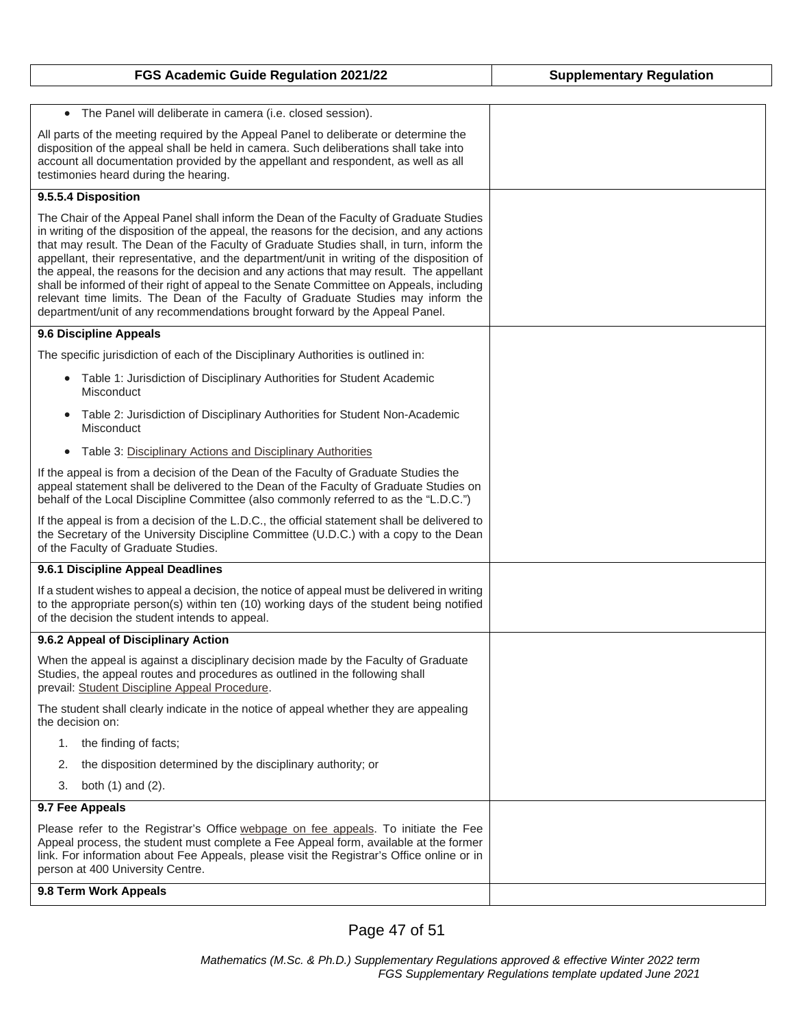| FGS Academic Guide Regulation 2021/22                                                                                                                                                                                                                                                                                                                                                                                                                                                                                                                                                                                                                                                                                                  | <b>Supplementary Regulation</b> |
|----------------------------------------------------------------------------------------------------------------------------------------------------------------------------------------------------------------------------------------------------------------------------------------------------------------------------------------------------------------------------------------------------------------------------------------------------------------------------------------------------------------------------------------------------------------------------------------------------------------------------------------------------------------------------------------------------------------------------------------|---------------------------------|
|                                                                                                                                                                                                                                                                                                                                                                                                                                                                                                                                                                                                                                                                                                                                        |                                 |
| The Panel will deliberate in camera (i.e. closed session).<br>$\bullet$                                                                                                                                                                                                                                                                                                                                                                                                                                                                                                                                                                                                                                                                |                                 |
| All parts of the meeting required by the Appeal Panel to deliberate or determine the<br>disposition of the appeal shall be held in camera. Such deliberations shall take into<br>account all documentation provided by the appellant and respondent, as well as all<br>testimonies heard during the hearing.                                                                                                                                                                                                                                                                                                                                                                                                                           |                                 |
| 9.5.5.4 Disposition                                                                                                                                                                                                                                                                                                                                                                                                                                                                                                                                                                                                                                                                                                                    |                                 |
| The Chair of the Appeal Panel shall inform the Dean of the Faculty of Graduate Studies<br>in writing of the disposition of the appeal, the reasons for the decision, and any actions<br>that may result. The Dean of the Faculty of Graduate Studies shall, in turn, inform the<br>appellant, their representative, and the department/unit in writing of the disposition of<br>the appeal, the reasons for the decision and any actions that may result. The appellant<br>shall be informed of their right of appeal to the Senate Committee on Appeals, including<br>relevant time limits. The Dean of the Faculty of Graduate Studies may inform the<br>department/unit of any recommendations brought forward by the Appeal Panel. |                                 |
| 9.6 Discipline Appeals                                                                                                                                                                                                                                                                                                                                                                                                                                                                                                                                                                                                                                                                                                                 |                                 |
| The specific jurisdiction of each of the Disciplinary Authorities is outlined in:                                                                                                                                                                                                                                                                                                                                                                                                                                                                                                                                                                                                                                                      |                                 |
| • Table 1: Jurisdiction of Disciplinary Authorities for Student Academic<br>Misconduct                                                                                                                                                                                                                                                                                                                                                                                                                                                                                                                                                                                                                                                 |                                 |
| Table 2: Jurisdiction of Disciplinary Authorities for Student Non-Academic<br>Misconduct                                                                                                                                                                                                                                                                                                                                                                                                                                                                                                                                                                                                                                               |                                 |
| Table 3: Disciplinary Actions and Disciplinary Authorities                                                                                                                                                                                                                                                                                                                                                                                                                                                                                                                                                                                                                                                                             |                                 |
| If the appeal is from a decision of the Dean of the Faculty of Graduate Studies the<br>appeal statement shall be delivered to the Dean of the Faculty of Graduate Studies on<br>behalf of the Local Discipline Committee (also commonly referred to as the "L.D.C.")                                                                                                                                                                                                                                                                                                                                                                                                                                                                   |                                 |
| If the appeal is from a decision of the L.D.C., the official statement shall be delivered to<br>the Secretary of the University Discipline Committee (U.D.C.) with a copy to the Dean<br>of the Faculty of Graduate Studies.                                                                                                                                                                                                                                                                                                                                                                                                                                                                                                           |                                 |
| 9.6.1 Discipline Appeal Deadlines                                                                                                                                                                                                                                                                                                                                                                                                                                                                                                                                                                                                                                                                                                      |                                 |
| If a student wishes to appeal a decision, the notice of appeal must be delivered in writing<br>to the appropriate person(s) within ten (10) working days of the student being notified<br>of the decision the student intends to appeal.                                                                                                                                                                                                                                                                                                                                                                                                                                                                                               |                                 |
| 9.6.2 Appeal of Disciplinary Action                                                                                                                                                                                                                                                                                                                                                                                                                                                                                                                                                                                                                                                                                                    |                                 |
| When the appeal is against a disciplinary decision made by the Faculty of Graduate<br>Studies, the appeal routes and procedures as outlined in the following shall<br>prevail: Student Discipline Appeal Procedure.                                                                                                                                                                                                                                                                                                                                                                                                                                                                                                                    |                                 |
| The student shall clearly indicate in the notice of appeal whether they are appealing<br>the decision on:                                                                                                                                                                                                                                                                                                                                                                                                                                                                                                                                                                                                                              |                                 |
| the finding of facts;<br>1.                                                                                                                                                                                                                                                                                                                                                                                                                                                                                                                                                                                                                                                                                                            |                                 |
| the disposition determined by the disciplinary authority; or<br>2.                                                                                                                                                                                                                                                                                                                                                                                                                                                                                                                                                                                                                                                                     |                                 |
| 3.<br>both $(1)$ and $(2)$ .                                                                                                                                                                                                                                                                                                                                                                                                                                                                                                                                                                                                                                                                                                           |                                 |
| 9.7 Fee Appeals                                                                                                                                                                                                                                                                                                                                                                                                                                                                                                                                                                                                                                                                                                                        |                                 |
| Please refer to the Registrar's Office webpage on fee appeals. To initiate the Fee<br>Appeal process, the student must complete a Fee Appeal form, available at the former<br>link. For information about Fee Appeals, please visit the Registrar's Office online or in<br>person at 400 University Centre.                                                                                                                                                                                                                                                                                                                                                                                                                            |                                 |
| 9.8 Term Work Appeals                                                                                                                                                                                                                                                                                                                                                                                                                                                                                                                                                                                                                                                                                                                  |                                 |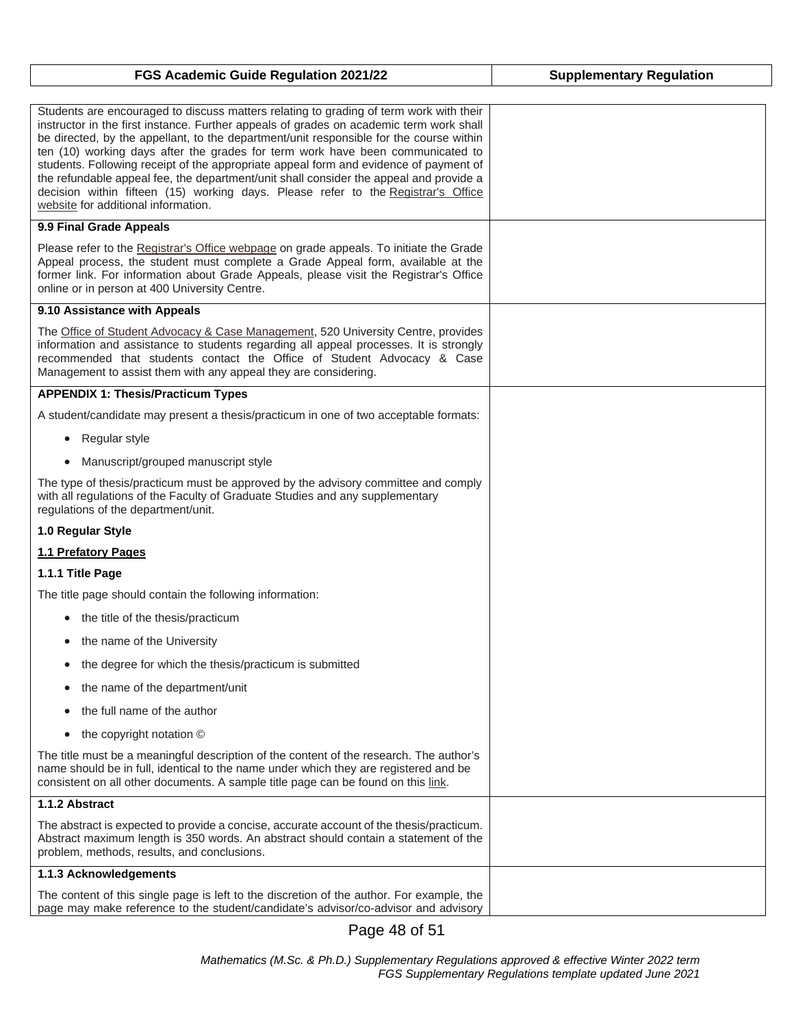| FGS Academic Guide Regulation 2021/22                                                                                                                                                                                                                                                                                                                                                                                                                                                                                                                                                                                                                                         | <b>Supplementary Regulation</b> |
|-------------------------------------------------------------------------------------------------------------------------------------------------------------------------------------------------------------------------------------------------------------------------------------------------------------------------------------------------------------------------------------------------------------------------------------------------------------------------------------------------------------------------------------------------------------------------------------------------------------------------------------------------------------------------------|---------------------------------|
|                                                                                                                                                                                                                                                                                                                                                                                                                                                                                                                                                                                                                                                                               |                                 |
| Students are encouraged to discuss matters relating to grading of term work with their<br>instructor in the first instance. Further appeals of grades on academic term work shall<br>be directed, by the appellant, to the department/unit responsible for the course within<br>ten (10) working days after the grades for term work have been communicated to<br>students. Following receipt of the appropriate appeal form and evidence of payment of<br>the refundable appeal fee, the department/unit shall consider the appeal and provide a<br>decision within fifteen (15) working days. Please refer to the Registrar's Office<br>website for additional information. |                                 |
| 9.9 Final Grade Appeals                                                                                                                                                                                                                                                                                                                                                                                                                                                                                                                                                                                                                                                       |                                 |
| Please refer to the Registrar's Office webpage on grade appeals. To initiate the Grade<br>Appeal process, the student must complete a Grade Appeal form, available at the<br>former link. For information about Grade Appeals, please visit the Registrar's Office<br>online or in person at 400 University Centre.                                                                                                                                                                                                                                                                                                                                                           |                                 |
| 9.10 Assistance with Appeals                                                                                                                                                                                                                                                                                                                                                                                                                                                                                                                                                                                                                                                  |                                 |
| The Office of Student Advocacy & Case Management, 520 University Centre, provides<br>information and assistance to students regarding all appeal processes. It is strongly<br>recommended that students contact the Office of Student Advocacy & Case<br>Management to assist them with any appeal they are considering.                                                                                                                                                                                                                                                                                                                                                      |                                 |
| <b>APPENDIX 1: Thesis/Practicum Types</b>                                                                                                                                                                                                                                                                                                                                                                                                                                                                                                                                                                                                                                     |                                 |
| A student/candidate may present a thesis/practicum in one of two acceptable formats:                                                                                                                                                                                                                                                                                                                                                                                                                                                                                                                                                                                          |                                 |
| Regular style<br>$\bullet$                                                                                                                                                                                                                                                                                                                                                                                                                                                                                                                                                                                                                                                    |                                 |
| Manuscript/grouped manuscript style<br>$\bullet$                                                                                                                                                                                                                                                                                                                                                                                                                                                                                                                                                                                                                              |                                 |
| The type of thesis/practicum must be approved by the advisory committee and comply<br>with all regulations of the Faculty of Graduate Studies and any supplementary<br>regulations of the department/unit.                                                                                                                                                                                                                                                                                                                                                                                                                                                                    |                                 |
| 1.0 Regular Style                                                                                                                                                                                                                                                                                                                                                                                                                                                                                                                                                                                                                                                             |                                 |
| 1.1 Prefatory Pages                                                                                                                                                                                                                                                                                                                                                                                                                                                                                                                                                                                                                                                           |                                 |
| 1.1.1 Title Page                                                                                                                                                                                                                                                                                                                                                                                                                                                                                                                                                                                                                                                              |                                 |
| The title page should contain the following information:                                                                                                                                                                                                                                                                                                                                                                                                                                                                                                                                                                                                                      |                                 |
| the title of the thesis/practicum                                                                                                                                                                                                                                                                                                                                                                                                                                                                                                                                                                                                                                             |                                 |
| the name of the University                                                                                                                                                                                                                                                                                                                                                                                                                                                                                                                                                                                                                                                    |                                 |
| the degree for which the thesis/practicum is submitted<br>$\bullet$                                                                                                                                                                                                                                                                                                                                                                                                                                                                                                                                                                                                           |                                 |
| the name of the department/unit<br>$\bullet$                                                                                                                                                                                                                                                                                                                                                                                                                                                                                                                                                                                                                                  |                                 |
| the full name of the author<br>$\bullet$                                                                                                                                                                                                                                                                                                                                                                                                                                                                                                                                                                                                                                      |                                 |
| the copyright notation ©<br>$\bullet$                                                                                                                                                                                                                                                                                                                                                                                                                                                                                                                                                                                                                                         |                                 |
| The title must be a meaningful description of the content of the research. The author's<br>name should be in full, identical to the name under which they are registered and be<br>consistent on all other documents. A sample title page can be found on this link.                                                                                                                                                                                                                                                                                                                                                                                                          |                                 |
| 1.1.2 Abstract                                                                                                                                                                                                                                                                                                                                                                                                                                                                                                                                                                                                                                                                |                                 |
| The abstract is expected to provide a concise, accurate account of the thesis/practicum.<br>Abstract maximum length is 350 words. An abstract should contain a statement of the<br>problem, methods, results, and conclusions.                                                                                                                                                                                                                                                                                                                                                                                                                                                |                                 |
| 1.1.3 Acknowledgements                                                                                                                                                                                                                                                                                                                                                                                                                                                                                                                                                                                                                                                        |                                 |
| The content of this single page is left to the discretion of the author. For example, the<br>page may make reference to the student/candidate's advisor/co-advisor and advisory                                                                                                                                                                                                                                                                                                                                                                                                                                                                                               |                                 |

Page 48 of 51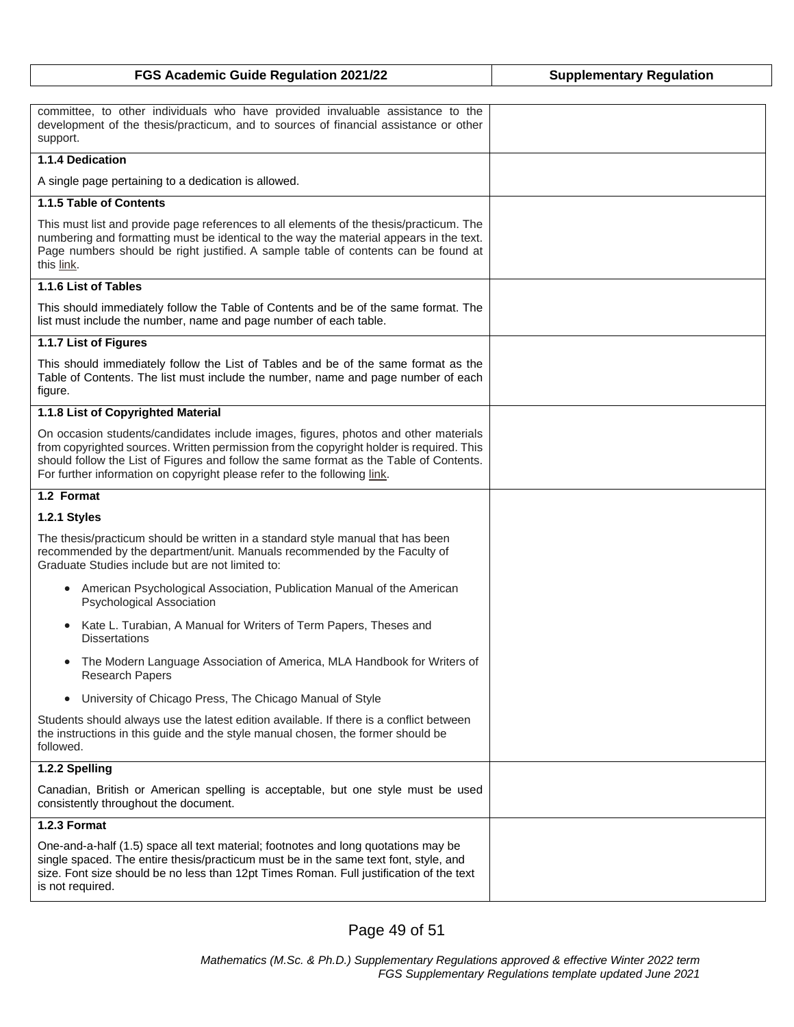| FGS Academic Guide Regulation 2021/22                                                                                                                                                                                                                                                                                                                 | <b>Supplementary Regulation</b> |
|-------------------------------------------------------------------------------------------------------------------------------------------------------------------------------------------------------------------------------------------------------------------------------------------------------------------------------------------------------|---------------------------------|
|                                                                                                                                                                                                                                                                                                                                                       |                                 |
| committee, to other individuals who have provided invaluable assistance to the<br>development of the thesis/practicum, and to sources of financial assistance or other<br>support.                                                                                                                                                                    |                                 |
| 1.1.4 Dedication                                                                                                                                                                                                                                                                                                                                      |                                 |
| A single page pertaining to a dedication is allowed.                                                                                                                                                                                                                                                                                                  |                                 |
| 1.1.5 Table of Contents                                                                                                                                                                                                                                                                                                                               |                                 |
| This must list and provide page references to all elements of the thesis/practicum. The<br>numbering and formatting must be identical to the way the material appears in the text.<br>Page numbers should be right justified. A sample table of contents can be found at<br>this link.                                                                |                                 |
| 1.1.6 List of Tables                                                                                                                                                                                                                                                                                                                                  |                                 |
| This should immediately follow the Table of Contents and be of the same format. The<br>list must include the number, name and page number of each table.                                                                                                                                                                                              |                                 |
| 1.1.7 List of Figures                                                                                                                                                                                                                                                                                                                                 |                                 |
| This should immediately follow the List of Tables and be of the same format as the<br>Table of Contents. The list must include the number, name and page number of each<br>figure.                                                                                                                                                                    |                                 |
| 1.1.8 List of Copyrighted Material                                                                                                                                                                                                                                                                                                                    |                                 |
| On occasion students/candidates include images, figures, photos and other materials<br>from copyrighted sources. Written permission from the copyright holder is required. This<br>should follow the List of Figures and follow the same format as the Table of Contents.<br>For further information on copyright please refer to the following link. |                                 |
| 1.2 Format                                                                                                                                                                                                                                                                                                                                            |                                 |
| 1.2.1 Styles                                                                                                                                                                                                                                                                                                                                          |                                 |
| The thesis/practicum should be written in a standard style manual that has been<br>recommended by the department/unit. Manuals recommended by the Faculty of<br>Graduate Studies include but are not limited to:                                                                                                                                      |                                 |
| American Psychological Association, Publication Manual of the American<br>$\bullet$<br>Psychological Association                                                                                                                                                                                                                                      |                                 |
| Kate L. Turabian, A Manual for Writers of Term Papers, Theses and<br>$\bullet$<br><b>Dissertations</b>                                                                                                                                                                                                                                                |                                 |
| The Modern Language Association of America, MLA Handbook for Writers of<br>$\bullet$<br><b>Research Papers</b>                                                                                                                                                                                                                                        |                                 |
| University of Chicago Press, The Chicago Manual of Style<br>$\bullet$                                                                                                                                                                                                                                                                                 |                                 |
| Students should always use the latest edition available. If there is a conflict between<br>the instructions in this guide and the style manual chosen, the former should be<br>followed.                                                                                                                                                              |                                 |
| 1.2.2 Spelling                                                                                                                                                                                                                                                                                                                                        |                                 |
| Canadian, British or American spelling is acceptable, but one style must be used<br>consistently throughout the document.                                                                                                                                                                                                                             |                                 |
| 1.2.3 Format                                                                                                                                                                                                                                                                                                                                          |                                 |
| One-and-a-half (1.5) space all text material; footnotes and long quotations may be<br>single spaced. The entire thesis/practicum must be in the same text font, style, and<br>size. Font size should be no less than 12pt Times Roman. Full justification of the text<br>is not required.                                                             |                                 |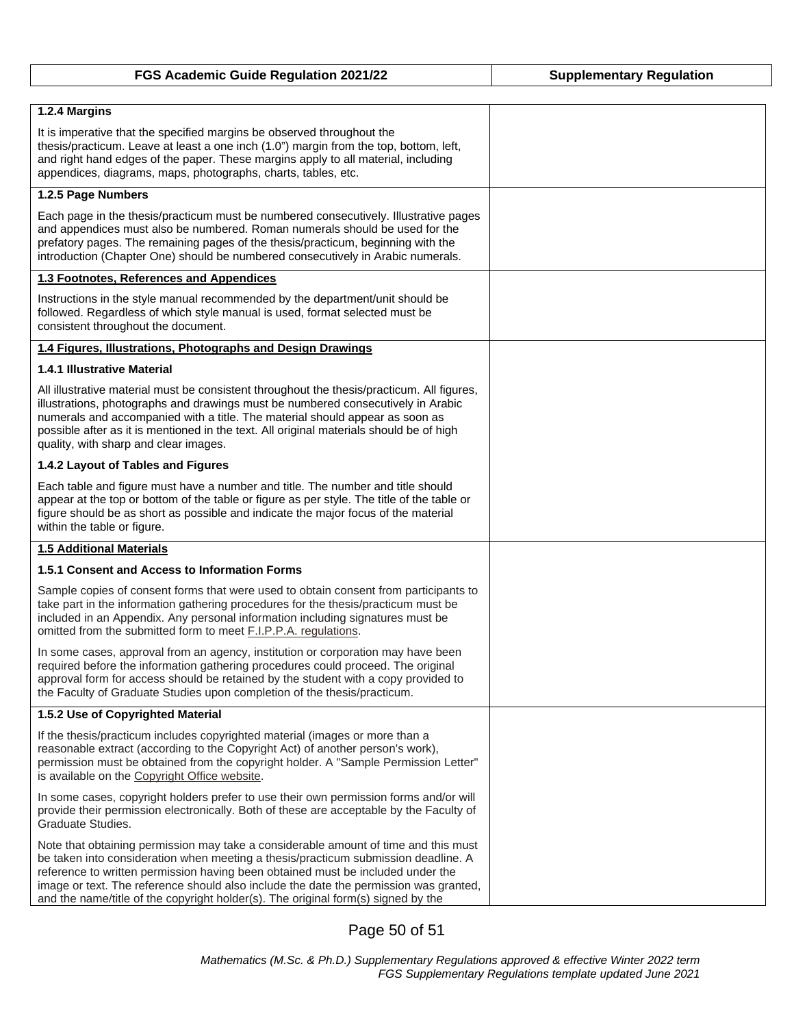| FGS Academic Guide Regulation 2021/22                                                                                                                                                                                                                                                                                                                                                                                                      | <b>Supplementary Regulation</b> |
|--------------------------------------------------------------------------------------------------------------------------------------------------------------------------------------------------------------------------------------------------------------------------------------------------------------------------------------------------------------------------------------------------------------------------------------------|---------------------------------|
|                                                                                                                                                                                                                                                                                                                                                                                                                                            |                                 |
| 1.2.4 Margins                                                                                                                                                                                                                                                                                                                                                                                                                              |                                 |
| It is imperative that the specified margins be observed throughout the<br>thesis/practicum. Leave at least a one inch (1.0") margin from the top, bottom, left,<br>and right hand edges of the paper. These margins apply to all material, including<br>appendices, diagrams, maps, photographs, charts, tables, etc.                                                                                                                      |                                 |
| 1.2.5 Page Numbers                                                                                                                                                                                                                                                                                                                                                                                                                         |                                 |
| Each page in the thesis/practicum must be numbered consecutively. Illustrative pages<br>and appendices must also be numbered. Roman numerals should be used for the<br>prefatory pages. The remaining pages of the thesis/practicum, beginning with the<br>introduction (Chapter One) should be numbered consecutively in Arabic numerals.                                                                                                 |                                 |
| 1.3 Footnotes, References and Appendices                                                                                                                                                                                                                                                                                                                                                                                                   |                                 |
| Instructions in the style manual recommended by the department/unit should be<br>followed. Regardless of which style manual is used, format selected must be<br>consistent throughout the document.                                                                                                                                                                                                                                        |                                 |
| 1.4 Figures, Illustrations, Photographs and Design Drawings                                                                                                                                                                                                                                                                                                                                                                                |                                 |
| <b>1.4.1 Illustrative Material</b>                                                                                                                                                                                                                                                                                                                                                                                                         |                                 |
| All illustrative material must be consistent throughout the thesis/practicum. All figures,<br>illustrations, photographs and drawings must be numbered consecutively in Arabic<br>numerals and accompanied with a title. The material should appear as soon as<br>possible after as it is mentioned in the text. All original materials should be of high<br>quality, with sharp and clear images.                                         |                                 |
| 1.4.2 Layout of Tables and Figures                                                                                                                                                                                                                                                                                                                                                                                                         |                                 |
| Each table and figure must have a number and title. The number and title should<br>appear at the top or bottom of the table or figure as per style. The title of the table or<br>figure should be as short as possible and indicate the major focus of the material<br>within the table or figure.                                                                                                                                         |                                 |
| <b>1.5 Additional Materials</b>                                                                                                                                                                                                                                                                                                                                                                                                            |                                 |
| 1.5.1 Consent and Access to Information Forms                                                                                                                                                                                                                                                                                                                                                                                              |                                 |
| Sample copies of consent forms that were used to obtain consent from participants to<br>take part in the information gathering procedures for the thesis/practicum must be<br>included in an Appendix. Any personal information including signatures must be<br>omitted from the submitted form to meet F.I.P.P.A. regulations.                                                                                                            |                                 |
| In some cases, approval from an agency, institution or corporation may have been<br>required before the information gathering procedures could proceed. The original<br>approval form for access should be retained by the student with a copy provided to<br>the Faculty of Graduate Studies upon completion of the thesis/practicum.                                                                                                     |                                 |
| 1.5.2 Use of Copyrighted Material                                                                                                                                                                                                                                                                                                                                                                                                          |                                 |
| If the thesis/practicum includes copyrighted material (images or more than a<br>reasonable extract (according to the Copyright Act) of another person's work),<br>permission must be obtained from the copyright holder. A "Sample Permission Letter"<br>is available on the Copyright Office website.                                                                                                                                     |                                 |
| In some cases, copyright holders prefer to use their own permission forms and/or will<br>provide their permission electronically. Both of these are acceptable by the Faculty of<br>Graduate Studies.                                                                                                                                                                                                                                      |                                 |
| Note that obtaining permission may take a considerable amount of time and this must<br>be taken into consideration when meeting a thesis/practicum submission deadline. A<br>reference to written permission having been obtained must be included under the<br>image or text. The reference should also include the date the permission was granted,<br>and the name/title of the copyright holder(s). The original form(s) signed by the |                                 |

Page 50 of 51